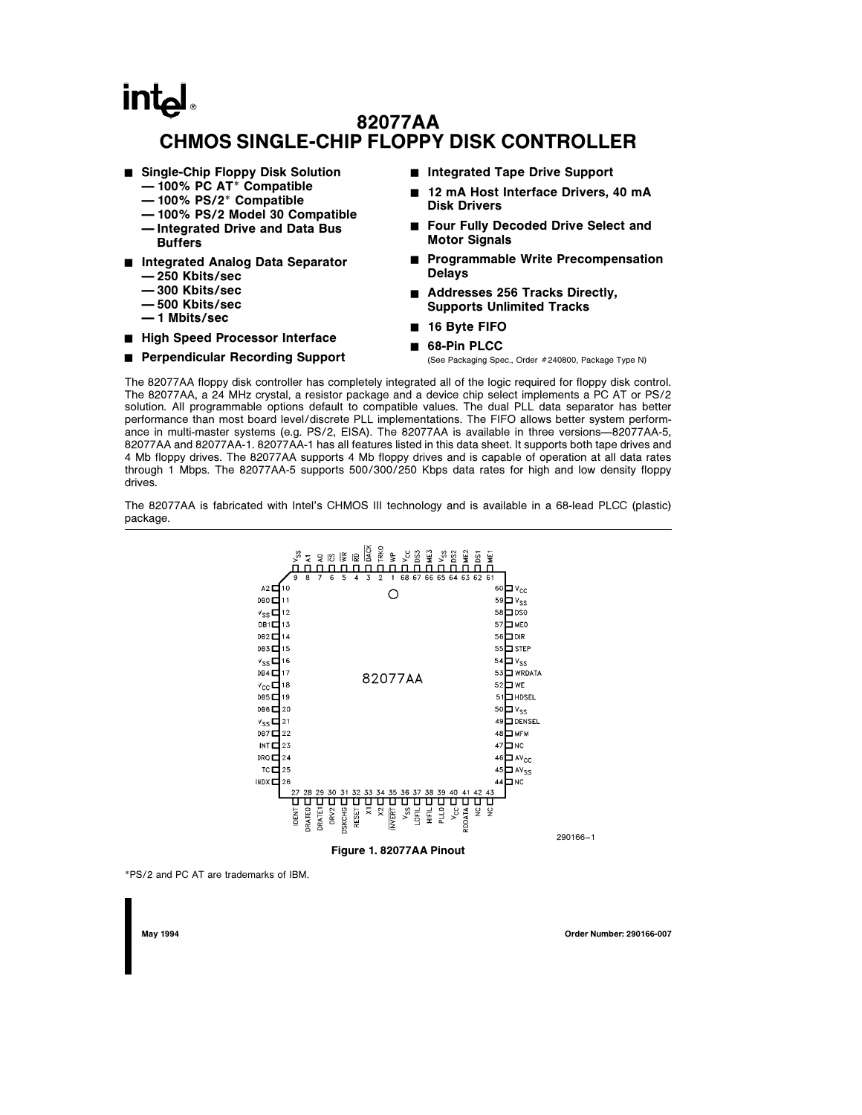# intal 82077AA CHMOS SINGLE-CHIP FLOPPY DISK CONTROLLER

- Single-Chip Floppy Disk Solution
	- Ð 100% PC AT\* Compatible
	- Ð 100% PS/2\* Compatible
	- Ð 100% PS/2 Model 30 Compatible
	- Ð Integrated Drive and Data Bus Buffers
- Integrated Analog Data Separator
	- Ð 250 Kbits/sec
	- Ð 300 Kbits/sec
	- Ð 500 Kbits/sec
	- Ð 1 Mbits/sec
- High Speed Processor Interface

#### ■ Perpendicular Recording Support

- Integrated Tape Drive Support
- 12 mA Host Interface Drivers, 40 mA Disk Drivers
- Four Fully Decoded Drive Select and Motor Signals
- Programmable Write Precompensation Delays
- Addresses 256 Tracks Directly, Supports Unlimited Tracks
- 16 Byte FIFO
- 68-Pin PLCC

(See Packaging Spec., Order #240800, Package Type N)

The 82077AA floppy disk controller has completely integrated all of the logic required for floppy disk control. The 82077AA, a 24 MHz crystal, a resistor package and a device chip select implements a PC AT or PS/2 solution. All programmable options default to compatible values. The dual PLL data separator has better performance than most board level/discrete PLL implementations. The FIFO allows better system performance in multi-master systems (e.g. PS/2, EISA). The 82077AA is available in three versions-82077AA-5, 82077AA and 82077AA-1. 82077AA-1 has all features listed in this data sheet. It supports both tape drives and 4 Mb floppy drives. The 82077AA supports 4 Mb floppy drives and is capable of operation at all data rates through 1 Mbps. The 82077AA-5 supports 500/300/250 Kbps data rates for high and low density floppy drives.

The 82077AA is fabricated with Intel's CHMOS III technology and is available in a 68-lead PLCC (plastic) package.



\*PS/2 and PC AT are trademarks of IBM.

May 1994 Order Number: 290166-007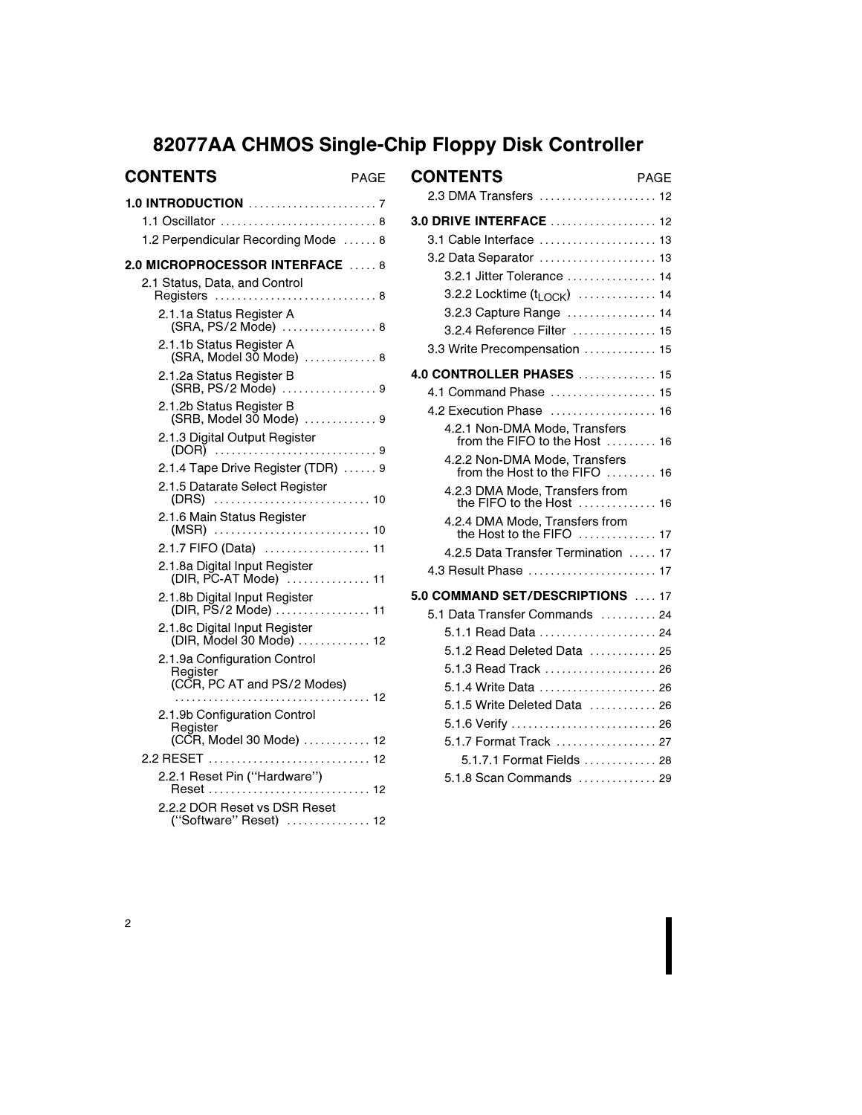# 82077AA CHMOS Single-Chip Floppy Disk Controller

| <b>CONTENTS</b><br>PAGE                                   | С  |
|-----------------------------------------------------------|----|
| 1.1 Oscillator  8<br>1.2 Perpendicular Recording Mode  8  | 3. |
| 2.0 MICROPROCESSOR INTERFACE  8                           |    |
| 2.1 Status, Data, and Control<br>Registers  8             |    |
| 2.1.1a Status Register A<br>(SRA, PS/2 Mode) 8            |    |
| 2.1.1b Status Register A<br>(SRA, Model 30 Mode)  8       |    |
| 2.1.2a Status Register B<br>(SRB, PS/2 Mode) 9            | 4. |
| 2.1.2b Status Register B<br>(SRB, Model 30 Mode)  9       |    |
| 2.1.3 Digital Output Register<br>(DOR) 9                  |    |
| 2.1.4 Tape Drive Register (TDR)  9                        |    |
| 2.1.5 Datarate Select Register                            |    |
| 2.1.6 Main Status Register                                |    |
| 2.1.7 FIFO (Data)  11                                     |    |
| 2.1.8a Digital Input Register<br>(DIR, PC-AT Mode)  11    |    |
| 2.1.8b Digital Input Register<br>(DIR, PS/2 Mode)  11     | 5. |
| 2.1.8c Digital Input Register<br>(DIR, Model 30 Mode)  12 |    |
| 2.1.9a Configuration Control<br>Register                  |    |
| (CCR, PC AT and PS/2 Modes)                               |    |
| 2.1.9b Configuration Control<br>Register                  |    |
| (CCR, Model 30 Mode)  12                                  |    |
|                                                           |    |
| 2.2.1 Reset Pin ("Hardware")<br>Reset  12                 |    |
| 2.2.2 DOR Reset vs DSR Reset<br>("Software" Reset)  12    |    |

| <b>CONTENTS</b>                                                | PAGE |
|----------------------------------------------------------------|------|
| 2.3 DMA Transfers  12                                          |      |
| 3.0 DRIVE INTERFACE  12                                        |      |
| 3.1 Cable Interface  13                                        |      |
| 3.2 Data Separator  13                                         |      |
| 3.2.1 Jitter Tolerance  14                                     |      |
| 3.2.2 Locktime $(t_{\text{LOCK}})$ 14                          |      |
| 3.2.3 Capture Range  14                                        |      |
| 3.2.4 Reference Filter  15                                     |      |
| 3.3 Write Precompensation  15                                  |      |
| <b>4.0 CONTROLLER PHASES</b> 15                                |      |
| 4.1 Command Phase  15                                          |      |
| 4.2 Execution Phase  16                                        |      |
| 4.2.1 Non-DMA Mode, Transfers<br>from the FIFO to the Host  16 |      |
| 4.2.2 Non-DMA Mode, Transfers<br>from the Host to the FIFO  16 |      |
| 4.2.3 DMA Mode, Transfers from<br>the FIFO to the Host  16     |      |
| 4.2.4 DMA Mode, Transfers from<br>the Host to the FIFO  17     |      |
| 4.2.5 Data Transfer Termination  17                            |      |
| 4.3 Result Phase  17                                           |      |
| 5.0 COMMAND SET/DESCRIPTIONS  17                               |      |
| 5.1 Data Transfer Commands  24                                 |      |
| 5.1.1 Read Data  24                                            |      |
| 5.1.2 Read Deleted Data  25                                    |      |
| 5.1.3 Read Track  26                                           |      |
| 5.1.4 Write Data  26                                           |      |
| 5.1.5 Write Deleted Data  26                                   |      |
| 5.1.6 Verify  26                                               |      |
|                                                                |      |
| 5.1.7.1 Format Fields  28                                      |      |
| 5.1.8 Scan Commands  29                                        |      |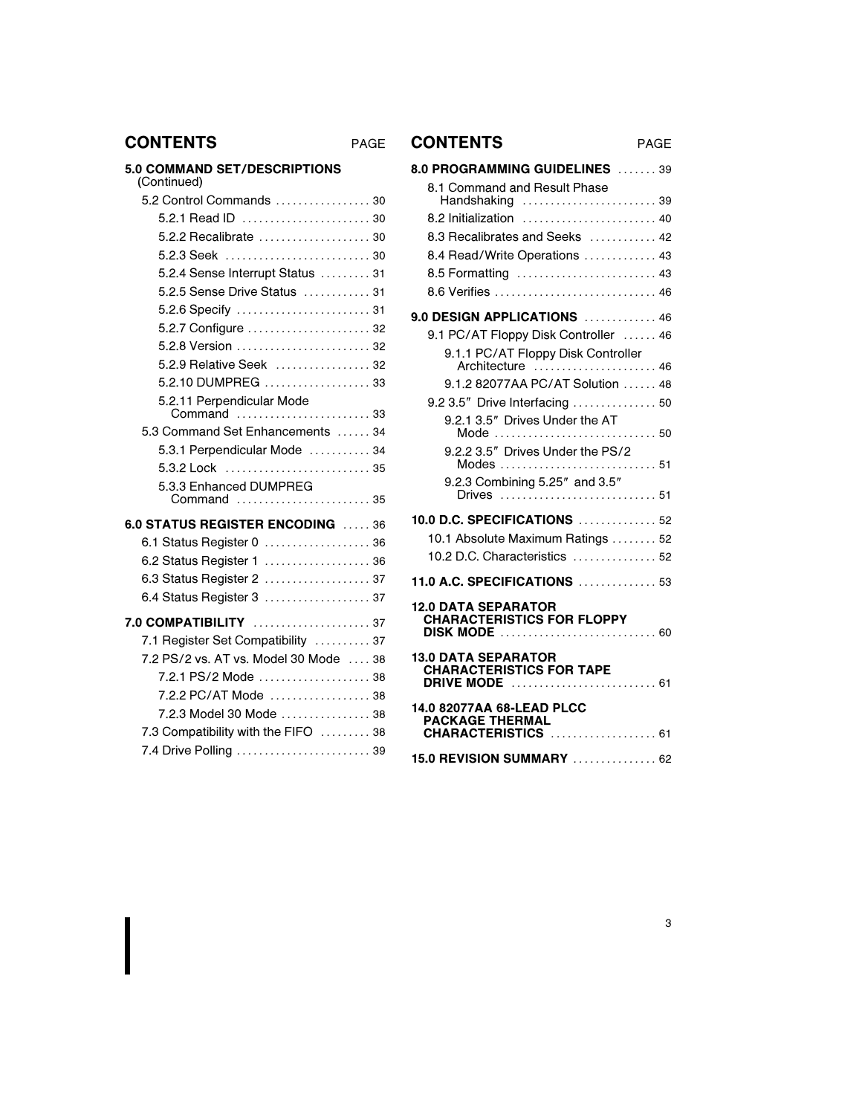## CONTENTS PAGE CONTENTS PAGE

## 5.0 COMMAND SET/DESCRIPTIONS

| (Continued)                                                    |  |
|----------------------------------------------------------------|--|
| $5.2$ Control Commands $\ldots \ldots \ldots \ldots \ldots$ 30 |  |
|                                                                |  |
| 5.2.2 Recalibrate  30                                          |  |
| 5.2.3 Seek  30                                                 |  |
| 5.2.4 Sense Interrupt Status  31                               |  |
| 5.2.5 Sense Drive Status  31                                   |  |
| 5.2.6 Specify  31                                              |  |
| 5.2.7 Configure  32                                            |  |
| 5.2.8 Version  32                                              |  |
| 5.2.9 Relative Seek  32                                        |  |
| 5.2.10 DUMPREG  33                                             |  |
| 5.2.11 Perpendicular Mode<br>Command  33                       |  |
| 5.3 Command Set Enhancements  34                               |  |
| 5.3.1 Perpendicular Mode  34                                   |  |
| 5.3.2 Lock  35                                                 |  |
| 5.3.3 Enhanced DUMPREG                                         |  |
| Command  35                                                    |  |
| 6.0 STATUS REGISTER ENCODING  36                               |  |
| 6.1 Status Register 0  36                                      |  |
| 6.2 Status Register 1  36                                      |  |
| 6.3 Status Register 2  37                                      |  |
| 6.4 Status Register 3  37                                      |  |
| 7.0 COMPATIBILITY  37                                          |  |
| 7.1 Register Set Compatibility  37                             |  |
| 7.2 PS/2 vs. AT vs. Model 30 Mode  38                          |  |
| 7.2.1 PS/2 Mode  38                                            |  |
| 7.2.2 PC/AT Mode  38                                           |  |
| 7.2.3 Model 30 Mode  38                                        |  |
| 7.3 Compatibility with the FIFO  38                            |  |
| 7.4 Drive Polling  39                                          |  |
|                                                                |  |

| 8.0 PROGRAMMING GUIDELINES  39                               |
|--------------------------------------------------------------|
| 8.1 Command and Result Phase<br>Handshaking  39              |
| 8.2 Initialization  40                                       |
| 8.3 Recalibrates and Seeks  42                               |
| 8.4 Read/Write Operations  43                                |
|                                                              |
|                                                              |
| 9.0 DESIGN APPLICATIONS  46                                  |
| 9.1 PC/AT Floppy Disk Controller  46                         |
| 9.1.1 PC/AT Floppy Disk Controller                           |
| Architecture  46<br>9.1.2 82077AA PC/AT Solution  48         |
| 9.2 3.5" Drive Interfacing  50                               |
| 9.2.1 3.5" Drives Under the AT                               |
| Mode  50                                                     |
| 9.2.2 3.5" Drives Under the PS/2                             |
| 9.2.3 Combining 5.25" and 3.5"                               |
|                                                              |
| 10.0 D.C. SPECIFICATIONS  52                                 |
| 10.1 Absolute Maximum Ratings  52                            |
| 10.2 D.C. Characteristics $\ldots$ 52                        |
| <b>11.0 A.C. SPECIFICATIONS  53</b>                          |
| <b>12.0 DATA SEPARATOR</b>                                   |
| <b>CHARACTERISTICS FOR FLOPPY</b><br><b>DISK MODE</b> 60     |
| <b>13.0 DATA SEPARATOR</b>                                   |
| <b>CHARACTERISTICS FOR TAPE</b><br>DRIVE MODE<br>$\ldots$ 61 |
| 14.0 82077AA 68-LEAD PLCC                                    |
| <b>PACKAGE THERMAL</b><br>CHARACTERISTICS  61                |
| 15.0 REVISION SUMMARY  62                                    |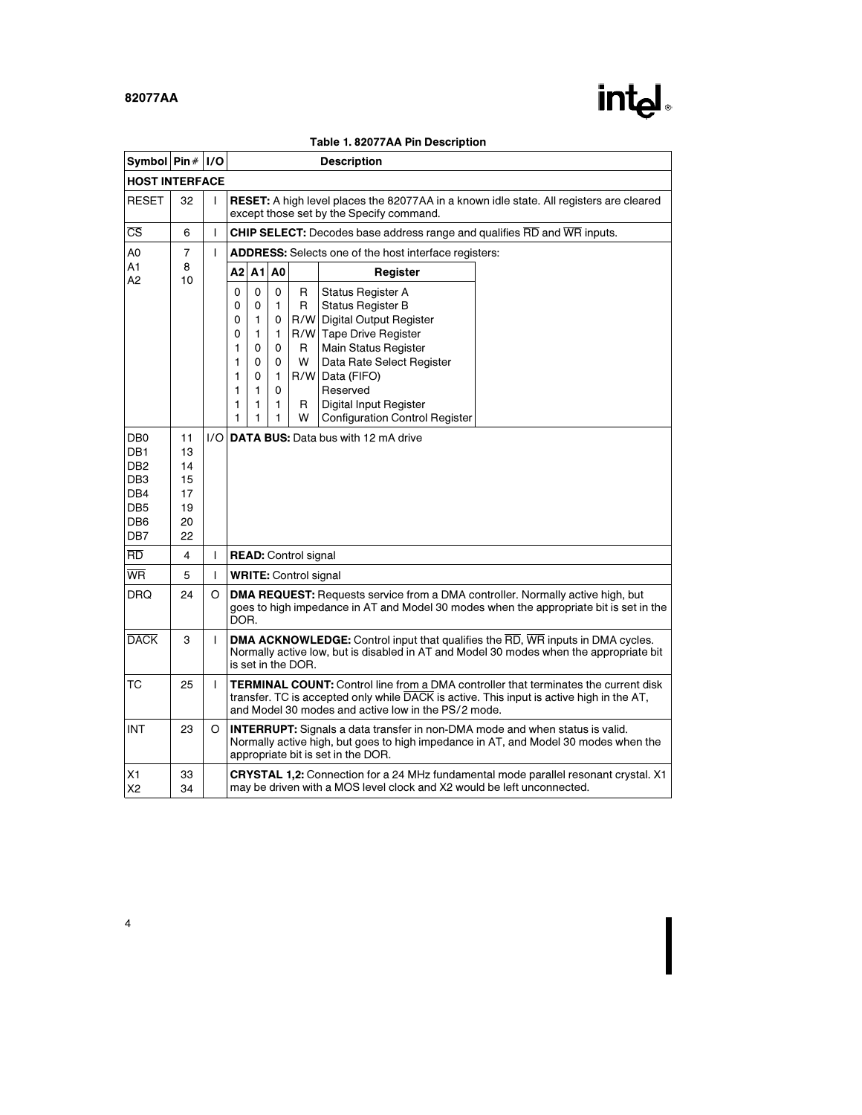

|                                                                                                                              | ле подоглям по резонр<br>Symbol $\mathsf{Pin}\#$<br> I/O<br><b>Description</b> |     |                                                |                                                |                                                |                                   |                                                                                                                                                                                                                                                                          |                                                                                                                                                                                               |  |  |
|------------------------------------------------------------------------------------------------------------------------------|--------------------------------------------------------------------------------|-----|------------------------------------------------|------------------------------------------------|------------------------------------------------|-----------------------------------|--------------------------------------------------------------------------------------------------------------------------------------------------------------------------------------------------------------------------------------------------------------------------|-----------------------------------------------------------------------------------------------------------------------------------------------------------------------------------------------|--|--|
| <b>HOST INTERFACE</b>                                                                                                        |                                                                                |     |                                                |                                                |                                                |                                   |                                                                                                                                                                                                                                                                          |                                                                                                                                                                                               |  |  |
| <b>RESET</b>                                                                                                                 | 32                                                                             | I   |                                                |                                                |                                                |                                   | except those set by the Specify command.                                                                                                                                                                                                                                 | <b>RESET:</b> A high level places the 82077AA in a known idle state. All registers are cleared                                                                                                |  |  |
| $\overline{\text{CS}}$                                                                                                       | 6                                                                              | I   |                                                |                                                |                                                |                                   | <b>CHIP SELECT:</b> Decodes base address range and qualifies RD and WR inputs.                                                                                                                                                                                           |                                                                                                                                                                                               |  |  |
| A0                                                                                                                           | $\overline{7}$                                                                 | T   |                                                |                                                |                                                |                                   | <b>ADDRESS:</b> Selects one of the host interface registers:                                                                                                                                                                                                             |                                                                                                                                                                                               |  |  |
| A1<br>А2                                                                                                                     | 8<br>10                                                                        |     | A2 l                                           | A1                                             | A <sub>0</sub>                                 |                                   | Register                                                                                                                                                                                                                                                                 |                                                                                                                                                                                               |  |  |
|                                                                                                                              |                                                                                |     | 0<br>0<br>0<br>0<br>1<br>1<br>1<br>1<br>1<br>1 | 0<br>0<br>1<br>1<br>0<br>0<br>0<br>1<br>1<br>1 | 0<br>1<br>0<br>1<br>0<br>0<br>1<br>0<br>1<br>1 | R<br>R<br>R<br>W<br>R/W<br>R<br>W | <b>Status Register A</b><br><b>Status Register B</b><br>R/W Digital Output Register<br>R/W Tape Drive Register<br><b>Main Status Register</b><br>Data Rate Select Register<br>Data (FIFO)<br>Reserved<br>Digital Input Register<br><b>Configuration Control Register</b> |                                                                                                                                                                                               |  |  |
| DB <sub>0</sub><br>DB <sub>1</sub><br>DB <sub>2</sub><br>DB <sub>3</sub><br>DB4<br>DB <sub>5</sub><br>DB <sub>6</sub><br>DB7 | 11<br>13<br>14<br>15<br>17<br>19<br>20<br>22                                   | 1/O |                                                |                                                |                                                |                                   | <b>DATA BUS:</b> Data bus with 12 mA drive                                                                                                                                                                                                                               |                                                                                                                                                                                               |  |  |
| RD.                                                                                                                          | 4                                                                              | I   |                                                |                                                |                                                | <b>READ:</b> Control signal       |                                                                                                                                                                                                                                                                          |                                                                                                                                                                                               |  |  |
| <b>WR</b>                                                                                                                    | 5                                                                              | T   |                                                | <b>WRITE:</b> Control signal                   |                                                |                                   |                                                                                                                                                                                                                                                                          |                                                                                                                                                                                               |  |  |
| <b>DRQ</b>                                                                                                                   | 24                                                                             | O   | DOR.                                           |                                                |                                                |                                   |                                                                                                                                                                                                                                                                          | <b>DMA REQUEST:</b> Requests service from a DMA controller. Normally active high, but<br>goes to high impedance in AT and Model 30 modes when the appropriate bit is set in the               |  |  |
| <b>DACK</b>                                                                                                                  | 3                                                                              | I   |                                                |                                                |                                                | is set in the DOR.                |                                                                                                                                                                                                                                                                          | <b>DMA ACKNOWLEDGE:</b> Control input that qualifies the $\overline{RD}$ , WR inputs in DMA cycles.<br>Normally active low, but is disabled in AT and Model 30 modes when the appropriate bit |  |  |
| ТC                                                                                                                           | 25                                                                             | T   |                                                |                                                |                                                |                                   | and Model 30 modes and active low in the PS/2 mode.                                                                                                                                                                                                                      | <b>TERMINAL COUNT:</b> Control line from a DMA controller that terminates the current disk<br>transfer. TC is accepted only while DACK is active. This input is active high in the AT,        |  |  |
| <b>INT</b>                                                                                                                   | 23                                                                             | O   |                                                |                                                |                                                |                                   | <b>INTERRUPT:</b> Signals a data transfer in non-DMA mode and when status is valid.<br>appropriate bit is set in the DOR.                                                                                                                                                | Normally active high, but goes to high impedance in AT, and Model 30 modes when the                                                                                                           |  |  |
| Х1<br>X <sub>2</sub>                                                                                                         | 33<br>34                                                                       |     |                                                |                                                |                                                |                                   | may be driven with a MOS level clock and X2 would be left unconnected.                                                                                                                                                                                                   | <b>CRYSTAL 1,2:</b> Connection for a 24 MHz fundamental mode parallel resonant crystal. X1                                                                                                    |  |  |

### Table 1. 82077AA Pin Description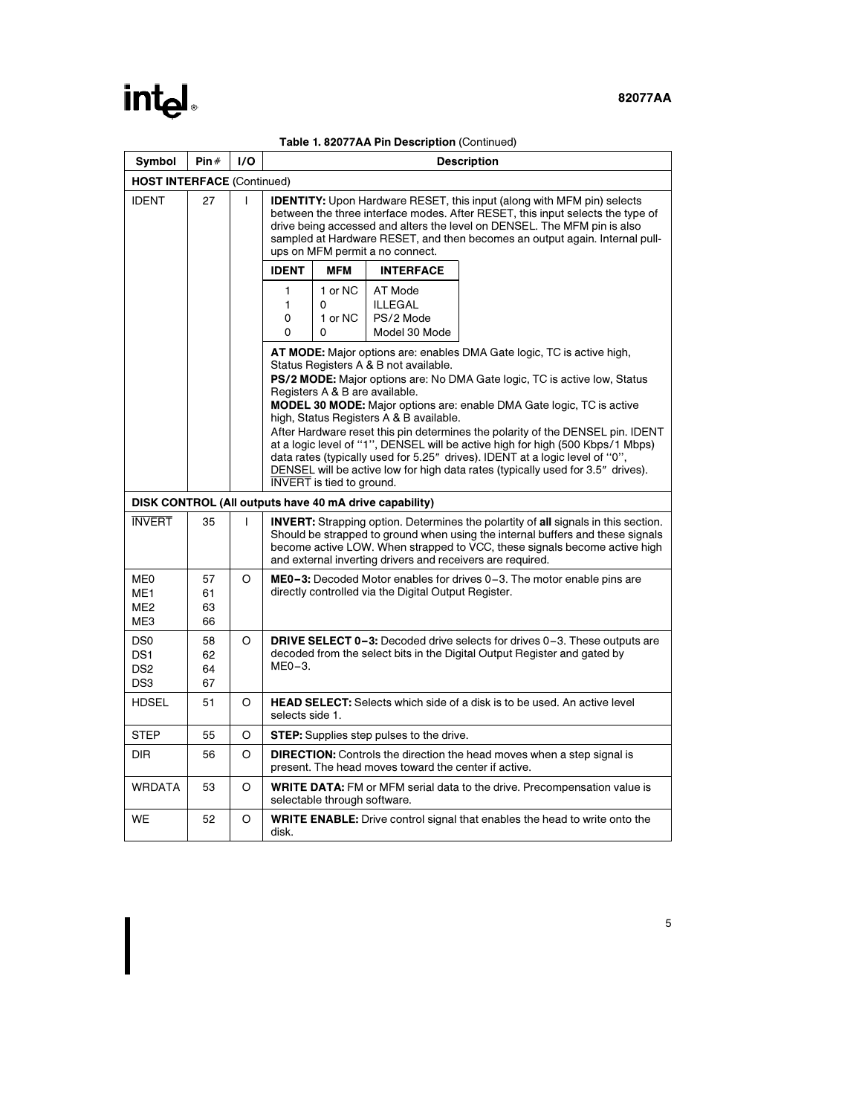# intel.

| Table 1. 82077AA Pin Description (Continued) |  |  |
|----------------------------------------------|--|--|
|----------------------------------------------|--|--|

| Symbol                                                                   | Pin#                                                                                                                                                                                                                                                                                                                              | I/O          |                  |                                                                                                                                                                                                                                                                                                                                                                                                                                                                                             |                                                         | <b>Description</b>                                                              |  |  |  |  |  |
|--------------------------------------------------------------------------|-----------------------------------------------------------------------------------------------------------------------------------------------------------------------------------------------------------------------------------------------------------------------------------------------------------------------------------|--------------|------------------|---------------------------------------------------------------------------------------------------------------------------------------------------------------------------------------------------------------------------------------------------------------------------------------------------------------------------------------------------------------------------------------------------------------------------------------------------------------------------------------------|---------------------------------------------------------|---------------------------------------------------------------------------------|--|--|--|--|--|
|                                                                          | <b>HOST INTERFACE (Continued)</b>                                                                                                                                                                                                                                                                                                 |              |                  |                                                                                                                                                                                                                                                                                                                                                                                                                                                                                             |                                                         |                                                                                 |  |  |  |  |  |
| <b>IDENT</b>                                                             | 27                                                                                                                                                                                                                                                                                                                                | $\mathbf{I}$ |                  | <b>IDENTITY:</b> Upon Hardware RESET, this input (along with MFM pin) selects<br>between the three interface modes. After RESET, this input selects the type of<br>drive being accessed and alters the level on DENSEL. The MFM pin is also<br>sampled at Hardware RESET, and then becomes an output again. Internal pull-<br>ups on MFM permit a no connect.                                                                                                                               |                                                         |                                                                                 |  |  |  |  |  |
|                                                                          |                                                                                                                                                                                                                                                                                                                                   |              | <b>IDENT</b>     | <b>MFM</b>                                                                                                                                                                                                                                                                                                                                                                                                                                                                                  | <b>INTERFACE</b>                                        |                                                                                 |  |  |  |  |  |
|                                                                          |                                                                                                                                                                                                                                                                                                                                   |              | 1<br>1<br>0<br>0 | 1 or NC<br>0<br>1 or NC<br>0                                                                                                                                                                                                                                                                                                                                                                                                                                                                | AT Mode<br><b>ILLEGAL</b><br>PS/2 Mode<br>Model 30 Mode |                                                                                 |  |  |  |  |  |
|                                                                          |                                                                                                                                                                                                                                                                                                                                   |              |                  | <b>AT MODE:</b> Major options are: enables DMA Gate logic, TC is active high,<br>Status Registers A & B not available.<br>PS/2 MODE: Major options are: No DMA Gate logic, TC is active low, Status<br>Registers A & B are available.                                                                                                                                                                                                                                                       |                                                         |                                                                                 |  |  |  |  |  |
|                                                                          |                                                                                                                                                                                                                                                                                                                                   |              |                  | MODEL 30 MODE: Major options are: enable DMA Gate logic, TC is active<br>high, Status Registers A & B available.<br>After Hardware reset this pin determines the polarity of the DENSEL pin. IDENT<br>at a logic level of "1", DENSEL will be active high for high (500 Kbps/1 Mbps)<br>data rates (typically used for 5.25" drives). IDENT at a logic level of "0",<br>DENSEL will be active low for high data rates (typically used for 3.5" drives).<br><b>INVERT</b> is tied to ground. |                                                         |                                                                                 |  |  |  |  |  |
|                                                                          | DISK CONTROL (All outputs have 40 mA drive capability)                                                                                                                                                                                                                                                                            |              |                  |                                                                                                                                                                                                                                                                                                                                                                                                                                                                                             |                                                         |                                                                                 |  |  |  |  |  |
| <b>INVERT</b>                                                            | 35<br>T<br><b>INVERT:</b> Strapping option. Determines the polartity of all signals in this section.<br>Should be strapped to ground when using the internal buffers and these signals<br>become active LOW. When strapped to VCC, these signals become active high<br>and external inverting drivers and receivers are required. |              |                  |                                                                                                                                                                                                                                                                                                                                                                                                                                                                                             |                                                         |                                                                                 |  |  |  |  |  |
| ME0<br>ME <sub>1</sub><br>ME <sub>2</sub><br>ME3                         | 57<br>61<br>63<br>66                                                                                                                                                                                                                                                                                                              | O            |                  | <b>ME0-3:</b> Decoded Motor enables for drives 0-3. The motor enable pins are<br>directly controlled via the Digital Output Register.                                                                                                                                                                                                                                                                                                                                                       |                                                         |                                                                                 |  |  |  |  |  |
| DS <sub>0</sub><br>DS <sub>1</sub><br>DS <sub>2</sub><br>DS <sub>3</sub> | 58<br>62<br>64<br>67                                                                                                                                                                                                                                                                                                              | O            | $ME0-3.$         | <b>DRIVE SELECT 0-3:</b> Decoded drive selects for drives 0-3. These outputs are<br>decoded from the select bits in the Digital Output Register and gated by                                                                                                                                                                                                                                                                                                                                |                                                         |                                                                                 |  |  |  |  |  |
| <b>HDSEL</b>                                                             | 51                                                                                                                                                                                                                                                                                                                                | O            | selects side 1.  |                                                                                                                                                                                                                                                                                                                                                                                                                                                                                             |                                                         | <b>HEAD SELECT:</b> Selects which side of a disk is to be used. An active level |  |  |  |  |  |
| <b>STEP</b>                                                              | 55                                                                                                                                                                                                                                                                                                                                | O            |                  |                                                                                                                                                                                                                                                                                                                                                                                                                                                                                             | <b>STEP:</b> Supplies step pulses to the drive.         |                                                                                 |  |  |  |  |  |
| <b>DIR</b>                                                               | 56                                                                                                                                                                                                                                                                                                                                | O            |                  |                                                                                                                                                                                                                                                                                                                                                                                                                                                                                             | present. The head moves toward the center if active.    | DIRECTION: Controls the direction the head moves when a step signal is          |  |  |  |  |  |
| <b>WRDATA</b>                                                            | 53                                                                                                                                                                                                                                                                                                                                | O            |                  | selectable through software.                                                                                                                                                                                                                                                                                                                                                                                                                                                                |                                                         | <b>WRITE DATA:</b> FM or MFM serial data to the drive. Precompensation value is |  |  |  |  |  |
| <b>WE</b>                                                                | 52                                                                                                                                                                                                                                                                                                                                | O            | disk.            | <b>WRITE ENABLE:</b> Drive control signal that enables the head to write onto the                                                                                                                                                                                                                                                                                                                                                                                                           |                                                         |                                                                                 |  |  |  |  |  |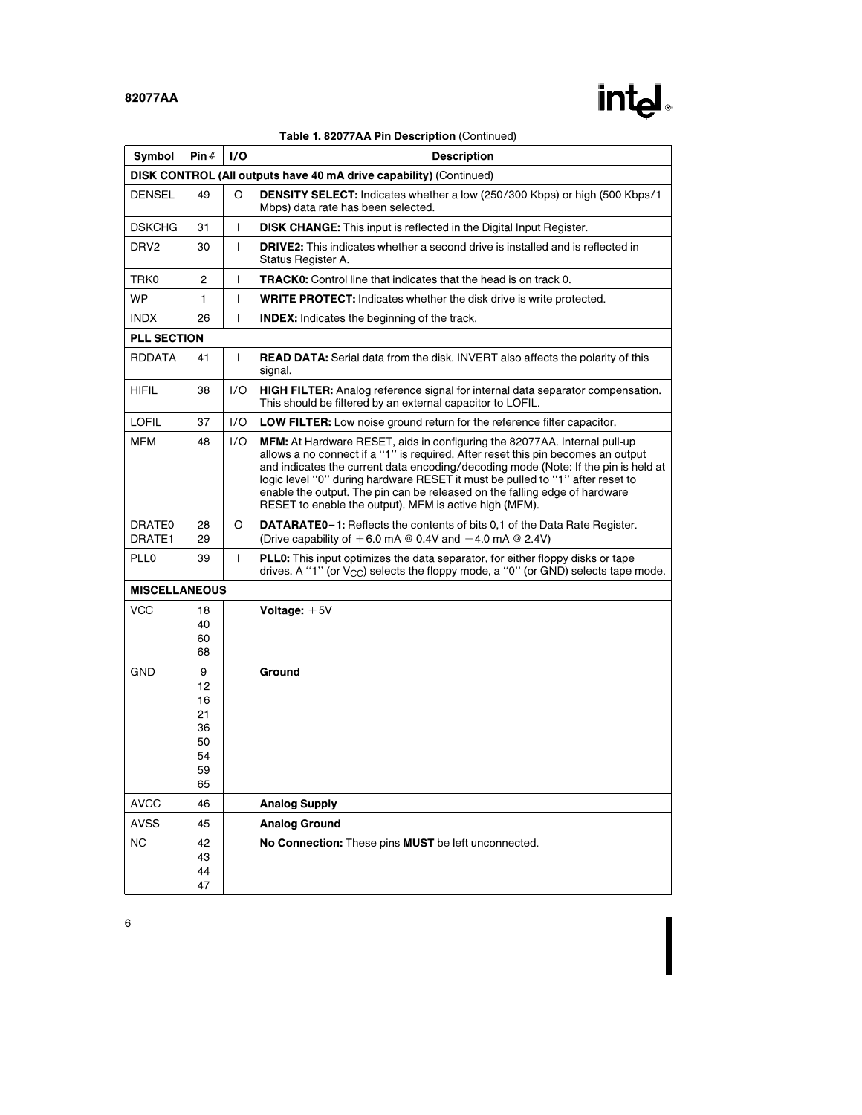

|                      |                                                                    |              | Table 1. 82077AA Pin Description (Continued)                                                                                                                                                                                                                                                                                                                                                                                                                                 |  |  |  |  |  |
|----------------------|--------------------------------------------------------------------|--------------|------------------------------------------------------------------------------------------------------------------------------------------------------------------------------------------------------------------------------------------------------------------------------------------------------------------------------------------------------------------------------------------------------------------------------------------------------------------------------|--|--|--|--|--|
| Symbol               | Pin#                                                               | 1/O          | <b>Description</b>                                                                                                                                                                                                                                                                                                                                                                                                                                                           |  |  |  |  |  |
|                      | DISK CONTROL (All outputs have 40 mA drive capability) (Continued) |              |                                                                                                                                                                                                                                                                                                                                                                                                                                                                              |  |  |  |  |  |
| <b>DENSEL</b>        | 49                                                                 | O            | <b>DENSITY SELECT:</b> Indicates whether a low (250/300 Kbps) or high (500 Kbps/1<br>Mbps) data rate has been selected.                                                                                                                                                                                                                                                                                                                                                      |  |  |  |  |  |
| <b>DSKCHG</b>        | 31                                                                 | I            | <b>DISK CHANGE:</b> This input is reflected in the Digital Input Register.                                                                                                                                                                                                                                                                                                                                                                                                   |  |  |  |  |  |
| DRV <sub>2</sub>     | 30                                                                 | $\mathsf{L}$ | DRIVE2: This indicates whether a second drive is installed and is reflected in<br>Status Register A.                                                                                                                                                                                                                                                                                                                                                                         |  |  |  |  |  |
| TRK0                 | 2                                                                  | T            | <b>TRACK0:</b> Control line that indicates that the head is on track 0.                                                                                                                                                                                                                                                                                                                                                                                                      |  |  |  |  |  |
| <b>WP</b>            | 1                                                                  | I            | <b>WRITE PROTECT:</b> Indicates whether the disk drive is write protected.                                                                                                                                                                                                                                                                                                                                                                                                   |  |  |  |  |  |
| <b>INDX</b>          | 26                                                                 | T            | <b>INDEX:</b> Indicates the beginning of the track.                                                                                                                                                                                                                                                                                                                                                                                                                          |  |  |  |  |  |
| <b>PLL SECTION</b>   |                                                                    |              |                                                                                                                                                                                                                                                                                                                                                                                                                                                                              |  |  |  |  |  |
| <b>RDDATA</b>        | 41                                                                 | T            | <b>READ DATA:</b> Serial data from the disk. INVERT also affects the polarity of this<br>signal.                                                                                                                                                                                                                                                                                                                                                                             |  |  |  |  |  |
| <b>HIFIL</b>         | 38                                                                 | 1/O          | HIGH FILTER: Analog reference signal for internal data separator compensation.<br>This should be filtered by an external capacitor to LOFIL.                                                                                                                                                                                                                                                                                                                                 |  |  |  |  |  |
| <b>LOFIL</b>         | 37                                                                 | 1/O          | <b>LOW FILTER:</b> Low noise ground return for the reference filter capacitor.                                                                                                                                                                                                                                                                                                                                                                                               |  |  |  |  |  |
| <b>MFM</b>           | 48                                                                 | 1/O          | MFM: At Hardware RESET, aids in configuring the 82077AA. Internal pull-up<br>allows a no connect if a "1" is required. After reset this pin becomes an output<br>and indicates the current data encoding/decoding mode (Note: If the pin is held at<br>logic level "0" during hardware RESET it must be pulled to "1" after reset to<br>enable the output. The pin can be released on the falling edge of hardware<br>RESET to enable the output). MFM is active high (MFM). |  |  |  |  |  |
| DRATE0<br>DRATE1     | 28<br>29                                                           | O            | <b>DATARATE0-1:</b> Reflects the contents of bits 0,1 of the Data Rate Register.<br>(Drive capability of $+6.0$ mA @ 0.4V and $-4.0$ mA @ 2.4V)                                                                                                                                                                                                                                                                                                                              |  |  |  |  |  |
| <b>PLL0</b>          | 39                                                                 | $\mathsf{L}$ | PLL0: This input optimizes the data separator, for either floppy disks or tape<br>drives. A "1" (or $V_{CC}$ ) selects the floppy mode, a "0" (or GND) selects tape mode.                                                                                                                                                                                                                                                                                                    |  |  |  |  |  |
| <b>MISCELLANEOUS</b> |                                                                    |              |                                                                                                                                                                                                                                                                                                                                                                                                                                                                              |  |  |  |  |  |
| <b>VCC</b>           | 18<br>40<br>60<br>68                                               |              | Voltage: $+5V$                                                                                                                                                                                                                                                                                                                                                                                                                                                               |  |  |  |  |  |
| <b>GND</b>           | 9<br>12<br>16<br>21<br>36<br>50<br>54<br>59<br>65                  |              | Ground                                                                                                                                                                                                                                                                                                                                                                                                                                                                       |  |  |  |  |  |
| <b>AVCC</b>          | 46                                                                 |              | <b>Analog Supply</b>                                                                                                                                                                                                                                                                                                                                                                                                                                                         |  |  |  |  |  |
| <b>AVSS</b>          | 45                                                                 |              | <b>Analog Ground</b>                                                                                                                                                                                                                                                                                                                                                                                                                                                         |  |  |  |  |  |
| <b>NC</b>            | 42<br>43<br>44<br>47                                               |              | No Connection: These pins MUST be left unconnected.                                                                                                                                                                                                                                                                                                                                                                                                                          |  |  |  |  |  |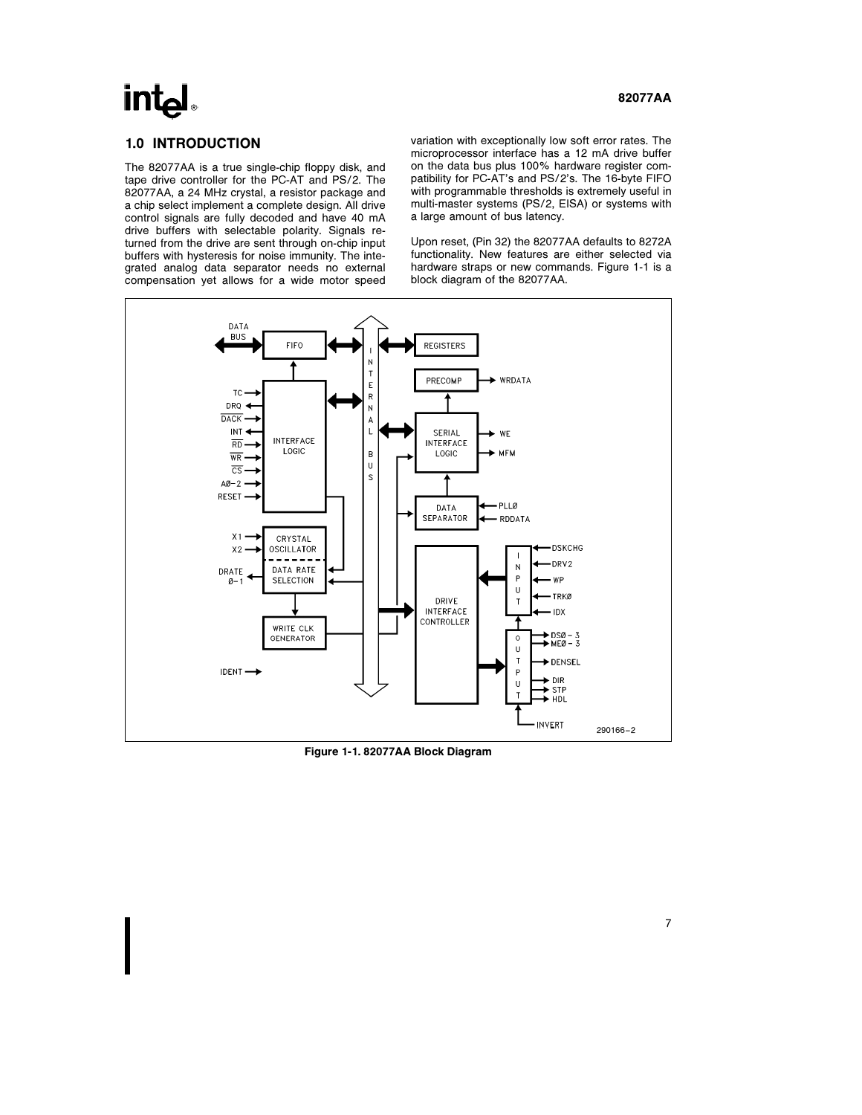# intal

# 1.0 INTRODUCTION

The 82077AA is a true single-chip floppy disk, and tape drive controller for the PC-AT and PS/2. The 82077AA, a 24 MHz crystal, a resistor package and a chip select implement a complete design. All drive control signals are fully decoded and have 40 mA drive buffers with selectable polarity. Signals returned from the drive are sent through on-chip input buffers with hysteresis for noise immunity. The integrated analog data separator needs no external compensation yet allows for a wide motor speed

variation with exceptionally low soft error rates. The microprocessor interface has a 12 mA drive buffer on the data bus plus 100% hardware register compatibility for PC-AT's and PS/2's. The 16-byte FIFO with programmable thresholds is extremely useful in multi-master systems (PS/2, EISA) or systems with a large amount of bus latency.

Upon reset, (Pin 32) the 82077AA defaults to 8272A functionality. New features are either selected via hardware straps or new commands. Figure 1-1 is a block diagram of the 82077AA.



Figure 1-1. 82077AA Block Diagram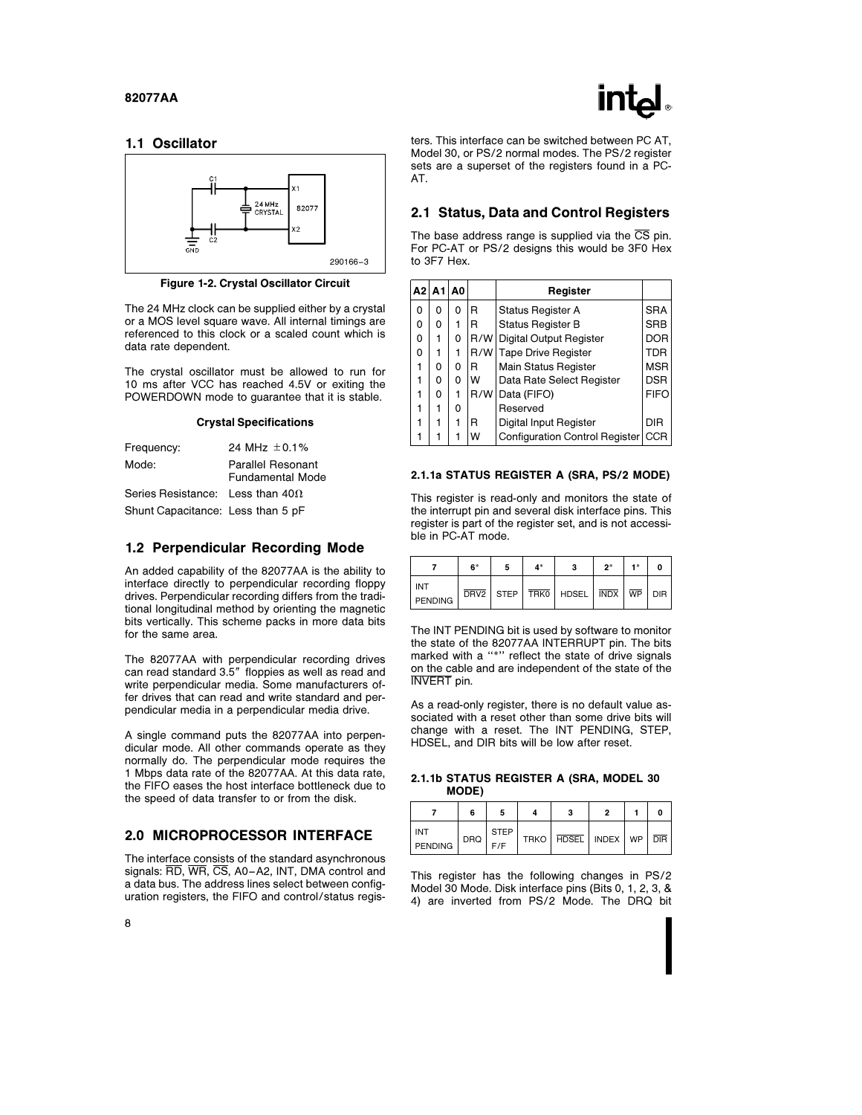

### 1.1 Oscillator



Figure 1-2. Crystal Oscillator Circuit

The 24 MHz clock can be supplied either by a crystal or a MOS level square wave. All internal timings are referenced to this clock or a scaled count which is data rate dependent.

The crystal oscillator must be allowed to run for 10 ms after VCC has reached 4.5V or exiting the POWERDOWN mode to guarantee that it is stable.

#### Crystal Specifications

| Frequency:                              | 24 MHz $+0.1\%$                              |
|-----------------------------------------|----------------------------------------------|
| Mode:                                   | <b>Parallel Resonant</b><br>Fundamental Mode |
| Series Resistance: Less than $40\Omega$ |                                              |

Shunt Capacitance: Less than 5 pF

#### 1.2 Perpendicular Recording Mode

An added capability of the 82077AA is the ability to interface directly to perpendicular recording floppy drives. Perpendicular recording differs from the traditional longitudinal method by orienting the magnetic bits vertically. This scheme packs in more data bits for the same area.

The 82077AA with perpendicular recording drives can read standard 3.5" floppies as well as read and write perpendicular media. Some manufacturers offer drives that can read and write standard and perpendicular media in a perpendicular media drive.

A single command puts the 82077AA into perpendicular mode. All other commands operate as they normally do. The perpendicular mode requires the 1 Mbps data rate of the 82077AA. At this data rate, the FIFO eases the host interface bottleneck due to the speed of data transfer to or from the disk.

## 2.0 MICROPROCESSOR INTERFACE

The interface consists of the standard asynchronous signals: RD, WR, CS, A0 –A2, INT, DMA control and a data bus. The address lines select between configuration registers, the FIFO and control/status registers. This interface can be switched between PC AT, Model 30, or PS/2 normal modes. The PS/2 register sets are a superset of the registers found in a PC-AT.

#### 2.1 Status, Data and Control Registers

The base address range is supplied via the  $\overline{\text{CS}}$  pin. For PC-AT or PS/2 designs this would be 3F0 Hex to 3F7 Hex.

|   | $A2$ $A1$ $A0$ |   |     | Register                             |             |
|---|----------------|---|-----|--------------------------------------|-------------|
| 0 | 0              | 0 | R   | <b>Status Register A</b>             | <b>SRA</b>  |
| 0 | 0              | 1 | R   | <b>Status Register B</b>             | <b>SRB</b>  |
| 0 | 1              | 0 | R/W | Digital Output Register              | <b>DOR</b>  |
| 0 | 1              | 1 |     | R/W Tape Drive Register              | TDR         |
| 1 | 0              | 0 | R   | <b>Main Status Register</b>          | <b>MSR</b>  |
|   | 0              | o | W   | Data Rate Select Register            | <b>DSR</b>  |
| 1 | 0              | 1 | R/W | Data (FIFO)                          | <b>FIFO</b> |
| 1 | 1              | 0 |     | Reserved                             |             |
|   | 1              | 1 | R   | Digital Input Register               | <b>DIR</b>  |
|   |                |   | W   | Configuration Control Register   CCR |             |

#### 2.1.1a STATUS REGISTER A (SRA, PS/2 MODE)

This register is read-only and monitors the state of the interrupt pin and several disk interface pins. This register is part of the register set, and is not accessible in PC-AT mode.

|                | 6* | 4* |                                                                                     | $2*$ |  |
|----------------|----|----|-------------------------------------------------------------------------------------|------|--|
| INT<br>PENDING |    |    | $\overline{DRV2}$   STEP   TRKO   HDSEL   $\overline{INDX}$   $\overline{WP}$   DIR |      |  |

The INT PENDING bit is used by software to monitor the state of the 82077AA INTERRUPT pin. The bits marked with a "\*" reflect the state of drive signals on the cable and are independent of the state of the INVERT pin.

As a read-only register, there is no default value associated with a reset other than some drive bits will change with a reset. The INT PENDING, STEP, HDSEL, and DIR bits will be low after reset.

#### 2.1.1b STATUS REGISTER A (SRA, MODEL 30 MODE)

|                              |     |                    | з                               |  |  |
|------------------------------|-----|--------------------|---------------------------------|--|--|
| <b>INT</b><br><b>PENDING</b> | DRQ | <b>STEP</b><br>F/F | TRKO   HDSEL   INDEX   WP   DIR |  |  |

This register has the following changes in PS/2 Model 30 Mode. Disk interface pins (Bits 0, 1, 2, 3, & 4) are inverted from PS/2 Mode. The DRQ bit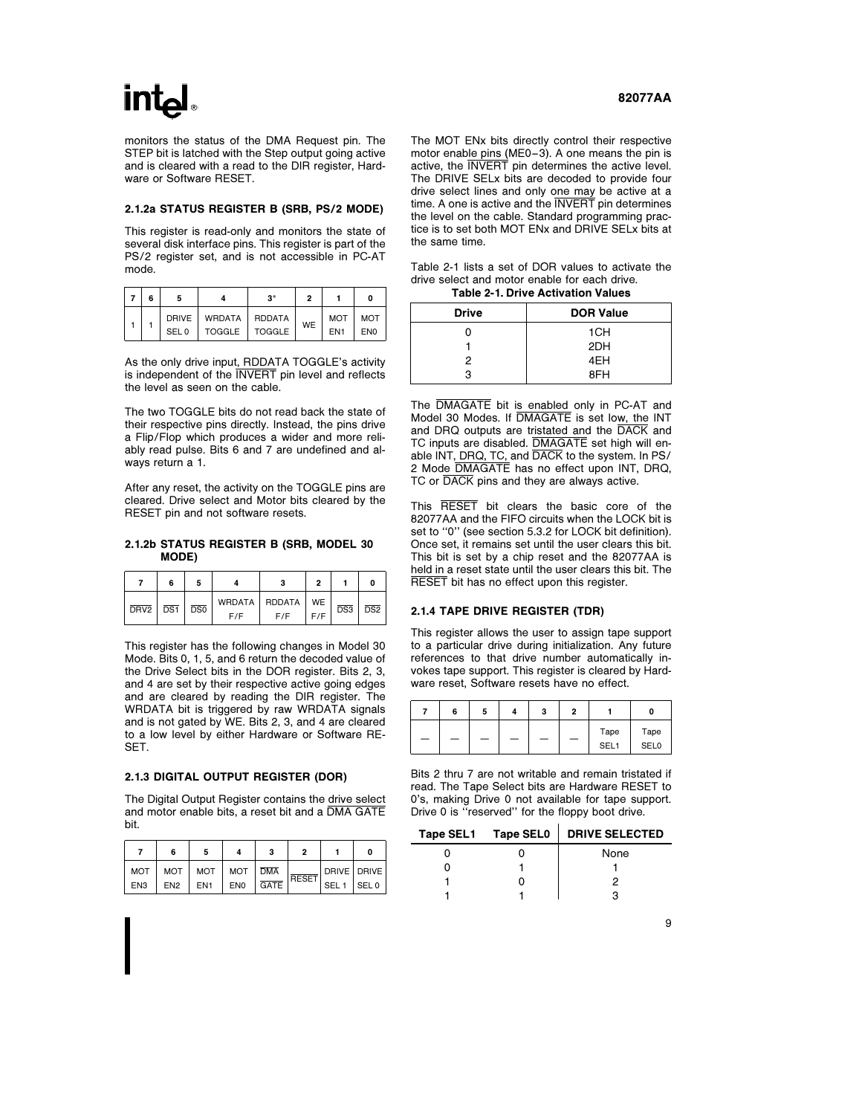monitors the status of the DMA Request pin. The STEP bit is latched with the Step output going active and is cleared with a read to the DIR register, Hardware or Software RESET.

#### 2.1.2a STATUS REGISTER B (SRB, PS/2 MODE)

This register is read-only and monitors the state of several disk interface pins. This register is part of the PS/2 register set, and is not accessible in PC-AT mode.

| 6 |       |                         | $\mathbf{a}^*$ | ,  |                 |                 |
|---|-------|-------------------------|----------------|----|-----------------|-----------------|
|   |       | DRIVE   WRDATA   RDDATA |                | WE | <b>MOT</b>      | <b>MOT</b>      |
|   | SEL 0 | TOGGLE   TOGGLE         |                |    | EN <sub>1</sub> | EN <sub>0</sub> |

As the only drive input, RDDATA TOGGLE's activity is independent of the INVERT pin level and reflects the level as seen on the cable.

The two TOGGLE bits do not read back the state of their respective pins directly. Instead, the pins drive a Flip/Flop which produces a wider and more reliably read pulse. Bits 6 and 7 are undefined and always return a 1.

After any reset, the activity on the TOGGLE pins are cleared. Drive select and Motor bits cleared by the RESET pin and not software resets.

#### 2.1.2b STATUS REGISTER B (SRB, MODEL 30 MODE)

|                        | 6 |     |                               | ິ   |                  | 0                |
|------------------------|---|-----|-------------------------------|-----|------------------|------------------|
| $DRV2$   $DS1$   $DS0$ |   | F/F | WRDATA   RDDATA   WE  <br>F/F | F/F | $\overline{DS3}$ | $\overline{DS2}$ |

This register has the following changes in Model 30 Mode. Bits 0, 1, 5, and 6 return the decoded value of the Drive Select bits in the DOR register. Bits 2, 3, and 4 are set by their respective active going edges and are cleared by reading the DIR register. The WRDATA bit is triggered by raw WRDATA signals and is not gated by WE. Bits 2, 3, and 4 are cleared to a low level by either Hardware or Software RE-SET.

#### 2.1.3 DIGITAL OUTPUT REGISTER (DOR)

The Digital Output Register contains the drive select and motor enable bits, a reset bit and a DMA GATE bit.

|     | 6                           | 5   |         |      | ,     |                  |  |
|-----|-----------------------------|-----|---------|------|-------|------------------|--|
|     | MOT   MOT   MOT   MOT   DMA |     |         |      | RESET | _  DRIVE   DRIVE |  |
| EN3 | FN2                         | EN1 | $ $ ENO | GATE |       | SEL 1   SEL 0    |  |

The MOT ENx bits directly control their respective motor enable pins (ME0 $-3$ ). A one means the pin is active, the INVERT pin determines the active level. The DRIVE SELx bits are decoded to provide four drive select lines and only one may be active at a time. A one is active and the INVERT pin determines the level on the cable. Standard programming practice is to set both MOT ENx and DRIVE SELx bits at the same time.

Table 2-1 lists a set of DOR values to activate the drive select and motor enable for each drive.

Table 2-1. Drive Activation Values

| <b>Drive</b> | <b>DOR Value</b> |
|--------------|------------------|
| n            | 1CH              |
|              | 2DH              |
| 2            | 4EH              |
| з            | 8FH              |

The DMAGATE bit is enabled only in PC-AT and Model 30 Modes. If DMAGATE is set low, the INT and DRQ outputs are tristated and the DACK and TC inputs are disabled. DMAGATE set high will enable INT, DRQ, TC, and DACK to the system. In PS/ 2 Mode DMAGATE has no effect upon INT, DRQ, TC or DACK pins and they are always active.

This RESET bit clears the basic core of the 82077AA and the FIFO circuits when the LOCK bit is set to "0" (see section 5.3.2 for LOCK bit definition). Once set, it remains set until the user clears this bit. This bit is set by a chip reset and the 82077AA is held in a reset state until the user clears this bit. The RESET bit has no effect upon this register.

#### 2.1.4 TAPE DRIVE REGISTER (TDR)

This register allows the user to assign tape support to a particular drive during initialization. Any future references to that drive number automatically invokes tape support. This register is cleared by Hardware reset, Software resets have no effect.

|   | 6 | э | 3 | c |                          |                     |
|---|---|---|---|---|--------------------------|---------------------|
| - |   |   | - |   | Tape<br>SEL <sub>1</sub> | Tape<br><b>SEL0</b> |

Bits 2 thru 7 are not writable and remain tristated if read. The Tape Select bits are Hardware RESET to 0's, making Drive 0 not available for tape support. Drive 0 is ''reserved'' for the floppy boot drive.

| Tape SEL1 Tape SEL0 | <b>DRIVE SELECTED</b> |
|---------------------|-----------------------|
|                     | None                  |
|                     |                       |
|                     |                       |
|                     |                       |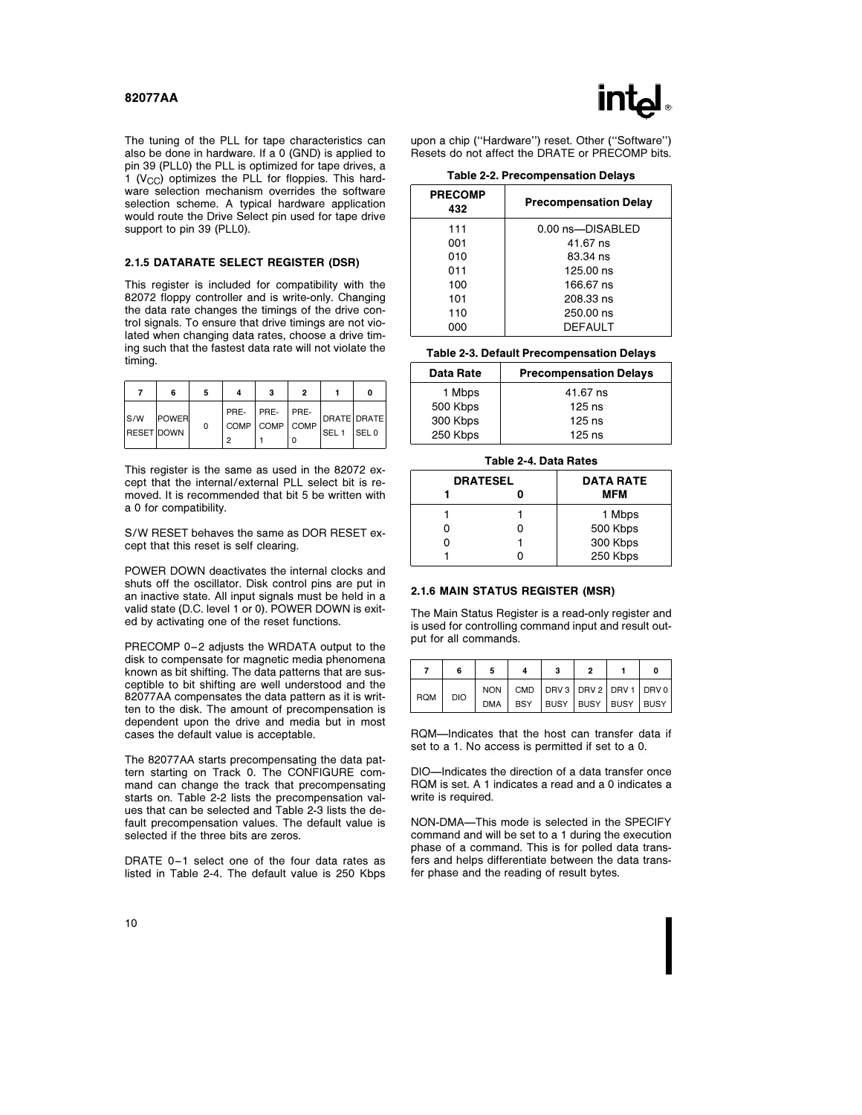

The tuning of the PLL for tape characteristics can also be done in hardware. If a 0 (GND) is applied to pin 39 (PLL0) the PLL is optimized for tape drives, a 1 ( $V_{CC}$ ) optimizes the PLL for floppies. This hardware selection mechanism overrides the software selection scheme. A typical hardware application would route the Drive Select pin used for tape drive support to pin 39 (PLL0).

#### 2.1.5 DATARATE SELECT REGISTER (DSR)

This register is included for compatibility with the 82072 floppy controller and is write-only. Changing the data rate changes the timings of the drive control signals. To ensure that drive timings are not violated when changing data rates, choose a drive timing such that the fastest data rate will not violate the timing.

|                           | 6            | 5 |           | 3                                   |   |                                 | ŋ                |
|---------------------------|--------------|---|-----------|-------------------------------------|---|---------------------------------|------------------|
| ls/w<br><b>RESET DOWN</b> | <b>POWER</b> | 0 | PRE-<br>2 | $ $ PRE- $ $ PRE-<br>COMP COMP COMP | O | DRATE DRATE<br>SEL <sub>1</sub> | SEL <sub>0</sub> |

This register is the same as used in the 82072 except that the internal/external PLL select bit is removed. It is recommended that bit 5 be written with a 0 for compatibility.

S/W RESET behaves the same as DOR RESET except that this reset is self clearing.

POWER DOWN deactivates the internal clocks and shuts off the oscillator. Disk control pins are put in an inactive state. All input signals must be held in a valid state (D.C. level 1 or 0). POWER DOWN is exited by activating one of the reset functions.

PRECOMP 0-2 adjusts the WRDATA output to the disk to compensate for magnetic media phenomena known as bit shifting. The data patterns that are susceptible to bit shifting are well understood and the 82077AA compensates the data pattern as it is written to the disk. The amount of precompensation is dependent upon the drive and media but in most cases the default value is acceptable.

The 82077AA starts precompensating the data pattern starting on Track 0. The CONFIGURE command can change the track that precompensating starts on. Table 2-2 lists the precompensation values that can be selected and Table 2-3 lists the default precompensation values. The default value is selected if the three bits are zeros.

DRATE 0-1 select one of the four data rates as listed in Table 2-4. The default value is 250 Kbps upon a chip (''Hardware'') reset. Other (''Software'') Resets do not affect the DRATE or PRECOMP bits.

#### Table 2-2. Precompensation Delays

| <b>PRECOMP</b><br>432 | <b>Precompensation Delay</b> |
|-----------------------|------------------------------|
| 111                   | 0.00 ns-DISABLED             |
| 001                   | 41.67 ns                     |
| 010                   | 83.34 ns                     |
| 011                   | 125.00 ns                    |
| 100                   | 166.67 ns                    |
| 101                   | 208.33 ns                    |
| 110                   | 250.00 ns                    |
| റററ                   | DEFAULT                      |

#### Table 2-3. Default Precompensation Delays

| Data Rate | <b>Precompensation Delays</b> |
|-----------|-------------------------------|
| 1 Mbps    | 41.67 ns                      |
| 500 Kbps  | $125$ ns                      |
| 300 Kbps  | $125$ ns                      |
| 250 Kbps  | $125$ ns                      |

#### Table 2-4. Data Rates

| <b>DRATESEL</b> | <b>DATA RATE</b> |
|-----------------|------------------|
|                 | MFM              |
|                 | 1 Mbps           |
|                 | 500 Kbps         |
|                 | 300 Kbps         |
|                 | 250 Kbps         |

#### 2.1.6 MAIN STATUS REGISTER (MSR)

The Main Status Register is a read-only register and is used for controlling command input and result output for all commands.

|            | 6          | 5 | 3                                         | 2 | ŋ |
|------------|------------|---|-------------------------------------------|---|---|
| <b>RQM</b> | <b>DIO</b> |   | NON   CMD   DRV 3   DRV 2   DRV 1   DRV 0 |   |   |
|            |            |   | DMA BSY BUSY BUSY BUSY BUSY               |   |   |

RQM-Indicates that the host can transfer data if set to a 1. No access is permitted if set to a 0.

DIO-Indicates the direction of a data transfer once RQM is set. A 1 indicates a read and a 0 indicates a write is required.

NON-DMA-This mode is selected in the SPECIFY command and will be set to a 1 during the execution phase of a command. This is for polled data transfers and helps differentiate between the data transfer phase and the reading of result bytes.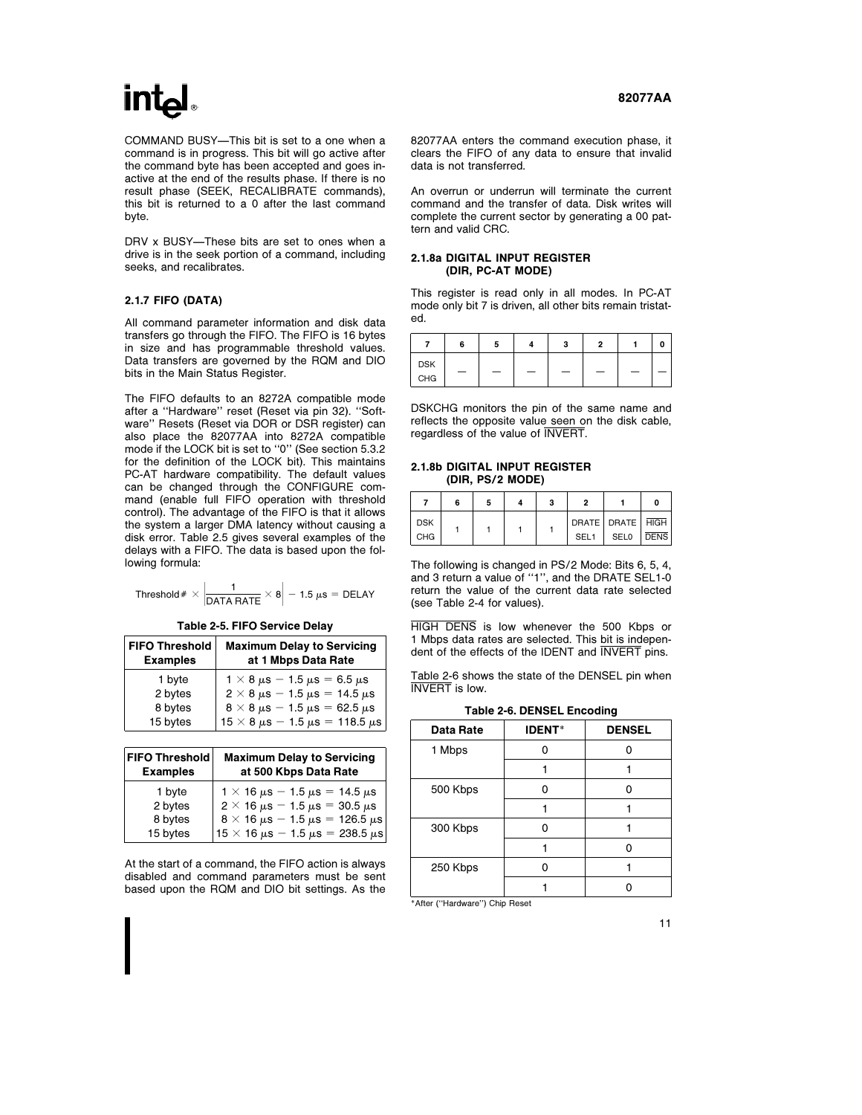COMMAND BUSY-This bit is set to a one when a command is in progress. This bit will go active after the command byte has been accepted and goes inactive at the end of the results phase. If there is no result phase (SEEK, RECALIBRATE commands), this bit is returned to a 0 after the last command byte.

DRV x BUSY-These bits are set to ones when a drive is in the seek portion of a command, including seeks, and recalibrates.

#### 2.1.7 FIFO (DATA)

All command parameter information and disk data transfers go through the FIFO. The FIFO is 16 bytes in size and has programmable threshold values. Data transfers are governed by the RQM and DIO bits in the Main Status Register.

The FIFO defaults to an 8272A compatible mode after a ''Hardware'' reset (Reset via pin 32). ''Software'' Resets (Reset via DOR or DSR register) can also place the 82077AA into 8272A compatible mode if the LOCK bit is set to ''0'' (See section 5.3.2 for the definition of the LOCK bit). This maintains PC-AT hardware compatibility. The default values can be changed through the CONFIGURE command (enable full FIFO operation with threshold control). The advantage of the FIFO is that it allows the system a larger DMA latency without causing a disk error. Table 2.5 gives several examples of the delays with a FIFO. The data is based upon the following formula:

Threshold  $\#\times\left|\frac{1}{\mathsf{DATA}\,\mathsf{RATE}}\times8\right|-1.5~\mu\mathrm{s}=\mathsf{DELAY}$ 

Table 2-5. FIFO Service Delay

| <b>FIFO Threshold</b><br><b>Examples</b> | <b>Maximum Delay to Servicing</b><br>at 1 Mbps Data Rate |
|------------------------------------------|----------------------------------------------------------|
| 1 byte                                   | $1 \times 8 \,\mu s - 1.5 \,\mu s = 6.5 \,\mu s$         |
| 2 bytes                                  | $2 \times 8 \,\mu s - 1.5 \,\mu s = 14.5 \,\mu s$        |
| 8 bytes                                  | $8 \times 8 \,\mu s - 1.5 \,\mu s = 62.5 \,\mu s$        |
| 15 bytes                                 | $15 \times 8 \,\mu s - 1.5 \,\mu s = 118.5 \,\mu s$      |

| <b>FIFO Threshold</b><br><b>Examples</b> | <b>Maximum Delay to Servicing</b><br>at 500 Kbps Data Rate |
|------------------------------------------|------------------------------------------------------------|
| 1 byte                                   | $1 \times 16 \,\mu s - 1.5 \,\mu s = 14.5 \,\mu s$         |
| 2 bytes                                  | $2 \times 16 \,\mu s - 1.5 \,\mu s = 30.5 \,\mu s$         |
| 8 bytes                                  | $8 \times 16 \,\mu s - 1.5 \,\mu s = 126.5 \,\mu s$        |
| 15 bytes                                 | $15 \times 16 \,\mu s - 1.5 \,\mu s = 238.5 \,\mu s$       |

At the start of a command, the FIFO action is always disabled and command parameters must be sent based upon the RQM and DIO bit settings. As the 82077AA enters the command execution phase, it clears the FIFO of any data to ensure that invalid data is not transferred.

An overrun or underrun will terminate the current command and the transfer of data. Disk writes will complete the current sector by generating a 00 pattern and valid CRC.

#### 2.1.8a DIGITAL INPUT REGISTER (DIR, PC-AT MODE)

This register is read only in all modes. In PC-AT mode only bit 7 is driven, all other bits remain tristated.

|            | 6 | 5 |   | з | o |   |  |
|------------|---|---|---|---|---|---|--|
| <b>DSK</b> | - | - | - |   | _ | - |  |
| CHG        |   |   |   |   |   |   |  |

DSKCHG monitors the pin of the same name and reflects the opposite value seen on the disk cable, regardless of the value of INVERT.

#### 2.1.8b DIGITAL INPUT REGISTER (DIR, PS/2 MODE)

|                          | 6 |  | o                                        |             |             |
|--------------------------|---|--|------------------------------------------|-------------|-------------|
| <b>DSK</b><br><b>CHG</b> |   |  | DRATE   DRATE   HIGH<br>SEL <sub>1</sub> | <b>SEL0</b> | <b>DENS</b> |

The following is changed in PS/2 Mode: Bits 6, 5, 4, and 3 return a value of ''1'', and the DRATE SEL1-0 return the value of the current data rate selected (see Table 2-4 for values).

HIGH DENS is low whenever the 500 Kbps or 1 Mbps data rates are selected. This bit is independent of the effects of the IDENT and INVERT pins.

Table 2-6 shows the state of the DENSEL pin when INVERT is low.

Table 2-6. DENSEL Encoding

| Data Rate | <b>IDENT*</b> | <b>DENSEL</b> |  |  |
|-----------|---------------|---------------|--|--|
| 1 Mbps    | n             |               |  |  |
|           |               |               |  |  |
| 500 Kbps  | n             | n             |  |  |
|           |               |               |  |  |
| 300 Kbps  | n             |               |  |  |
|           |               | n             |  |  |
| 250 Kbps  | n             |               |  |  |
|           |               |               |  |  |
|           |               |               |  |  |

\*After (''Hardware'') Chip Reset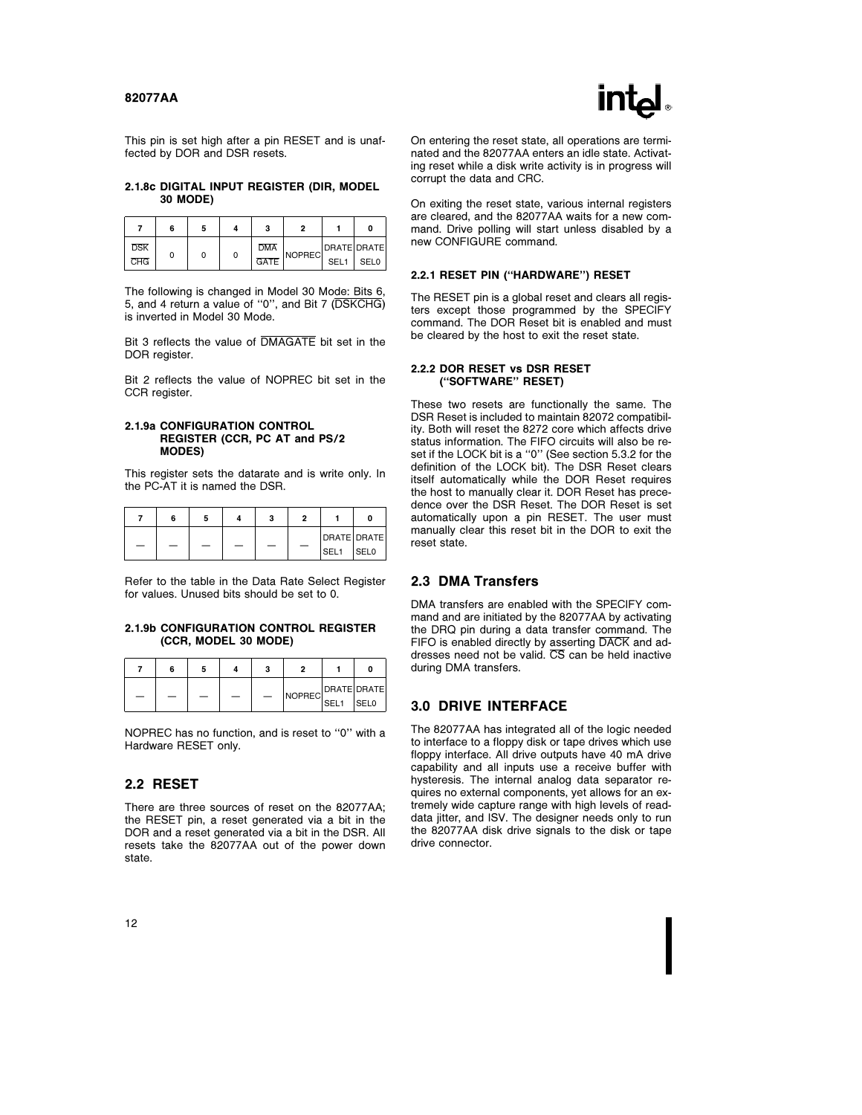

This pin is set high after a pin RESET and is unaffected by DOR and DSR resets.

#### 2.1.8c DIGITAL INPUT REGISTER (DIR, MODEL 30 MODE)

|            | 6 | э |   |            |        |                  | n           |
|------------|---|---|---|------------|--------|------------------|-------------|
| <b>DSK</b> |   |   |   | <b>DMA</b> |        |                  | DRATE DRATE |
| <b>CHG</b> |   |   | 0 | GATE       | NOPREC | SEL <sub>1</sub> | SFL0        |

The following is changed in Model 30 Mode: Bits 6, 5, and 4 return a value of ''0'', and Bit 7 (DSKCHG) is inverted in Model 30 Mode.

Bit 3 reflects the value of DMAGATE bit set in the DOR register.

Bit 2 reflects the value of NOPREC bit set in the CCR register.

#### 2.1.9a CONFIGURATION CONTROL REGISTER (CCR, PC AT and PS/2 MODES)

This register sets the datarate and is write only. In the PC-AT it is named the DSR.

|  | n | ຸ | c |                            |             |
|--|---|---|---|----------------------------|-------------|
|  |   | ۰ |   | DRATE DRATE<br><b>SEL1</b> | <b>SELO</b> |

Refer to the table in the Data Rate Select Register for values. Unused bits should be set to 0.

#### 2.1.9b CONFIGURATION CONTROL REGISTER (CCR, MODEL 30 MODE)

|  |  | 3 |             |             |
|--|--|---|-------------|-------------|
|  |  |   |             | DRATE DRATE |
|  |  |   | NOPREC SEL1 | <b>SELO</b> |

NOPREC has no function, and is reset to ''0'' with a Hardware RESET only.

### 2.2 RESET

There are three sources of reset on the 82077AA; the RESET pin, a reset generated via a bit in the DOR and a reset generated via a bit in the DSR. All resets take the 82077AA out of the power down state.

On entering the reset state, all operations are terminated and the 82077AA enters an idle state. Activating reset while a disk write activity is in progress will corrupt the data and CRC.

On exiting the reset state, various internal registers are cleared, and the 82077AA waits for a new command. Drive polling will start unless disabled by a new CONFIGURE command.

#### 2.2.1 RESET PIN (''HARDWARE'') RESET

The RESET pin is a global reset and clears all registers except those programmed by the SPECIFY command. The DOR Reset bit is enabled and must be cleared by the host to exit the reset state.

#### 2.2.2 DOR RESET vs DSR RESET (''SOFTWARE'' RESET)

These two resets are functionally the same. The DSR Reset is included to maintain 82072 compatibility. Both will reset the 8272 core which affects drive status information. The FIFO circuits will also be reset if the LOCK bit is a "0" (See section 5.3.2 for the definition of the LOCK bit). The DSR Reset clears itself automatically while the DOR Reset requires the host to manually clear it. DOR Reset has precedence over the DSR Reset. The DOR Reset is set automatically upon a pin RESET. The user must manually clear this reset bit in the DOR to exit the reset state.

### 2.3 DMA Transfers

DMA transfers are enabled with the SPECIFY command and are initiated by the 82077AA by activating the DRQ pin during a data transfer command. The FIFO is enabled directly by asserting DACK and addresses need not be valid.  $\overline{\text{CS}}$  can be held inactive during DMA transfers.

#### 3.0 DRIVE INTERFACE

The 82077AA has integrated all of the logic needed to interface to a floppy disk or tape drives which use floppy interface. All drive outputs have 40 mA drive capability and all inputs use a receive buffer with hysteresis. The internal analog data separator requires no external components, yet allows for an extremely wide capture range with high levels of readdata jitter, and ISV. The designer needs only to run the 82077AA disk drive signals to the disk or tape drive connector.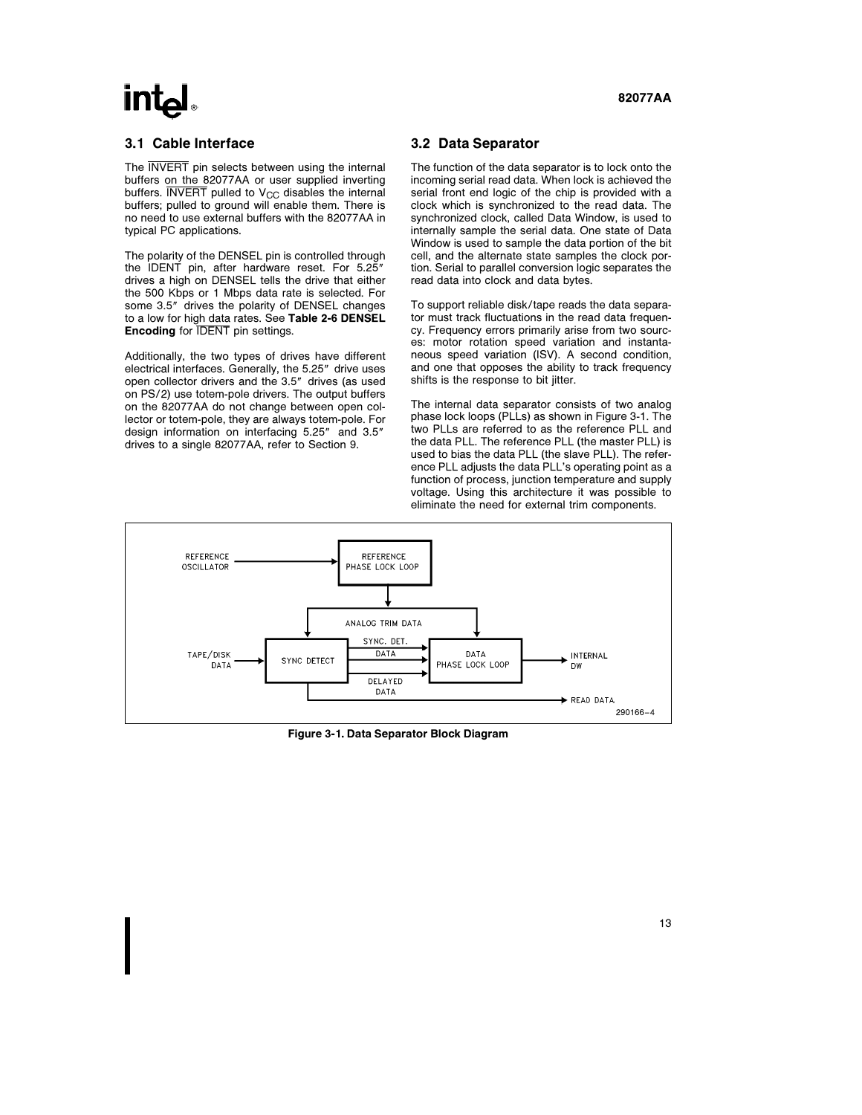# **Intal**

The **INVERT** pin selects between using the internal buffers on the 82077AA or user supplied inverting buffers.  $\overline{\text{INVERT}}$  pulled to  $\text{V}_{\text{CC}}$  disables the internal buffers; pulled to ground will enable them. There is no need to use external buffers with the 82077AA in typical PC applications.

The polarity of the DENSEL pin is controlled through the IDENT pin, after hardware reset. For 5.25" drives a high on DENSEL tells the drive that either the 500 Kbps or 1 Mbps data rate is selected. For some 3.5" drives the polarity of DENSEL changes to a low for high data rates. See Table 2-6 DENSEL **Encoding for IDENT** pin settings.

Additionally, the two types of drives have different electrical interfaces. Generally, the 5.25" drive uses open collector drivers and the 3.5" drives (as used on PS/2) use totem-pole drivers. The output buffers on the 82077AA do not change between open collector or totem-pole, they are always totem-pole. For design information on interfacing 5.25" and 3.5" drives to a single 82077AA, refer to Section 9.

### 3.2 Data Separator

The function of the data separator is to lock onto the incoming serial read data. When lock is achieved the serial front end logic of the chip is provided with a clock which is synchronized to the read data. The synchronized clock, called Data Window, is used to internally sample the serial data. One state of Data Window is used to sample the data portion of the bit cell, and the alternate state samples the clock portion. Serial to parallel conversion logic separates the read data into clock and data bytes.

To support reliable disk/tape reads the data separator must track fluctuations in the read data frequency. Frequency errors primarily arise from two sources: motor rotation speed variation and instantaneous speed variation (ISV). A second condition, and one that opposes the ability to track frequency shifts is the response to bit jitter.

The internal data separator consists of two analog phase lock loops (PLLs) as shown in Figure 3-1. The two PLLs are referred to as the reference PLL and the data PLL. The reference PLL (the master PLL) is used to bias the data PLL (the slave PLL). The reference PLL adjusts the data PLL's operating point as a function of process, junction temperature and supply voltage. Using this architecture it was possible to eliminate the need for external trim components.



Figure 3-1. Data Separator Block Diagram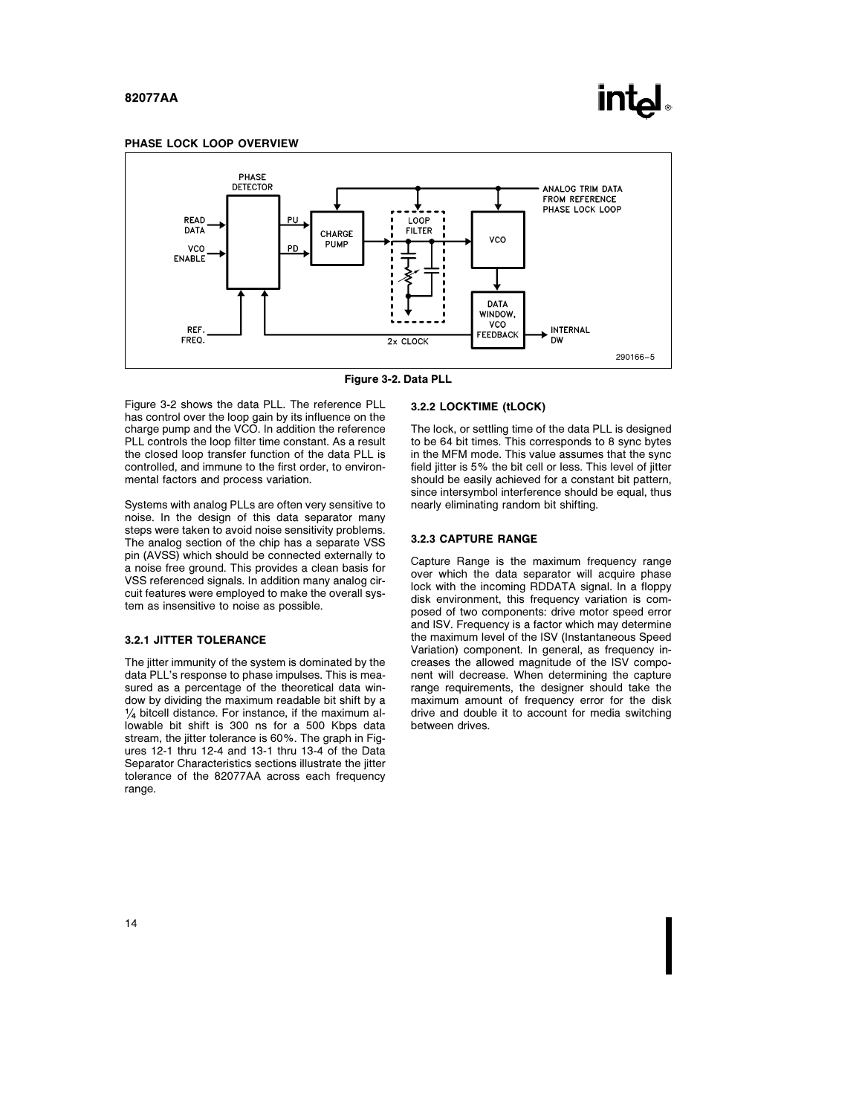

#### PHASE LOCK LOOP OVERVIEW



Figure 3-2. Data PLL

Figure 3-2 shows the data PLL. The reference PLL has control over the loop gain by its influence on the charge pump and the VCO. In addition the reference PLL controls the loop filter time constant. As a result the closed loop transfer function of the data PLL is controlled, and immune to the first order, to environmental factors and process variation.

Systems with analog PLLs are often very sensitive to noise. In the design of this data separator many steps were taken to avoid noise sensitivity problems. The analog section of the chip has a separate VSS pin (AVSS) which should be connected externally to a noise free ground. This provides a clean basis for VSS referenced signals. In addition many analog circuit features were employed to make the overall system as insensitive to noise as possible.

#### 3.2.1 JITTER TOLERANCE

The jitter immunity of the system is dominated by the data PLL's response to phase impulses. This is measured as a percentage of the theoretical data window by dividing the maximum readable bit shift by a  $\frac{1}{4}$  bitcell distance. For instance, if the maximum allowable bit shift is 300 ns for a 500 Kbps data stream, the jitter tolerance is 60%. The graph in Figures 12-1 thru 12-4 and 13-1 thru 13-4 of the Data Separator Characteristics sections illustrate the jitter tolerance of the 82077AA across each frequency range.

#### 3.2.2 LOCKTIME (tLOCK)

The lock, or settling time of the data PLL is designed to be 64 bit times. This corresponds to 8 sync bytes in the MFM mode. This value assumes that the sync field jitter is 5% the bit cell or less. This level of jitter should be easily achieved for a constant bit pattern, since intersymbol interference should be equal, thus nearly eliminating random bit shifting.

#### 3.2.3 CAPTURE RANGE

Capture Range is the maximum frequency range over which the data separator will acquire phase lock with the incoming RDDATA signal. In a floppy disk environment, this frequency variation is composed of two components: drive motor speed error and ISV. Frequency is a factor which may determine the maximum level of the ISV (Instantaneous Speed Variation) component. In general, as frequency increases the allowed magnitude of the ISV component will decrease. When determining the capture range requirements, the designer should take the maximum amount of frequency error for the disk drive and double it to account for media switching between drives.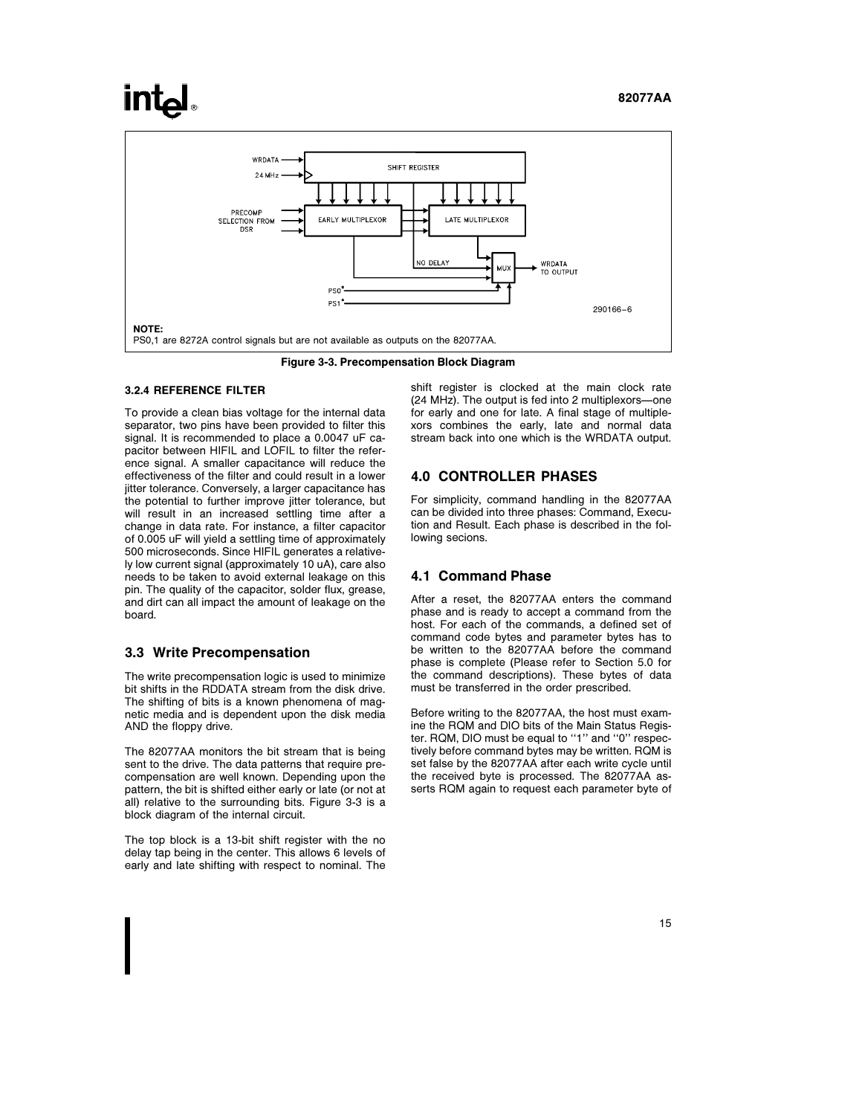# **intel**



Figure 3-3. Precompensation Block Diagram

#### 3.2.4 REFERENCE FILTER

To provide a clean bias voltage for the internal data separator, two pins have been provided to filter this signal. It is recommended to place a 0.0047 uF capacitor between HIFIL and LOFIL to filter the reference signal. A smaller capacitance will reduce the effectiveness of the filter and could result in a lower jitter tolerance. Conversely, a larger capacitance has the potential to further improve jitter tolerance, but will result in an increased settling time after a change in data rate. For instance, a filter capacitor of 0.005 uF will yield a settling time of approximately 500 microseconds. Since HIFIL generates a relatively low current signal (approximately 10 uA), care also needs to be taken to avoid external leakage on this pin. The quality of the capacitor, solder flux, grease, and dirt can all impact the amount of leakage on the board.

#### 3.3 Write Precompensation

The write precompensation logic is used to minimize bit shifts in the RDDATA stream from the disk drive. The shifting of bits is a known phenomena of magnetic media and is dependent upon the disk media AND the floppy drive.

The 82077AA monitors the bit stream that is being sent to the drive. The data patterns that require precompensation are well known. Depending upon the pattern, the bit is shifted either early or late (or not at all) relative to the surrounding bits. Figure 3-3 is a block diagram of the internal circuit.

The top block is a 13-bit shift register with the no delay tap being in the center. This allows 6 levels of early and late shifting with respect to nominal. The shift register is clocked at the main clock rate (24 MHz). The output is fed into 2 multiplexors-one for early and one for late. A final stage of multiplexors combines the early, late and normal data stream back into one which is the WRDATA output.

#### 4.0 CONTROLLER PHASES

For simplicity, command handling in the 82077AA can be divided into three phases: Command, Execution and Result. Each phase is described in the following secions.

#### 4.1 Command Phase

After a reset, the 82077AA enters the command phase and is ready to accept a command from the host. For each of the commands, a defined set of command code bytes and parameter bytes has to be written to the 82077AA before the command phase is complete (Please refer to Section 5.0 for the command descriptions). These bytes of data must be transferred in the order prescribed.

Before writing to the 82077AA, the host must examine the RQM and DIO bits of the Main Status Register. RQM, DIO must be equal to ''1'' and ''0'' respectively before command bytes may be written. RQM is set false by the 82077AA after each write cycle until the received byte is processed. The 82077AA asserts RQM again to request each parameter byte of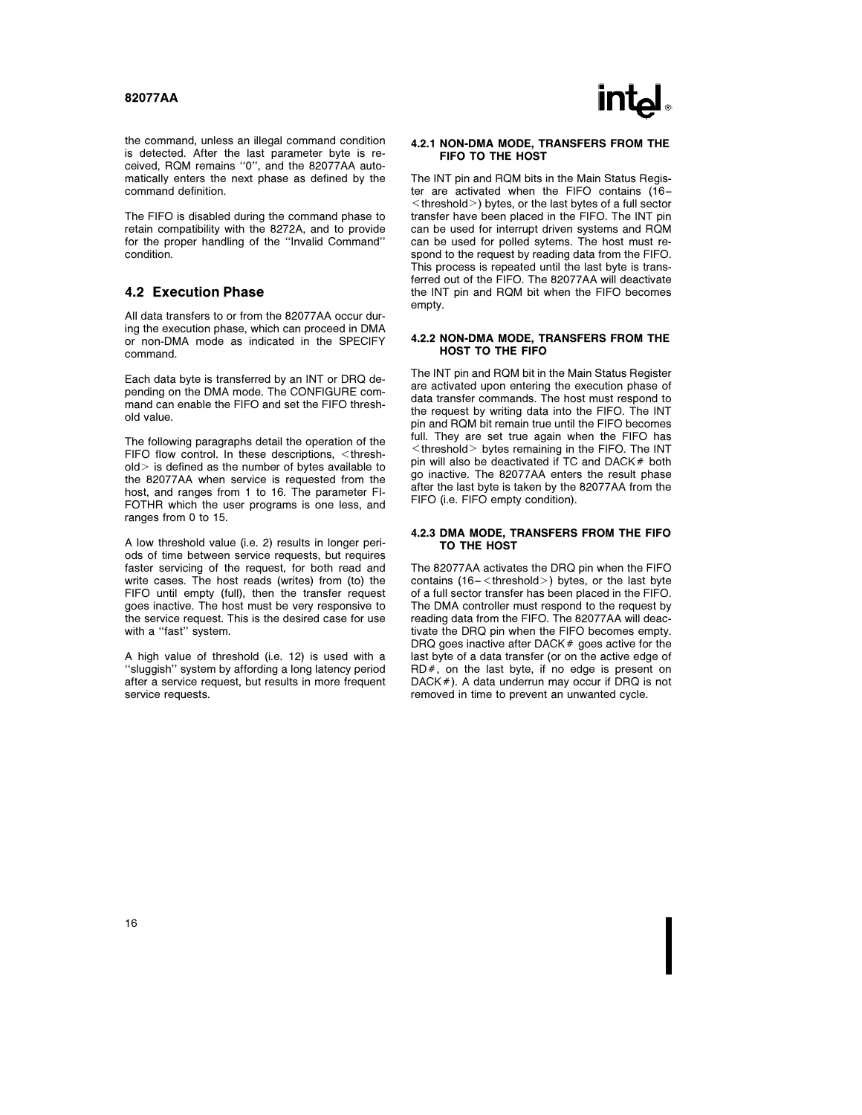the command, unless an illegal command condition is detected. After the last parameter byte is received, RQM remains ''0'', and the 82077AA automatically enters the next phase as defined by the command definition.

The FIFO is disabled during the command phase to retain compatibility with the 8272A, and to provide for the proper handling of the ''Invalid Command'' condition.

#### 4.2 Execution Phase

All data transfers to or from the 82077AA occur during the execution phase, which can proceed in DMA or non-DMA mode as indicated in the SPECIFY command.

Each data byte is transferred by an INT or DRQ depending on the DMA mode. The CONFIGURE command can enable the FIFO and set the FIFO threshold value.

The following paragraphs detail the operation of the  $FIFO$  flow control. In these descriptions,  $\leq$ thresh $old$  is defined as the number of bytes available to the 82077AA when service is requested from the host, and ranges from 1 to 16. The parameter FI-FOTHR which the user programs is one less, and ranges from 0 to 15.

A low threshold value (i.e. 2) results in longer periods of time between service requests, but requires faster servicing of the request, for both read and write cases. The host reads (writes) from (to) the FIFO until empty (full), then the transfer request goes inactive. The host must be very responsive to the service request. This is the desired case for use with a "fast" system.

A high value of threshold (i.e. 12) is used with a ''sluggish'' system by affording a long latency period after a service request, but results in more frequent service requests.

#### 4.2.1 NON-DMA MODE, TRANSFERS FROM THE FIFO TO THE HOST

The INT pin and RQM bits in the Main Status Register are activated when the FIFO contains (16 –  $k$  -threshold  $>$  ) bytes, or the last bytes of a full sector transfer have been placed in the FIFO. The INT pin can be used for interrupt driven systems and RQM can be used for polled sytems. The host must respond to the request by reading data from the FIFO. This process is repeated until the last byte is transferred out of the FIFO. The 82077AA will deactivate the INT pin and RQM bit when the FIFO becomes empty.

#### 4.2.2 NON-DMA MODE, TRANSFERS FROM THE HOST TO THE FIFO

The INT pin and RQM bit in the Main Status Register are activated upon entering the execution phase of data transfer commands. The host must respond to the request by writing data into the FIFO. The INT pin and RQM bit remain true until the FIFO becomes full. They are set true again when the FIFO has  $\leq$ threshold $\geq$  bytes remaining in the FIFO. The INT pin will also be deactivated if  $TC$  and  $DACK#$  both go inactive. The 82077AA enters the result phase after the last byte is taken by the 82077AA from the FIFO (i.e. FIFO empty condition).

#### 4.2.3 DMA MODE, TRANSFERS FROM THE FIFO TO THE HOST

The 82077AA activates the DRQ pin when the FIFO contains  $(16 - \text{threshold}>)$  bytes, or the last byte of a full sector transfer has been placed in the FIFO. The DMA controller must respond to the request by reading data from the FIFO. The 82077AA will deactivate the DRQ pin when the FIFO becomes empty. DRQ goes inactive after DACK $#$  goes active for the last byte of a data transfer (or on the active edge of  $RD#$ , on the last byte, if no edge is present on  $DACK#$ ). A data underrun may occur if DRQ is not removed in time to prevent an unwanted cycle.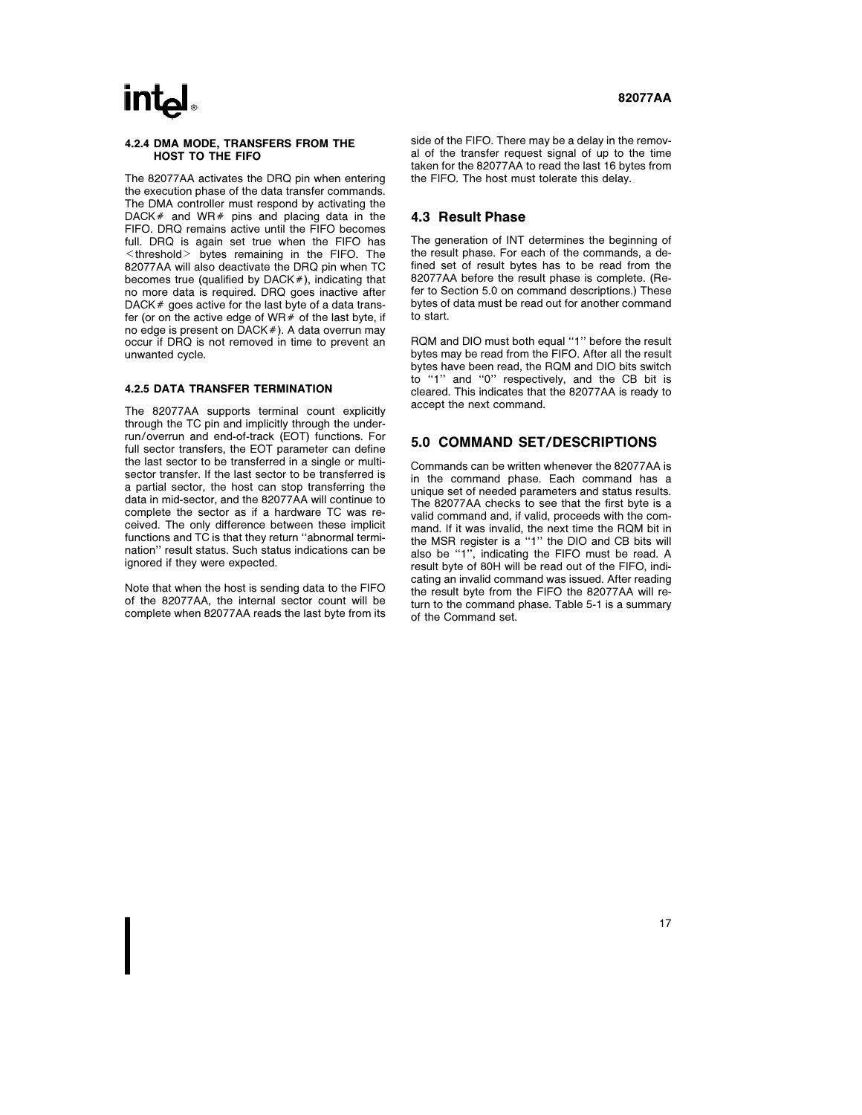# **intal**

#### 4.2.4 DMA MODE, TRANSFERS FROM THE HOST TO THE FIFO

The 82077AA activates the DRQ pin when entering the execution phase of the data transfer commands. The DMA controller must respond by activating the DACK $#$  and WR $#$  pins and placing data in the FIFO. DRQ remains active until the FIFO becomes full. DRQ is again set true when the FIFO has  $\leq$  threshold  $>$  bytes remaining in the FIFO. The 82077AA will also deactivate the DRQ pin when TC becomes true (qualified by  $DACK#$ ), indicating that no more data is required. DRQ goes inactive after DACK  $#$  goes active for the last byte of a data transfer (or on the active edge of WR $#$  of the last byte, if no edge is present on  $DACK#$ ). A data overrun may occur if DRQ is not removed in time to prevent an unwanted cycle.

#### 4.2.5 DATA TRANSFER TERMINATION

The 82077AA supports terminal count explicitly through the TC pin and implicitly through the underrun/overrun and end-of-track (EOT) functions. For full sector transfers, the EOT parameter can define the last sector to be transferred in a single or multisector transfer. If the last sector to be transferred is a partial sector, the host can stop transferring the data in mid-sector, and the 82077AA will continue to complete the sector as if a hardware TC was received. The only difference between these implicit functions and TC is that they return ''abnormal termination'' result status. Such status indications can be ignored if they were expected.

Note that when the host is sending data to the FIFO of the 82077AA, the internal sector count will be complete when 82077AA reads the last byte from its side of the FIFO. There may be a delay in the removal of the transfer request signal of up to the time taken for the 82077AA to read the last 16 bytes from the FIFO. The host must tolerate this delay.

#### 4.3 Result Phase

The generation of INT determines the beginning of the result phase. For each of the commands, a defined set of result bytes has to be read from the 82077AA before the result phase is complete. (Refer to Section 5.0 on command descriptions.) These bytes of data must be read out for another command to start.

RQM and DIO must both equal ''1'' before the result bytes may be read from the FIFO. After all the result bytes have been read, the RQM and DIO bits switch to ''1'' and ''0'' respectively, and the CB bit is cleared. This indicates that the 82077AA is ready to accept the next command.

#### 5.0 COMMAND SET/DESCRIPTIONS

Commands can be written whenever the 82077AA is in the command phase. Each command has a unique set of needed parameters and status results. The 82077AA checks to see that the first byte is a valid command and, if valid, proceeds with the command. If it was invalid, the next time the RQM bit in the MSR register is a ''1'' the DIO and CB bits will also be ''1'', indicating the FIFO must be read. A result byte of 80H will be read out of the FIFO, indicating an invalid command was issued. After reading the result byte from the FIFO the 82077AA will return to the command phase. Table 5-1 is a summary of the Command set.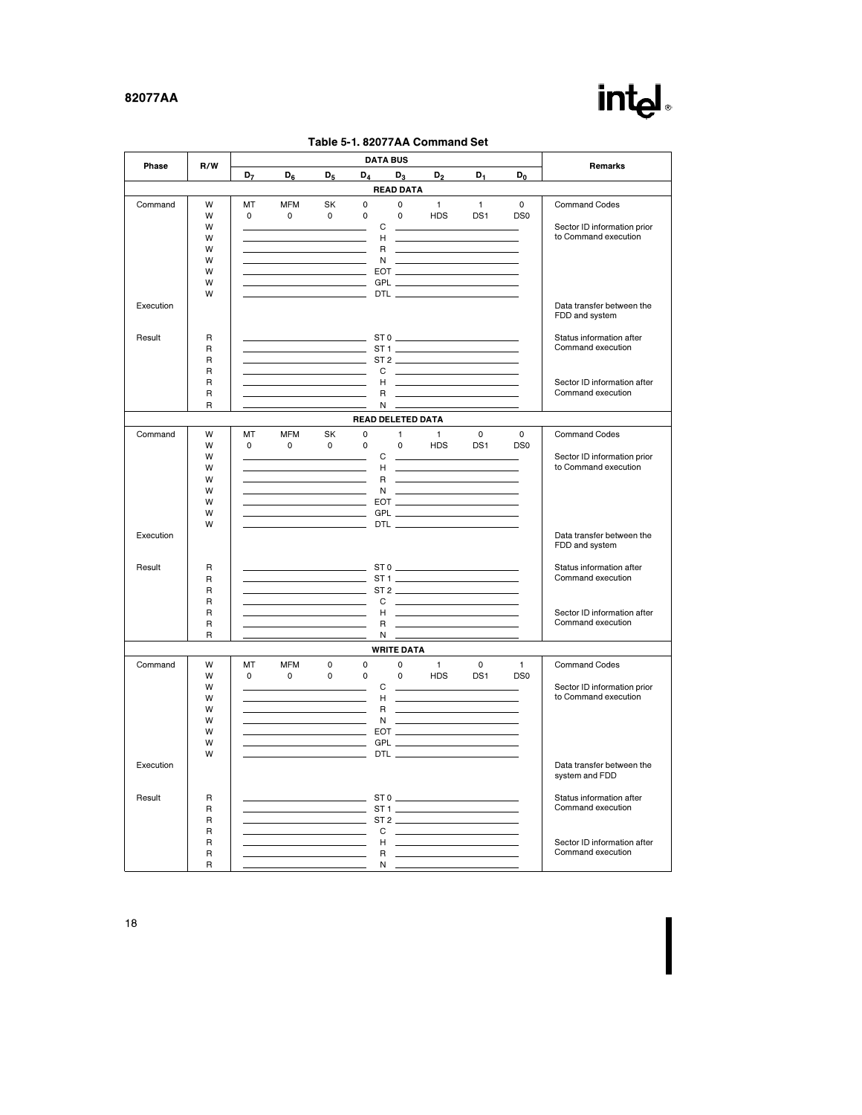# intel.

|  | Table 5-1. 82077AA Command Set |  |
|--|--------------------------------|--|
|  |                                |  |

|           | <b>DATA BUS</b><br>R/W<br>Phase |                |                                                                                                                                                                                                                                                       |                                   |                   |                   |                                                                                                                                                                                                                                                                                                                                                                                                                                                                         | Remarks         |                 |                                                     |
|-----------|---------------------------------|----------------|-------------------------------------------------------------------------------------------------------------------------------------------------------------------------------------------------------------------------------------------------------|-----------------------------------|-------------------|-------------------|-------------------------------------------------------------------------------------------------------------------------------------------------------------------------------------------------------------------------------------------------------------------------------------------------------------------------------------------------------------------------------------------------------------------------------------------------------------------------|-----------------|-----------------|-----------------------------------------------------|
|           |                                 | D <sub>7</sub> | $D_6$                                                                                                                                                                                                                                                 | $D_5$                             | $D_4$             | $D_3$             | $\mathsf{D}_2$                                                                                                                                                                                                                                                                                                                                                                                                                                                          | $D_1$           | $D_0$           |                                                     |
|           |                                 |                |                                                                                                                                                                                                                                                       |                                   |                   | <b>READ DATA</b>  |                                                                                                                                                                                                                                                                                                                                                                                                                                                                         |                 |                 |                                                     |
| Command   | W                               | MT             | <b>MFM</b>                                                                                                                                                                                                                                            | SK                                | $\Omega$          | $\Omega$          | $\mathbf{1}$                                                                                                                                                                                                                                                                                                                                                                                                                                                            | $\mathbf{1}$    | $\Omega$        | Command Codes                                       |
|           | W                               | 0              | $\mathsf{O}$                                                                                                                                                                                                                                          | $\mathbf 0$                       | $\mathbf 0$       | $\mathbf 0$       | <b>HDS</b>                                                                                                                                                                                                                                                                                                                                                                                                                                                              | DS <sub>1</sub> | DS <sub>0</sub> |                                                     |
|           | W                               |                |                                                                                                                                                                                                                                                       |                                   | C                 |                   |                                                                                                                                                                                                                                                                                                                                                                                                                                                                         |                 |                 | Sector ID information prior<br>to Command execution |
|           | W<br>W                          |                | <u> 1989 - Johann Barn, mars ann an t-Amhair an t-A</u>                                                                                                                                                                                               |                                   | H<br>$\mathsf{R}$ |                   | <u> 1980 - John Stone, mars and de la partie de la partie de la partie de la partie de la partie de la partie de l</u>                                                                                                                                                                                                                                                                                                                                                  |                 |                 |                                                     |
|           | W                               |                |                                                                                                                                                                                                                                                       |                                   |                   |                   | $N$ $\overline{\phantom{a}}$ $\overline{\phantom{a}}$ $\overline{\phantom{a}}$ $\overline{\phantom{a}}$ $\overline{\phantom{a}}$ $\overline{\phantom{a}}$ $\overline{\phantom{a}}$ $\overline{\phantom{a}}$ $\overline{\phantom{a}}$ $\overline{\phantom{a}}$ $\overline{\phantom{a}}$ $\overline{\phantom{a}}$ $\overline{\phantom{a}}$ $\overline{\phantom{a}}$ $\overline{\phantom{a}}$ $\overline{\phantom{a}}$ $\overline{\phantom{a}}$ $\overline{\phantom{a}}$   |                 |                 |                                                     |
|           | W                               |                | <u>EXECUTIVE CONTINUES AND RESIDENCE CONTINUES AND RESIDENCE CONTINUES AND RESIDENCE CONTINUES AND RESIDENCE CONTINUES AND RESIDENCE CONTINUES AND RESIDENCE CONTINUES AND RESIDENCE CONTINUES AND RESIDENCE CONTINUES AND RESID</u>                  |                                   |                   |                   |                                                                                                                                                                                                                                                                                                                                                                                                                                                                         |                 |                 |                                                     |
|           | W                               |                |                                                                                                                                                                                                                                                       |                                   |                   |                   |                                                                                                                                                                                                                                                                                                                                                                                                                                                                         |                 |                 |                                                     |
|           | W                               |                |                                                                                                                                                                                                                                                       |                                   |                   |                   |                                                                                                                                                                                                                                                                                                                                                                                                                                                                         |                 |                 |                                                     |
| Execution |                                 |                |                                                                                                                                                                                                                                                       |                                   |                   |                   |                                                                                                                                                                                                                                                                                                                                                                                                                                                                         |                 |                 | Data transfer between the<br>FDD and system         |
| Result    | R                               |                |                                                                                                                                                                                                                                                       | the control of the control of the |                   |                   |                                                                                                                                                                                                                                                                                                                                                                                                                                                                         |                 |                 | Status information after                            |
|           | $\mathsf{R}$                    |                |                                                                                                                                                                                                                                                       |                                   |                   |                   |                                                                                                                                                                                                                                                                                                                                                                                                                                                                         |                 |                 | Command execution                                   |
|           | $\overline{R}$                  |                |                                                                                                                                                                                                                                                       |                                   |                   |                   | <u>production of the contract of the contract of</u>                                                                                                                                                                                                                                                                                                                                                                                                                    |                 |                 |                                                     |
|           | $\mathsf{R}$<br>$\mathsf{R}$    |                | the control of the control of the control of the<br><u> 1990 - Jan Barbara Barbara, prima politika prima prima prima prima prima prima prima prima prima prima prima</u>                                                                              |                                   | C<br>H            |                   | <u> 1989 - Johann Barn, fransk politik amerikansk politik (</u>                                                                                                                                                                                                                                                                                                                                                                                                         |                 |                 | Sector ID information after                         |
|           | $\mathsf{R}$                    |                |                                                                                                                                                                                                                                                       |                                   | R                 |                   | <u> Louis Communication de la communica</u>                                                                                                                                                                                                                                                                                                                                                                                                                             |                 |                 | Command execution                                   |
|           | $\overline{R}$                  |                |                                                                                                                                                                                                                                                       |                                   | N                 |                   |                                                                                                                                                                                                                                                                                                                                                                                                                                                                         |                 |                 |                                                     |
|           |                                 |                |                                                                                                                                                                                                                                                       |                                   | READ DELETED DATA |                   |                                                                                                                                                                                                                                                                                                                                                                                                                                                                         |                 |                 |                                                     |
| Command   | W                               | MT             | <b>MFM</b>                                                                                                                                                                                                                                            | SK                                | $\mathbf 0$       | 1                 | $\mathbf{1}$                                                                                                                                                                                                                                                                                                                                                                                                                                                            | $\mathsf{O}$    | $\mathbf 0$     | Command Codes                                       |
|           | W                               | $\mathsf{o}$   | $\mathsf{o}$                                                                                                                                                                                                                                          | $\mathbf 0$                       | $\mathbf 0$       | $\Omega$          | <b>HDS</b>                                                                                                                                                                                                                                                                                                                                                                                                                                                              | DS1             | DS <sub>0</sub> |                                                     |
|           | W                               |                | <u> 1989 - Jan Sterling Start, fransk politik (d. 1989)</u>                                                                                                                                                                                           |                                   | C                 |                   |                                                                                                                                                                                                                                                                                                                                                                                                                                                                         |                 |                 | Sector ID information prior<br>to Command execution |
|           | W<br>W                          |                |                                                                                                                                                                                                                                                       |                                   | H                 |                   | the control of the control of the control of                                                                                                                                                                                                                                                                                                                                                                                                                            |                 |                 |                                                     |
|           | W                               |                |                                                                                                                                                                                                                                                       |                                   |                   | $N$ .             |                                                                                                                                                                                                                                                                                                                                                                                                                                                                         |                 |                 |                                                     |
|           | W                               |                | the control of the control of the                                                                                                                                                                                                                     |                                   |                   |                   |                                                                                                                                                                                                                                                                                                                                                                                                                                                                         |                 |                 |                                                     |
|           | W                               |                |                                                                                                                                                                                                                                                       |                                   |                   |                   |                                                                                                                                                                                                                                                                                                                                                                                                                                                                         |                 |                 |                                                     |
|           | W                               |                |                                                                                                                                                                                                                                                       |                                   |                   |                   | $DTL$ $\overline{\phantom{a}}$ $\overline{\phantom{a}}$ $\overline{\phantom{a}}$ $\overline{\phantom{a}}$ $\overline{\phantom{a}}$ $\overline{\phantom{a}}$ $\overline{\phantom{a}}$ $\overline{\phantom{a}}$ $\overline{\phantom{a}}$ $\overline{\phantom{a}}$ $\overline{\phantom{a}}$ $\overline{\phantom{a}}$ $\overline{\phantom{a}}$ $\overline{\phantom{a}}$ $\overline{\phantom{a}}$ $\overline{\phantom{a}}$ $\overline{\phantom{a}}$ $\overline{\phantom{a}}$ |                 |                 |                                                     |
| Execution |                                 |                |                                                                                                                                                                                                                                                       |                                   |                   |                   |                                                                                                                                                                                                                                                                                                                                                                                                                                                                         |                 |                 | Data transfer between the<br>FDD and system         |
| Result    | R                               |                |                                                                                                                                                                                                                                                       |                                   |                   |                   |                                                                                                                                                                                                                                                                                                                                                                                                                                                                         |                 |                 | Status information after                            |
|           | R                               |                |                                                                                                                                                                                                                                                       |                                   |                   |                   |                                                                                                                                                                                                                                                                                                                                                                                                                                                                         |                 |                 | Command execution                                   |
|           | $\mathsf{R}$                    |                | ST2                                                                                                                                                                                                                                                   |                                   |                   |                   |                                                                                                                                                                                                                                                                                                                                                                                                                                                                         |                 |                 |                                                     |
|           | $\overline{R}$                  |                | <u> 1980 - Johann Barn, mars et al. (</u><br><u> Tanzania (h. 1878).</u>                                                                                                                                                                              |                                   | C                 |                   | <u> Alexandria (m. 1858)</u>                                                                                                                                                                                                                                                                                                                                                                                                                                            |                 |                 |                                                     |
|           | $\mathsf{R}$<br>$\mathsf{R}$    |                |                                                                                                                                                                                                                                                       |                                   | H                 |                   | <u> 1989 - John Harry Harry Harry Harry Harry Harry Harry Harry Harry Harry Harry Harry Harry Harry Harry Harry H</u>                                                                                                                                                                                                                                                                                                                                                   |                 |                 | Sector ID information after<br>Command execution    |
|           | $\overline{R}$                  |                |                                                                                                                                                                                                                                                       |                                   | N                 |                   |                                                                                                                                                                                                                                                                                                                                                                                                                                                                         |                 |                 |                                                     |
|           |                                 |                |                                                                                                                                                                                                                                                       |                                   |                   | <b>WRITE DATA</b> |                                                                                                                                                                                                                                                                                                                                                                                                                                                                         |                 |                 |                                                     |
| Command   | W                               | <b>MT</b>      | <b>MFM</b>                                                                                                                                                                                                                                            | $\mathbf 0$                       | $\mathbf 0$       | $\mathbf 0$       | $\mathbf{1}$                                                                                                                                                                                                                                                                                                                                                                                                                                                            | $\mathsf{O}$    | $\mathbf{1}$    | <b>Command Codes</b>                                |
|           | W                               | $\mathsf{O}$   | $\mathbf 0$                                                                                                                                                                                                                                           | $\mathbf 0$                       | $\mathbf 0$       | $\Omega$          | <b>HDS</b>                                                                                                                                                                                                                                                                                                                                                                                                                                                              | DS <sub>1</sub> | D <sub>S0</sub> |                                                     |
|           | W                               |                |                                                                                                                                                                                                                                                       |                                   | C                 |                   |                                                                                                                                                                                                                                                                                                                                                                                                                                                                         |                 |                 | Sector ID information prior                         |
|           | W                               |                | <u> Timber and the second second and the second second second and second second second second second second second second second second second second second second second second second second second second second second seco</u>                  |                                   | H                 |                   | <u> 1999 - Johann Barn, mars ann an t-</u>                                                                                                                                                                                                                                                                                                                                                                                                                              |                 |                 | to Command execution                                |
|           | W<br>W                          |                | the control of the control of the control of                                                                                                                                                                                                          |                                   |                   |                   | $N =$                                                                                                                                                                                                                                                                                                                                                                                                                                                                   |                 |                 |                                                     |
|           | W                               |                | $EOT$ . The contract of $EOT$ . The contract of $EOT$ . The contract of $EOT$ . The contract of $EOT$ . The contract of $EOT$ . The contract of $ECT$ is a contract of $ECT$ . The contract of $ECT$ is a contract of $ECT$ . The contr               |                                   |                   |                   |                                                                                                                                                                                                                                                                                                                                                                                                                                                                         |                 |                 |                                                     |
|           | W                               |                |                                                                                                                                                                                                                                                       |                                   |                   |                   |                                                                                                                                                                                                                                                                                                                                                                                                                                                                         |                 |                 |                                                     |
|           | W                               |                |                                                                                                                                                                                                                                                       | the control of the control of     |                   |                   |                                                                                                                                                                                                                                                                                                                                                                                                                                                                         |                 |                 |                                                     |
| Execution |                                 |                |                                                                                                                                                                                                                                                       |                                   |                   |                   |                                                                                                                                                                                                                                                                                                                                                                                                                                                                         |                 |                 | Data transfer between the<br>system and FDD         |
| Result    | R                               |                | <u> 1989 - Jan Barbara Barat, prima prima prima prima prima prima prima prima prima prima prima prima prima prim</u>                                                                                                                                  |                                   |                   |                   |                                                                                                                                                                                                                                                                                                                                                                                                                                                                         |                 |                 | Status information after                            |
|           | $\mathsf{R}$                    |                |                                                                                                                                                                                                                                                       |                                   |                   |                   |                                                                                                                                                                                                                                                                                                                                                                                                                                                                         |                 |                 | Command execution                                   |
|           | $\mathsf{R}$                    |                | $ST2$ and $ST2$ and $ST3$ and $ST3$ and $ST3$ and $ST3$ and $ST3$ and $ST3$ and $ST3$ and $ST3$ and $ST3$ and $ST3$ and $ST3$ and $ST3$ and $ST3$ and $ST3$ and $ST3$ and $ST3$ and $ST3$ and $ST3$ and $ST3$ and $ST3$ and $ST3$ and $ST3$ and $ST3$ |                                   |                   |                   |                                                                                                                                                                                                                                                                                                                                                                                                                                                                         |                 |                 |                                                     |
|           | $\mathsf{R}$                    |                | <u> 1980 - Jan Barbara Barat, politik politik (</u>                                                                                                                                                                                                   |                                   | C                 |                   | the contract of the contract of the contract of                                                                                                                                                                                                                                                                                                                                                                                                                         |                 |                 |                                                     |
|           | $\mathsf{R}$<br>$\mathsf{R}$    |                |                                                                                                                                                                                                                                                       |                                   | н<br>R            |                   |                                                                                                                                                                                                                                                                                                                                                                                                                                                                         |                 |                 | Sector ID information after<br>Command execution    |
|           | $\mathsf{R}$                    |                |                                                                                                                                                                                                                                                       |                                   | N                 |                   |                                                                                                                                                                                                                                                                                                                                                                                                                                                                         |                 |                 |                                                     |
|           |                                 |                |                                                                                                                                                                                                                                                       |                                   |                   |                   |                                                                                                                                                                                                                                                                                                                                                                                                                                                                         |                 |                 |                                                     |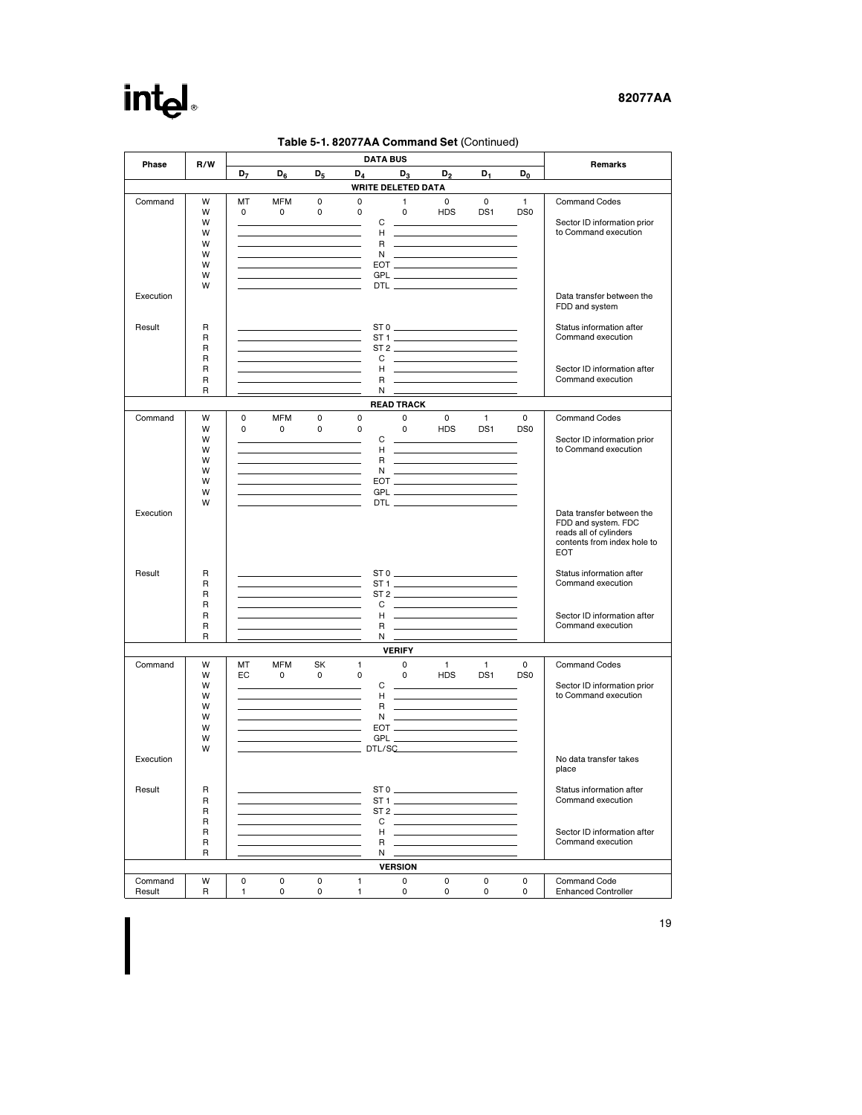# intel

### 82077AA

|                           | <b>DATA BUS</b><br>Phase<br>R/W        |                    |                                                                                                                                                                                                                                      |                    |                  |                                  |                                                                                                                                                                                                                                                                                                                                                                                             | Remarks                  |                                 |                                                                                                                         |
|---------------------------|----------------------------------------|--------------------|--------------------------------------------------------------------------------------------------------------------------------------------------------------------------------------------------------------------------------------|--------------------|------------------|----------------------------------|---------------------------------------------------------------------------------------------------------------------------------------------------------------------------------------------------------------------------------------------------------------------------------------------------------------------------------------------------------------------------------------------|--------------------------|---------------------------------|-------------------------------------------------------------------------------------------------------------------------|
|                           |                                        | D <sub>7</sub>     | D <sub>6</sub>                                                                                                                                                                                                                       | $D_5$              | D <sub>4</sub>   | $D_3$                            | $D_2$                                                                                                                                                                                                                                                                                                                                                                                       | $D_1$                    | D <sub>0</sub>                  |                                                                                                                         |
| <b>WRITE DELETED DATA</b> |                                        |                    |                                                                                                                                                                                                                                      |                    |                  |                                  |                                                                                                                                                                                                                                                                                                                                                                                             |                          |                                 |                                                                                                                         |
| Command                   | W<br>W<br>W<br>W                       | МT<br>$\mathbf{0}$ | <b>MFM</b><br>$\mathbf{0}$<br>the control of the control of the control of                                                                                                                                                           | 0<br>$\mathbf 0$   | 0<br>$\mathbf 0$ | $\mathbf{1}$<br>$\mathbf 0$<br>C | $\mathbf{0}$<br><b>HDS</b><br>H <u>and the second contract of the second</u>                                                                                                                                                                                                                                                                                                                | $\mathbf{0}$<br>DS1      | $\mathbf{1}$<br>DS <sub>0</sub> | <b>Command Codes</b><br>Sector ID information prior<br>to Command execution                                             |
|                           | W<br>W<br>W<br>w                       |                    | <u> 1989 - Johann Barbara, martin a</u><br>the control of the control of the<br><u> 1980 - Johann Barbara, martxa alemaniar a</u>                                                                                                    |                    |                  |                                  | R _____________________<br>$N$ $\overline{\phantom{N}}$                                                                                                                                                                                                                                                                                                                                     |                          |                                 |                                                                                                                         |
| Execution                 | W                                      |                    | the control of the control of the control of the                                                                                                                                                                                     |                    |                  |                                  | DTL $\overline{\phantom{a}}$                                                                                                                                                                                                                                                                                                                                                                |                          |                                 | Data transfer between the<br>FDD and system                                                                             |
| Result                    | R<br>R<br>$\mathsf{R}$                 |                    | <u> 1989 - Johann Stein, mars an deutscher Stein († 1958)</u><br>the control of the control of the control of                                                                                                                        |                    |                  |                                  |                                                                                                                                                                                                                                                                                                                                                                                             |                          |                                 | Status information after<br>Command execution                                                                           |
|                           | R<br>R<br>R<br>R                       |                    | <u> 1980 - Johann Barn, mars an t-Amerikaansk kommunister (</u><br><u> 1989 - John Harry Harry Harry Harry Harry Harry Harry Harry Harry Harry Harry Harry Harry Harry Harry Harry H</u>                                             |                    |                  |                                  | C ________________________                                                                                                                                                                                                                                                                                                                                                                  |                          |                                 | Sector ID information after<br>Command execution                                                                        |
|                           |                                        |                    |                                                                                                                                                                                                                                      |                    |                  | <b>READ TRACK</b>                | $\begin{picture}(20,20) \put(0,0){\dashbox{0.5}(5,0){ }} \put(15,0){\circle{10}} \put(15,0){\circle{10}} \put(15,0){\circle{10}} \put(15,0){\circle{10}} \put(15,0){\circle{10}} \put(15,0){\circle{10}} \put(15,0){\circle{10}} \put(15,0){\circle{10}} \put(15,0){\circle{10}} \put(15,0){\circle{10}} \put(15,0){\circle{10}} \put(15,0){\circle{10}} \put(15,0){\circle{10}} \put(15,0$ |                          |                                 |                                                                                                                         |
| Command                   | W<br>W                                 | 0<br>0             | MFM<br>$\mathsf{O}$                                                                                                                                                                                                                  | 0<br>$\mathbf 0$   | 0<br>$\mathbf 0$ | $\mathbf{O}$<br>$\mathbf{0}$     | $\mathbf{0}$<br><b>HDS</b>                                                                                                                                                                                                                                                                                                                                                                  | $\overline{1}$<br>DS1    | 0<br>DS <sub>0</sub>            | <b>Command Codes</b>                                                                                                    |
|                           | W<br>W<br>W<br>W                       |                    | <u> 1989 - Johann Barn, mars and de Branch Barn, mars and de Branch Barn, mars and de Branch Barn, mars and de Br</u><br>the control of the control of the control of the control of<br>the control of the control of the control of |                    |                  | С                                | <u> The Common State of the Common State of the Common State of the Common State of the Common State of the Common State of the Common State of the Common State of the Common State of the Common State of the Common State of </u><br>R ______________________<br>$N$ $\overline{\qquad \qquad }$                                                                                         |                          |                                 | Sector ID information prior<br>to Command execution                                                                     |
|                           | W<br>W<br>W                            |                    | the control of the control of the control of                                                                                                                                                                                         |                    |                  |                                  |                                                                                                                                                                                                                                                                                                                                                                                             |                          |                                 |                                                                                                                         |
| Execution                 |                                        |                    |                                                                                                                                                                                                                                      |                    |                  |                                  |                                                                                                                                                                                                                                                                                                                                                                                             |                          |                                 | Data transfer between the<br>FDD and system. FDC<br>reads all of cvlinders<br>contents from index hole to<br><b>EOT</b> |
| Result                    | R<br>$\mathsf{R}$<br>R                 |                    | <u> Tantan di Kabupatén Bandung Bandung Bandung Bandung Bandung Bandung Bandung Bandung Bandung Bandung Bandung Bandung Bandung Bandung Bandung Bandung Bandung Bandung Bandung Bandung Bandung Bandung Bandung Bandung Bandung </u> |                    |                  |                                  | $ST0$ and $T1$<br>ST2                                                                                                                                                                                                                                                                                                                                                                       |                          |                                 | Status information after<br>Command execution                                                                           |
|                           | $\mathsf{R}$<br>$\mathsf{R}$<br>R<br>R |                    | <u> 1990 - Jan Barbara (j. 1900)</u><br><u> 1990 - Jan Barnett, fransk politiker (</u>                                                                                                                                               |                    |                  | $N \equiv$                       | Harry Commission and Commission                                                                                                                                                                                                                                                                                                                                                             |                          |                                 | Sector ID information after<br>Command execution                                                                        |
|                           |                                        |                    |                                                                                                                                                                                                                                      |                    |                  | <b>VERIFY</b>                    |                                                                                                                                                                                                                                                                                                                                                                                             |                          |                                 |                                                                                                                         |
| Command                   | W<br>W<br>W<br>W                       | MT<br>EC.          | MFM<br>$\mathbf 0$                                                                                                                                                                                                                   | SK<br>$\mathbf{0}$ | 1<br>0           | $\Omega$<br>$\mathbf 0$<br>C     | $\overline{1}$<br><b>HDS</b><br><u> The Community of the Community of the Community of the Community of the Community of the Community of the Community of the Community of the Community of the Community of the Community of the Community of the Community of</u><br>Holland and the company of the company of                                                                           | $\blacksquare$<br>DS1    | $\Omega$<br>DS <sub>0</sub>     | Command Codes<br>Sector ID information prior<br>to Command execution                                                    |
|                           | W<br>W<br>W<br>W                       |                    | <u> 1990 - Jan Stein Berlin, amerikansk politiker</u>                                                                                                                                                                                |                    |                  | R.                               | <u> 2002 - John Stone, Amerikan besteht in der Stone in der Stone in der Stone in der Stone in der Stone in der S</u>                                                                                                                                                                                                                                                                       |                          |                                 |                                                                                                                         |
| Execution                 | W                                      |                    |                                                                                                                                                                                                                                      |                    |                  |                                  | DTL/SC                                                                                                                                                                                                                                                                                                                                                                                      |                          |                                 | No data transfer takes<br>place                                                                                         |
| Result                    | R<br>R<br>R                            |                    |                                                                                                                                                                                                                                      |                    |                  |                                  | $ST1$ and $ST3$                                                                                                                                                                                                                                                                                                                                                                             |                          |                                 | Status information after<br>Command execution                                                                           |
|                           | R<br>R<br>R<br>R                       |                    |                                                                                                                                                                                                                                      |                    |                  | С<br>H<br>R<br>N                 |                                                                                                                                                                                                                                                                                                                                                                                             |                          |                                 | Sector ID information after<br>Command execution                                                                        |
|                           |                                        |                    |                                                                                                                                                                                                                                      |                    |                  | <b>VERSION</b>                   |                                                                                                                                                                                                                                                                                                                                                                                             |                          |                                 |                                                                                                                         |
| Command<br>Result         | W<br>R                                 | 0<br>1             | 0<br>0                                                                                                                                                                                                                               | 0<br>0             | 1<br>1           | 0<br>0                           | 0<br>0                                                                                                                                                                                                                                                                                                                                                                                      | $\mathsf{O}\xspace$<br>0 | 0<br>0                          | <b>Command Code</b><br><b>Enhanced Controller</b>                                                                       |

### Table 5-1. 82077AA Command Set (Continued)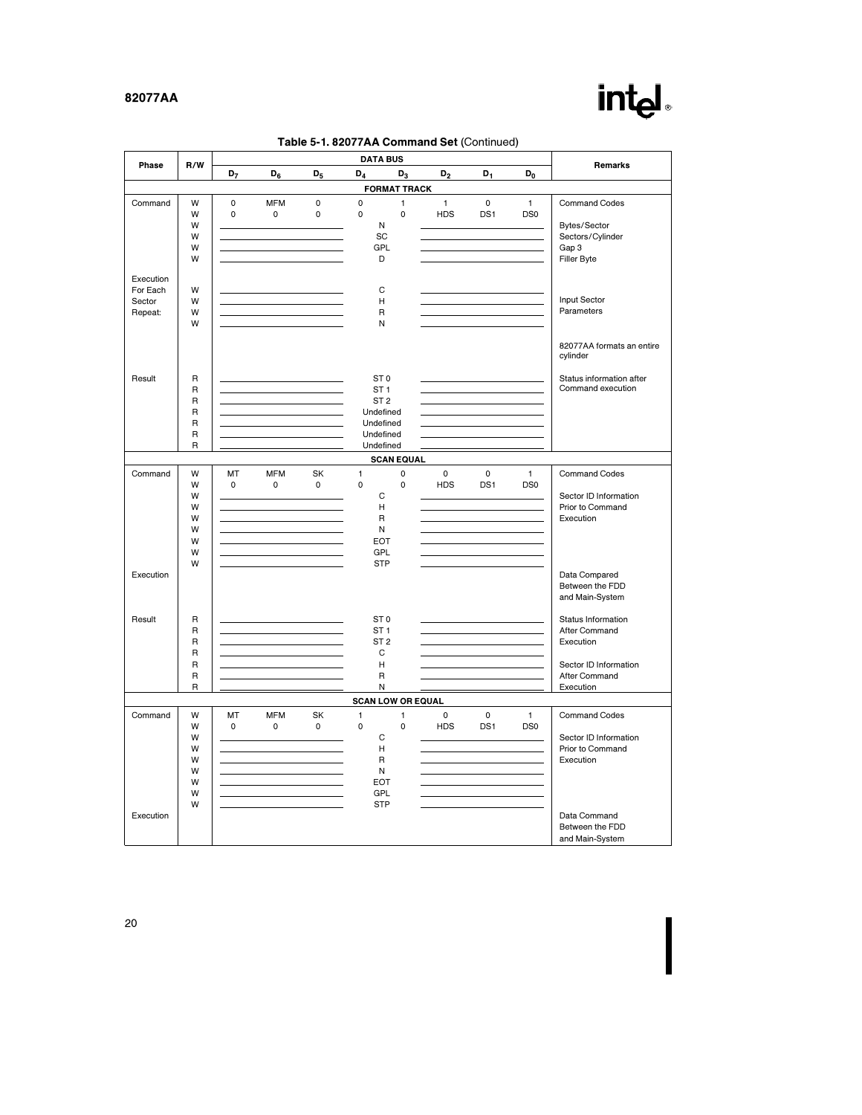# intel.

| Phase             | R/W                     | D <sub>7</sub> | $D_6$        | $D_5$               | <b>DATA BUS</b><br>$D_4$ | $D_3$                    | D <sub>2</sub>      | $D_1$               | D <sub>0</sub>  | Remarks                                             |
|-------------------|-------------------------|----------------|--------------|---------------------|--------------------------|--------------------------|---------------------|---------------------|-----------------|-----------------------------------------------------|
|                   |                         |                |              |                     |                          | <b>FORMAT TRACK</b>      |                     |                     |                 |                                                     |
| Command           | W                       | $\pmb{0}$      | <b>MFM</b>   | $\pmb{0}$           | $\mathbf 0$              | $\mathbf{1}$             | $\mathbf{1}$        | $\mathbf 0$         | $\mathbf{1}$    | <b>Command Codes</b>                                |
|                   | W                       | 0              | $\mathsf{O}$ | $\mathbf 0$         | $\mathsf 0$              | $\mathbf 0$              | <b>HDS</b>          | DS1                 | DS0             |                                                     |
|                   | W                       |                |              |                     | N                        |                          |                     |                     |                 | Bytes/Sector                                        |
|                   | W                       |                |              |                     | SC                       |                          |                     |                     |                 | Sectors/Cylinder                                    |
|                   | W                       |                |              |                     | GPL                      |                          |                     |                     |                 | Gap 3                                               |
|                   | W                       |                |              |                     | D                        |                          |                     |                     |                 | Filler Byte                                         |
|                   |                         |                |              |                     |                          |                          |                     |                     |                 |                                                     |
| Execution         |                         |                |              |                     |                          |                          |                     |                     |                 |                                                     |
| For Each          | W                       |                |              |                     | C                        |                          |                     |                     |                 |                                                     |
| Sector            | W                       |                |              |                     | Н                        |                          |                     |                     |                 | Input Sector                                        |
| Repeat:           | W                       |                |              |                     | $\sf R$                  |                          |                     |                     |                 | Parameters                                          |
|                   | W                       |                |              |                     | N                        |                          |                     |                     |                 |                                                     |
|                   |                         |                |              |                     |                          |                          |                     |                     |                 | 82077AA formats an entire<br>cylinder               |
| Result            | $\mathsf R$             |                |              |                     | ST <sub>0</sub>          |                          |                     |                     |                 | Status information after                            |
|                   | $\mathsf R$             |                |              |                     | ST <sub>1</sub>          |                          |                     |                     |                 | Command execution                                   |
|                   | $\mathsf{R}$            |                |              |                     | ST <sub>2</sub>          |                          |                     |                     |                 |                                                     |
|                   | $\mathsf{R}$            |                |              |                     | Undefined                |                          |                     |                     |                 |                                                     |
|                   | $\mathsf{R}$            |                |              |                     | Undefined                |                          |                     |                     |                 |                                                     |
|                   | $\mathsf R$             |                |              |                     | Undefined                |                          |                     |                     |                 |                                                     |
|                   | $\mathsf R$             |                |              |                     | Undefined                |                          |                     |                     |                 |                                                     |
| <b>SCAN EQUAL</b> |                         |                |              |                     |                          |                          |                     |                     |                 |                                                     |
| Command           | W                       | MT             | <b>MFM</b>   | SK                  | 1                        | $\pmb{0}$                | $\mathsf 0$         | $\mathsf 0$         | 1               | Command Codes                                       |
|                   | W                       | 0              | 0            | $\mathsf{O}\xspace$ | 0                        | $\pmb{0}$                | <b>HDS</b>          | DS1                 | DS <sub>0</sub> |                                                     |
|                   | W                       |                |              |                     | C                        |                          |                     |                     |                 | Sector ID Information                               |
|                   | W                       |                |              |                     | н                        |                          |                     |                     |                 | Prior to Command                                    |
|                   | W                       |                |              |                     | $\sf R$                  |                          |                     |                     |                 | Execution                                           |
|                   | W                       |                |              |                     | N                        |                          |                     |                     |                 |                                                     |
|                   | W                       |                |              |                     | EOT                      |                          |                     |                     |                 |                                                     |
|                   | W                       |                |              |                     | GPL                      |                          |                     |                     |                 |                                                     |
|                   | W                       |                |              |                     | <b>STP</b>               |                          |                     |                     |                 |                                                     |
| Execution         |                         |                |              |                     |                          |                          |                     |                     |                 | Data Compared<br>Between the FDD<br>and Main-System |
| Result            | R                       |                |              |                     | ST <sub>0</sub>          |                          |                     |                     |                 | Status Information                                  |
|                   | $\mathsf{R}$            |                |              |                     | ST <sub>1</sub>          |                          |                     |                     |                 | After Command                                       |
|                   | $\overline{\mathsf{R}}$ |                |              |                     | ST <sub>2</sub>          |                          |                     |                     |                 | Execution                                           |
|                   | $\mathsf{R}$            |                |              |                     | C                        |                          |                     |                     |                 |                                                     |
|                   | $\mathsf{R}$            |                |              |                     | н                        |                          |                     |                     |                 | Sector ID Information                               |
|                   | $\mathsf{R}$            |                |              |                     | R                        |                          |                     |                     |                 | After Command                                       |
|                   | $\mathsf{R}$            |                |              |                     | Ν                        |                          |                     |                     |                 | Execution                                           |
|                   |                         |                |              |                     |                          | <b>SCAN LOW OR EQUAL</b> |                     |                     |                 |                                                     |
| Command           | W                       | MT             | <b>MFM</b>   | SK                  | 1                        | 1                        | $\mathsf{O}\xspace$ | $\mathsf{O}\xspace$ | $\mathbf{1}$    | <b>Command Codes</b>                                |
|                   | W                       | 0              | 0            | $\mathsf{O}\xspace$ | 0                        | 0                        | <b>HDS</b>          | DS1                 | DS <sub>0</sub> |                                                     |
|                   | W                       |                |              |                     | С                        |                          |                     |                     |                 | Sector ID Information                               |
|                   | W                       |                |              |                     | н                        |                          |                     |                     |                 | Prior to Command                                    |
|                   | W                       |                |              |                     | $\mathsf{R}$             |                          |                     |                     |                 | Execution                                           |
|                   | W                       |                |              |                     | Ν                        |                          |                     |                     |                 |                                                     |
|                   | W                       |                |              |                     | <b>EOT</b>               |                          |                     |                     |                 |                                                     |
|                   | W                       |                |              |                     | GPL                      |                          |                     |                     |                 |                                                     |
|                   | W                       |                |              |                     | <b>STP</b>               |                          |                     |                     |                 |                                                     |
| Execution         |                         |                |              |                     |                          |                          |                     |                     |                 | Data Command<br>Between the FDD<br>and Main-System  |

Table 5-1. 82077AA Command Set (Continued)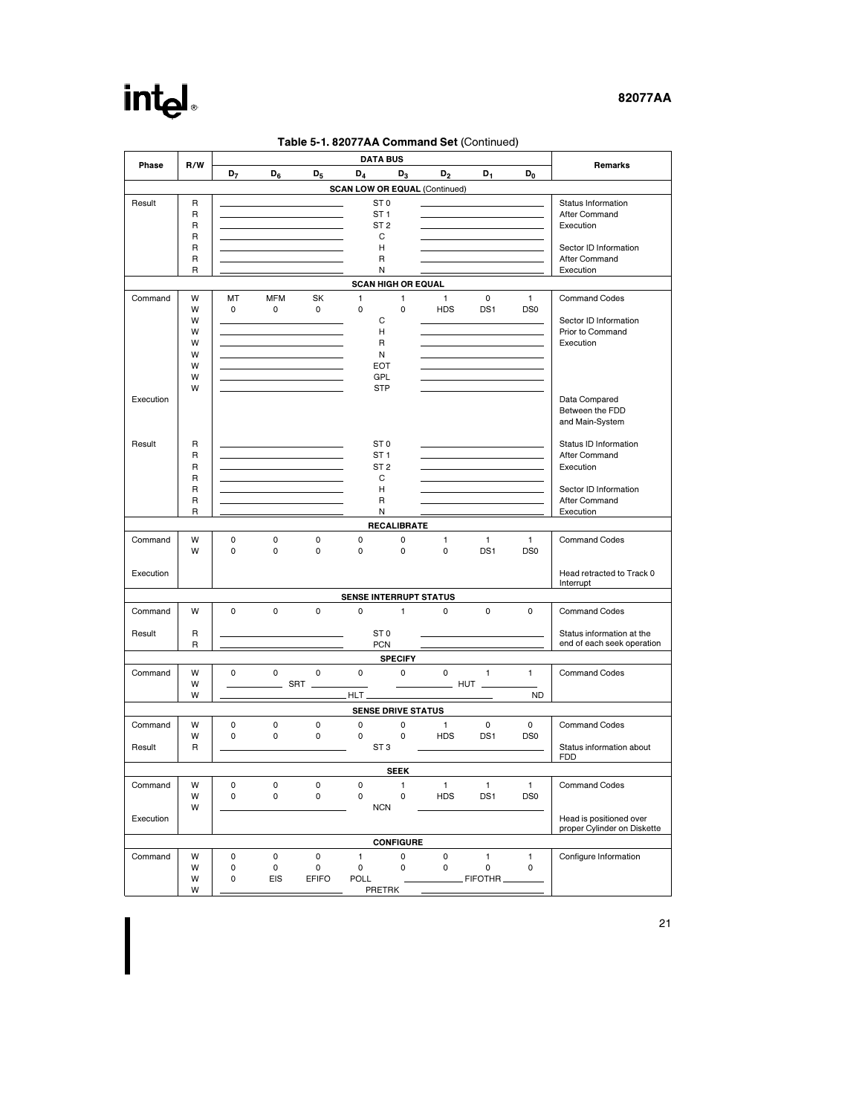# intel

### 82077AA

|           |              |                |             |              |       | <b>DATA BUS</b>           |                  | <b>Table 5-1.82077AA Command Set (Continued)</b> |                 |                 |                                                        |
|-----------|--------------|----------------|-------------|--------------|-------|---------------------------|------------------|--------------------------------------------------|-----------------|-----------------|--------------------------------------------------------|
| Phase     | R/W          | D <sub>7</sub> | $D_6$       | $D_5$        | $D_4$ |                           | $D_3$            | $D_2$                                            | D <sub>1</sub>  | $D_0$           | Remarks                                                |
|           |              |                |             |              |       |                           |                  | <b>SCAN LOW OR EQUAL (Continued)</b>             |                 |                 |                                                        |
| Result    | R            |                |             |              |       | ST <sub>0</sub>           |                  |                                                  |                 |                 | Status Information                                     |
|           | R            |                |             |              |       | ST <sub>1</sub>           |                  |                                                  |                 |                 | After Command                                          |
|           | R            |                |             |              |       | ST <sub>2</sub>           |                  |                                                  |                 |                 | Execution                                              |
|           | R            |                |             |              |       | C                         |                  |                                                  |                 |                 |                                                        |
|           | R            |                |             |              |       | н                         |                  |                                                  |                 |                 | Sector ID Information                                  |
|           | R            |                |             |              |       | R                         |                  |                                                  |                 |                 | After Command                                          |
|           | $\mathsf{R}$ |                |             |              |       | N                         |                  |                                                  |                 |                 | Execution                                              |
|           |              |                |             |              |       | <b>SCAN HIGH OR EQUAL</b> |                  |                                                  |                 |                 |                                                        |
| Command   | W            | МT             | <b>MFM</b>  | SK           | 1     |                           | 1                | 1                                                | $\mathbf 0$     | 1               | <b>Command Codes</b>                                   |
|           | W            | $\mathbf 0$    | $\mathbf 0$ | 0            | 0     |                           | $\mathbf 0$      | <b>HDS</b>                                       | DS1             | DS <sub>0</sub> |                                                        |
|           | W            |                |             |              |       | C                         |                  |                                                  |                 |                 | Sector ID Information                                  |
|           | W<br>W       |                |             |              |       | н                         |                  |                                                  |                 |                 | Prior to Command                                       |
|           | W            |                |             |              |       | R<br>Ν                    |                  |                                                  |                 |                 | Execution                                              |
|           | W            |                |             |              |       | <b>EOT</b>                |                  |                                                  |                 |                 |                                                        |
|           | W            |                |             |              |       | GPL                       |                  |                                                  |                 |                 |                                                        |
|           | W            |                |             |              |       | <b>STP</b>                |                  |                                                  |                 |                 |                                                        |
| Execution |              |                |             |              |       |                           |                  |                                                  |                 |                 | Data Compared                                          |
|           |              |                |             |              |       |                           |                  |                                                  |                 |                 | Between the FDD                                        |
|           |              |                |             |              |       |                           |                  |                                                  |                 |                 | and Main-System                                        |
|           |              |                |             |              |       |                           |                  |                                                  |                 |                 |                                                        |
| Result    | R            |                |             |              |       | ST <sub>0</sub>           |                  |                                                  |                 |                 | Status ID Information                                  |
|           | R            |                |             |              |       | ST <sub>1</sub>           |                  |                                                  |                 |                 | After Command                                          |
|           | R            |                |             |              |       | ST <sub>2</sub>           |                  |                                                  |                 |                 | Execution                                              |
|           | R            |                |             |              |       | С                         |                  |                                                  |                 |                 |                                                        |
|           | R            |                |             |              |       | н                         |                  |                                                  |                 |                 | Sector ID Information                                  |
|           | $\mathsf{R}$ |                |             |              |       | R                         |                  |                                                  |                 |                 | After Command                                          |
|           | $\mathsf{R}$ |                |             |              |       | Ν                         |                  |                                                  |                 |                 | Execution                                              |
|           |              |                |             |              |       | <b>RECALIBRATE</b>        |                  |                                                  |                 |                 |                                                        |
| Command   | W            | $\mathsf 0$    | $\mathbf 0$ | 0            | 0     |                           | 0                | 1                                                | 1               | 1               | Command Codes                                          |
|           | W            | 0              | $\mathbf 0$ | $\mathbf 0$  | 0     |                           | 0                | 0                                                | DS1             | DS <sub>0</sub> |                                                        |
| Execution |              |                |             |              |       |                           |                  |                                                  |                 |                 | Head retracted to Track 0                              |
|           |              |                |             |              |       |                           |                  |                                                  |                 |                 | Interrupt                                              |
|           |              |                |             |              |       |                           |                  | <b>SENSE INTERRUPT STATUS</b>                    |                 |                 |                                                        |
| Command   | W            | 0              | $\mathbf 0$ | 0            | 0     |                           | 1                | 0                                                | 0               | 0               | Command Codes                                          |
|           |              |                |             |              |       |                           |                  |                                                  |                 |                 |                                                        |
| Result    | R            |                |             |              |       | ST <sub>0</sub>           |                  |                                                  |                 |                 | Status information at the                              |
|           | R            |                |             |              |       | <b>PCN</b>                |                  |                                                  |                 |                 | end of each seek operation                             |
|           |              |                |             |              |       |                           | <b>SPECIFY</b>   |                                                  |                 |                 |                                                        |
| Command   | W            | 0              | $\mathbf 0$ | 0            | 0     |                           | $\mathsf{o}$     | 0                                                | $\mathbf{1}$    | 1               | Command Codes                                          |
|           | W            |                |             | SRT          |       |                           |                  |                                                  | HUT.            |                 |                                                        |
|           | W            |                |             |              | HLT.  |                           |                  |                                                  |                 | <b>ND</b>       |                                                        |
|           |              |                |             |              |       | <b>SENSE DRIVE STATUS</b> |                  |                                                  |                 |                 |                                                        |
| Command   | W            | $\mathsf 0$    | $\mathsf 0$ | 0            | 0     |                           | 0                | $\mathbf{1}$                                     | 0               | 0               | <b>Command Codes</b>                                   |
|           | W            | 0              | $\mathbf 0$ | $\mathbf 0$  | 0     |                           | 0                | <b>HDS</b>                                       | DS1             | DS <sub>0</sub> |                                                        |
| Result    | R            |                |             |              |       | ST <sub>3</sub>           |                  |                                                  |                 |                 | Status information about                               |
|           |              |                |             |              |       |                           | <b>SEEK</b>      |                                                  |                 |                 | <b>FDD</b>                                             |
|           |              |                |             |              |       |                           |                  |                                                  |                 |                 |                                                        |
| Command   | W            | 0              | $\pmb{0}$   | 0            | 0     |                           | $\mathbf{1}$     | $\mathbf{1}$                                     | $\mathbf{1}$    | $\mathbf{1}$    | <b>Command Codes</b>                                   |
|           | W            | $\mathsf 0$    | $\mathsf 0$ | 0            | 0     |                           | 0                | <b>HDS</b>                                       | DS <sub>1</sub> | DS <sub>0</sub> |                                                        |
|           | W            |                |             |              |       | <b>NCN</b>                |                  |                                                  |                 |                 |                                                        |
| Execution |              |                |             |              |       |                           |                  |                                                  |                 |                 | Head is positioned over<br>proper Cylinder on Diskette |
|           |              |                |             |              |       |                           | <b>CONFIGURE</b> |                                                  |                 |                 |                                                        |
| Command   | W            | $\mathsf 0$    | $\pmb{0}$   | 0            | 1     |                           | 0                | $\pmb{0}$                                        | $\mathbf{1}$    | 1               | Configure Information                                  |
|           | W            | 0              | $\mathsf 0$ | 0            | 0     |                           | 0                | $\mathsf 0$                                      | 0               | 0               |                                                        |
|           | W            | 0              | EIS         | <b>EFIFO</b> | POLL  |                           |                  |                                                  | FIFOTHR.        |                 |                                                        |
|           | W            |                |             |              |       | PRETRK                    |                  |                                                  |                 |                 |                                                        |

# $T$  F.1. 82077AA Command Set (Continued)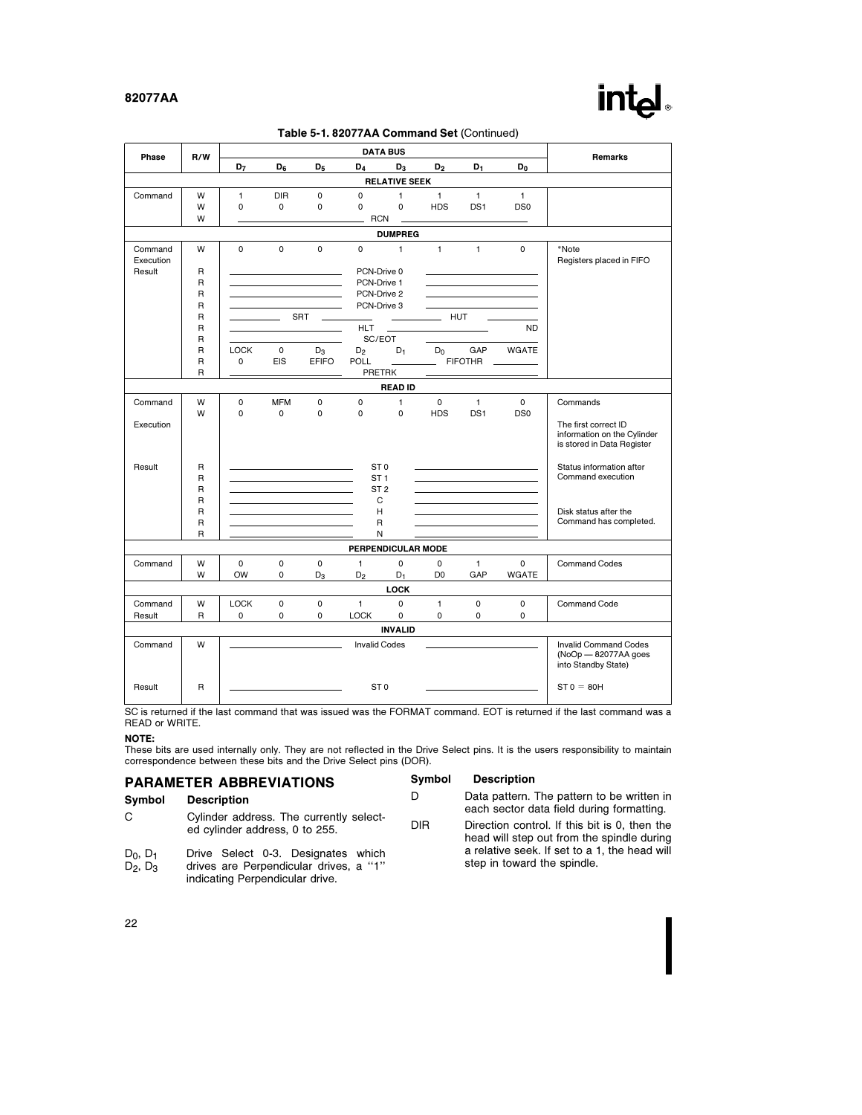| Phase                | R/W                          | <b>DATA BUS</b> |                     |                |                            |                      |                |                 |                 | <b>Remarks</b>                                            |
|----------------------|------------------------------|-----------------|---------------------|----------------|----------------------------|----------------------|----------------|-----------------|-----------------|-----------------------------------------------------------|
|                      |                              | D <sub>7</sub>  | $D_{6}$             | D <sub>5</sub> | $D_4$                      | $D_3$                | D <sub>2</sub> | D <sub>1</sub>  | $D_0$           |                                                           |
|                      |                              |                 |                     |                |                            | <b>RELATIVE SEEK</b> |                |                 |                 |                                                           |
| Command              | W                            | 1               | <b>DIR</b>          | 0              | 0                          | 1                    | 1              | 1               | $\mathbf{1}$    |                                                           |
|                      | W                            | $\mathbf 0$     | $\mathbf 0$         | 0              | $\mathbf 0$                | $\mathbf 0$          | <b>HDS</b>     | DS1             | DS <sub>0</sub> |                                                           |
|                      | W                            |                 |                     |                | <b>RCN</b>                 |                      |                |                 |                 |                                                           |
|                      |                              |                 |                     |                |                            | <b>DUMPREG</b>       |                |                 |                 |                                                           |
| Command<br>Execution | W                            | $\Omega$        | $\Omega$            | $\Omega$       | $\Omega$                   | $\mathbf{1}$         | $\mathbf{1}$   | $\mathbf{1}$    | $\Omega$        | *Note<br>Registers placed in FIFO                         |
| Result               | R                            |                 |                     |                | PCN-Drive 0                |                      |                |                 |                 |                                                           |
|                      | $\overline{R}$               |                 |                     |                | PCN-Drive 1                |                      |                |                 |                 |                                                           |
|                      | $\mathsf{R}$<br>$\mathsf{R}$ |                 |                     |                | PCN-Drive 2<br>PCN-Drive 3 |                      |                |                 |                 |                                                           |
|                      | $\mathsf{R}$                 |                 | the control of the  | <b>SRT</b>     | $\sim$                     |                      | HUT            |                 |                 |                                                           |
|                      | $\mathsf{R}$                 |                 |                     |                | <b>HLT</b>                 |                      |                |                 | <b>ND</b>       |                                                           |
|                      | $\mathsf{R}$                 |                 |                     |                | SC/EOT                     |                      |                |                 |                 |                                                           |
|                      | R                            | <b>LOCK</b>     | 0                   | $D_3$          | D <sub>2</sub>             | $D_1$                | $D_0$          | GAP             | WGATE           |                                                           |
|                      | $\mathsf{R}$                 | $\mathbf 0$     | <b>EIS</b>          | <b>EFIFO</b>   | <b>POLL</b>                |                      |                | <b>FIFOTHR</b>  |                 |                                                           |
|                      | $\mathsf{R}$                 |                 |                     |                | <b>PRETRK</b>              |                      |                |                 |                 |                                                           |
|                      |                              |                 |                     |                |                            | <b>READ ID</b>       |                |                 |                 |                                                           |
| Command              | W                            | $\mathbf 0$     | <b>MFM</b>          | 0              | $\mathbf 0$                | $\mathbf{1}$         | $\mathsf{o}$   | $\mathbf{1}$    | $\mathsf{o}$    | Commands                                                  |
| Execution            | W                            | $\Omega$        | $\mathbf 0$         | 0              | $\Omega$                   | $\mathbf 0$          | <b>HDS</b>     | DS <sub>1</sub> | DS <sub>0</sub> | The first correct ID                                      |
|                      |                              |                 |                     |                |                            |                      |                |                 |                 | information on the Cylinder<br>is stored in Data Register |
| Result               | R                            |                 |                     |                | ST <sub>0</sub>            |                      |                |                 |                 | Status information after                                  |
|                      | R                            |                 |                     |                | ST <sub>1</sub>            |                      |                |                 |                 | Command execution                                         |
|                      | $\mathsf{R}$                 |                 |                     |                | ST <sub>2</sub>            |                      |                |                 |                 |                                                           |
|                      | $\mathsf{R}$                 |                 |                     |                | C                          |                      |                |                 |                 |                                                           |
|                      | $\mathsf{R}$                 |                 |                     |                | Н                          |                      |                |                 |                 | Disk status after the                                     |
|                      | R<br>$\mathsf{R}$            |                 |                     |                | R<br>N                     |                      |                |                 |                 | Command has completed.                                    |
|                      |                              |                 |                     |                |                            | PERPENDICULAR MODE   |                |                 |                 |                                                           |
| Command              | W                            | $\Omega$        | $\mathbf 0$         | $\Omega$       | $\mathbf{1}$               | $\Omega$             | $\mathbf 0$    | $\mathbf{1}$    | $\Omega$        | <b>Command Codes</b>                                      |
|                      | W                            | <b>OW</b>       | 0                   | $D_3$          | $D_2$                      | $D_1$                | D <sub>0</sub> | GAP             | <b>WGATE</b>    |                                                           |
|                      |                              |                 |                     |                |                            | LOCK                 |                |                 |                 |                                                           |
| Command              | W                            | <b>LOCK</b>     | $\mathbf 0$         | 0              | 1                          | $\mathbf 0$          | 1              | 0               | 0               | Command Code                                              |
| Result               | $\mathsf R$                  | $\mathbf 0$     | $\mathsf{O}\xspace$ | 0              | <b>LOCK</b>                | $\pmb{0}$            | 0              | $\mathbf 0$     | 0               |                                                           |
|                      |                              |                 |                     |                |                            | <b>INVALID</b>       |                |                 |                 |                                                           |
| Command              | W                            |                 |                     |                | <b>Invalid Codes</b>       |                      |                |                 |                 | <b>Invalid Command Codes</b>                              |
|                      |                              |                 |                     |                |                            |                      |                |                 |                 | (NoOp - 82077AA goes<br>into Standby State)               |

 $int<sub>1</sub>$ 

SC is returned if the last command that was issued was the FORMAT command. EOT is returned if the last command was a READ or WRITE.

Result R ST 0 ST 0 e 80H

#### NOTE:

These bits are used internally only. They are not reflected in the Drive Select pins. It is the users responsibility to maintain correspondence between these bits and the Drive Select pins (DOR).

|                             | <b>PARAMETER ABBREVIATIONS</b>                                                                                  | <b>Symbol</b> | <b>Description</b>                                                                          |  |
|-----------------------------|-----------------------------------------------------------------------------------------------------------------|---------------|---------------------------------------------------------------------------------------------|--|
| Symbol                      | <b>Description</b>                                                                                              |               | Data pattern. The pattern to be written in<br>each sector data field during formatting.     |  |
| C.                          | Cylinder address. The currently select-<br>ed cylinder address, 0 to 255.                                       | DIR           | Direction control. If this bit is 0, then the<br>head will step out from the spindle during |  |
| $D_0$ , $D_1$<br>$D_2, D_3$ | Drive Select 0-3. Designates which<br>drives are Perpendicular drives, a "1"<br>indicating Perpendicular drive. |               | a relative seek. If set to a 1, the head will<br>step in toward the spindle.                |  |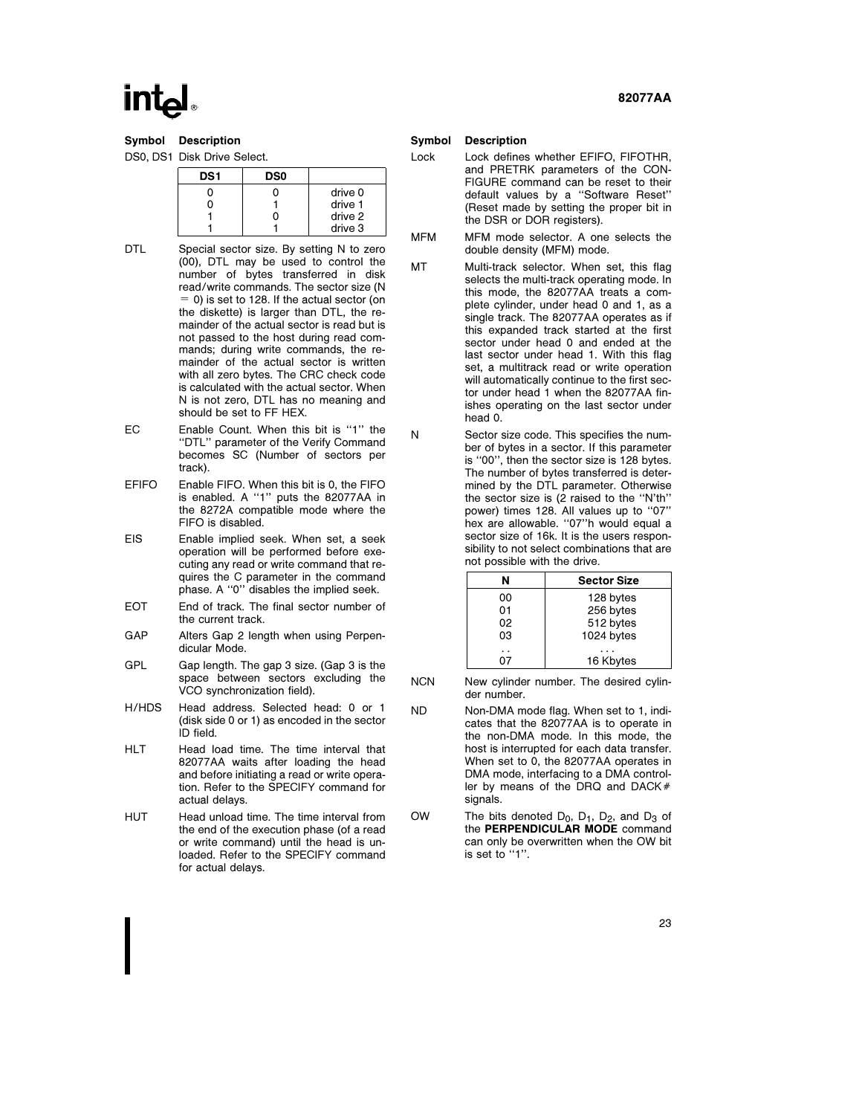Symbol Description

DS0, DS1 Disk Drive Select.

| DS <sub>1</sub> | <b>DS0</b> |         |
|-----------------|------------|---------|
|                 |            | drive 0 |
|                 |            | drive 1 |
|                 |            | drive 2 |
|                 |            | drive 3 |

- DTL Special sector size. By setting N to zero (00), DTL may be used to control the number of bytes transferred in disk read/write commands. The sector size (N  $= 0$ ) is set to 128. If the actual sector (on the diskette) is larger than DTL, the remainder of the actual sector is read but is not passed to the host during read commands; during write commands, the remainder of the actual sector is written with all zero bytes. The CRC check code is calculated with the actual sector. When N is not zero, DTL has no meaning and should be set to FF HEX.
- EC Enable Count. When this bit is ''1'' the ''DTL'' parameter of the Verify Command becomes SC (Number of sectors per track).
- EFIFO Enable FIFO. When this bit is 0, the FIFO is enabled. A ''1'' puts the 82077AA in the 8272A compatible mode where the FIFO is disabled.
- EIS Enable implied seek. When set, a seek operation will be performed before executing any read or write command that requires the C parameter in the command phase. A ''0'' disables the implied seek.
- EOT End of track. The final sector number of the current track.
- GAP Alters Gap 2 length when using Perpendicular Mode.
- GPL Gap length. The gap 3 size. (Gap 3 is the space between sectors excluding the VCO synchronization field).
- H/HDS Head address. Selected head: 0 or 1 (disk side 0 or 1) as encoded in the sector ID field.
- HLT Head load time. The time interval that 82077AA waits after loading the head and before initiating a read or write operation. Refer to the SPECIFY command for actual delays.
- HUT Head unload time. The time interval from the end of the execution phase (of a read or write command) until the head is unloaded. Refer to the SPECIFY command for actual delays.

### 82077AA

#### Symbol Description

- Lock Lock defines whether EFIFO, FIFOTHR, and PRETRK parameters of the CON-FIGURE command can be reset to their default values by a ''Software Reset'' (Reset made by setting the proper bit in the DSR or DOR registers).
- MFM MFM mode selector. A one selects the double density (MFM) mode.
- MT Multi-track selector. When set, this flag selects the multi-track operating mode. In this mode, the 82077AA treats a complete cylinder, under head 0 and 1, as a single track. The 82077AA operates as if this expanded track started at the first sector under head 0 and ended at the last sector under head 1. With this flag set, a multitrack read or write operation will automatically continue to the first sector under head 1 when the 82077AA finishes operating on the last sector under head 0.
- N Sector size code. This specifies the number of bytes in a sector. If this parameter is ''00'', then the sector size is 128 bytes. The number of bytes transferred is determined by the DTL parameter. Otherwise the sector size is (2 raised to the ''N'th'' power) times 128. All values up to "07" hex are allowable. ''07''h would equal a sector size of 16k. It is the users responsibility to not select combinations that are not possible with the drive.

| N  | <b>Sector Size</b> |
|----|--------------------|
| 00 | 128 bytes          |
| 01 | 256 bytes          |
| 02 | 512 bytes          |
| 03 | 1024 bytes         |
|    | 16 Kbytes          |

- NCN New cylinder number. The desired cylinder number.
- ND Non-DMA mode flag. When set to 1, indicates that the 82077AA is to operate in the non-DMA mode. In this mode, the host is interrupted for each data transfer. When set to 0, the 82077AA operates in DMA mode, interfacing to a DMA controller by means of the DRQ and DACK $#$ signals.
- OW The bits denoted  $D_0$ ,  $D_1$ ,  $D_2$ , and  $D_3$  of the PERPENDICULAR MODE command can only be overwritten when the OW bit is set to ''1''.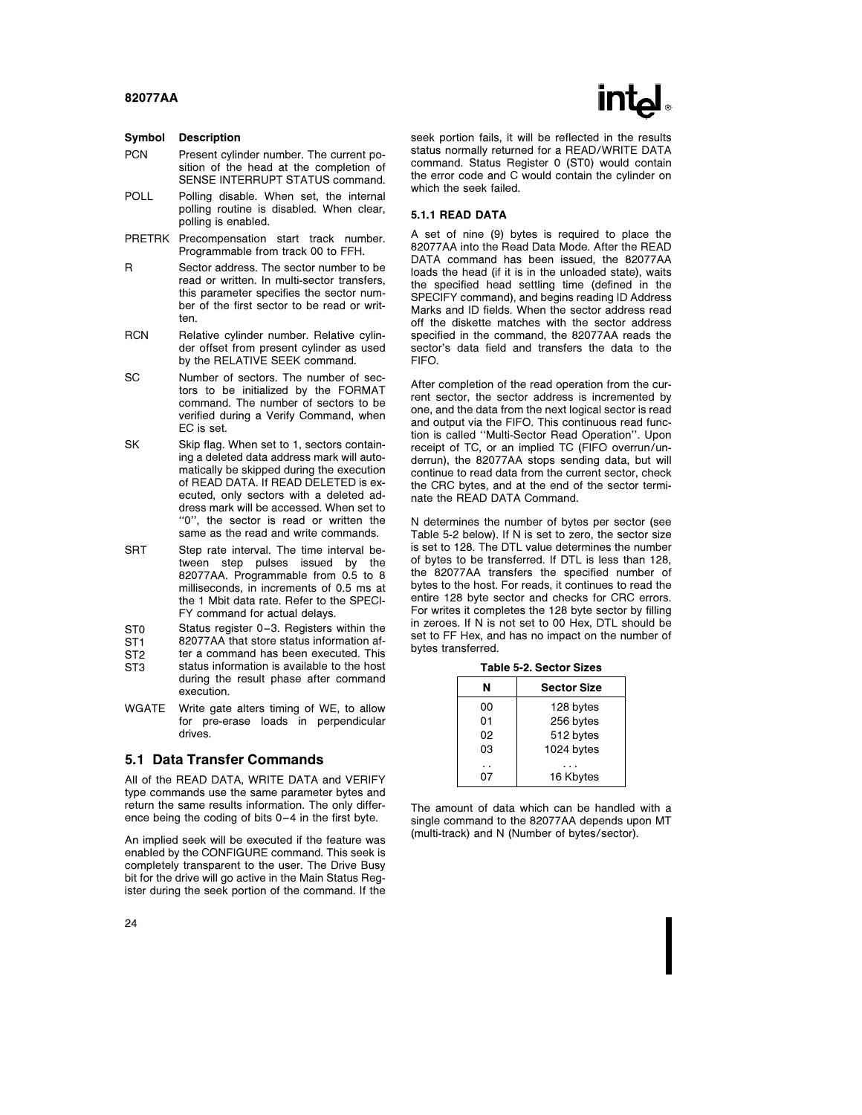#### Symbol Description

- PCN Present cylinder number. The current position of the head at the completion of SENSE INTERRUPT STATUS command.
- POLL Polling disable. When set, the internal polling routine is disabled. When clear, polling is enabled.
- PRETRK Precompensation start track number. Programmable from track 00 to FFH.
- R Sector address. The sector number to be read or written. In multi-sector transfers, this parameter specifies the sector number of the first sector to be read or written.
- RCN Relative cylinder number. Relative cylinder offset from present cylinder as used by the RELATIVE SEEK command.
- SC Number of sectors. The number of sectors to be initialized by the FORMAT command. The number of sectors to be verified during a Verify Command, when EC is set.
- SK Skip flag. When set to 1, sectors containing a deleted data address mark will automatically be skipped during the execution of READ DATA. If READ DELETED is executed, only sectors with a deleted address mark will be accessed. When set to ''0'', the sector is read or written the same as the read and write commands.
- SRT Step rate interval. The time interval between step pulses issued by the 82077AA. Programmable from 0.5 to 8 milliseconds, in increments of 0.5 ms at the 1 Mbit data rate. Refer to the SPECI-FY command for actual delays.
- ST0 Status register 0-3. Registers within the<br>ST1 82077AA that store status information af-
- ST1 82077AA that store status information af-<br>ST2 ter a command has been executed. This
- ter a command has been executed. This ST3 status information is available to the host during the result phase after command execution.
- WGATE Write gate alters timing of WE, to allow for pre-erase loads in perpendicular drives.

#### 5.1 Data Transfer Commands

All of the READ DATA, WRITE DATA and VERIFY type commands use the same parameter bytes and return the same results information. The only difference being the coding of bits 0 –4 in the first byte.

An implied seek will be executed if the feature was enabled by the CONFIGURE command. This seek is completely transparent to the user. The Drive Busy bit for the drive will go active in the Main Status Register during the seek portion of the command. If the seek portion fails, it will be reflected in the results status normally returned for a READ/WRITE DATA command. Status Register 0 (ST0) would contain the error code and C would contain the cylinder on which the seek failed.

#### 5.1.1 READ DATA

A set of nine (9) bytes is required to place the 82077AA into the Read Data Mode. After the READ DATA command has been issued, the 82077AA loads the head (if it is in the unloaded state), waits the specified head settling time (defined in the SPECIFY command), and begins reading ID Address Marks and ID fields. When the sector address read off the diskette matches with the sector address specified in the command, the 82077AA reads the sector's data field and transfers the data to the FIFO.

After completion of the read operation from the current sector, the sector address is incremented by one, and the data from the next logical sector is read and output via the FIFO. This continuous read function is called ''Multi-Sector Read Operation''. Upon receipt of TC, or an implied TC (FIFO overrun/underrun), the 82077AA stops sending data, but will continue to read data from the current sector, check the CRC bytes, and at the end of the sector terminate the READ DATA Command.

N determines the number of bytes per sector (see Table 5-2 below). If N is set to zero, the sector size is set to 128. The DTL value determines the number of bytes to be transferred. If DTL is less than 128, the 82077AA transfers the specified number of bytes to the host. For reads, it continues to read the entire 128 byte sector and checks for CRC errors. For writes it completes the 128 byte sector by filling in zeroes. If N is not set to 00 Hex, DTL should be set to FF Hex, and has no impact on the number of bytes transferred.

Table 5-2. Sector Sizes

| N  | <b>Sector Size</b> |
|----|--------------------|
| ΩO | 128 bytes          |
| 01 | 256 bytes          |
| 02 | 512 bytes          |
| 03 | 1024 bytes         |
|    |                    |
|    | 16 Kbytes          |

The amount of data which can be handled with a single command to the 82077AA depends upon MT (multi-track) and N (Number of bytes/sector).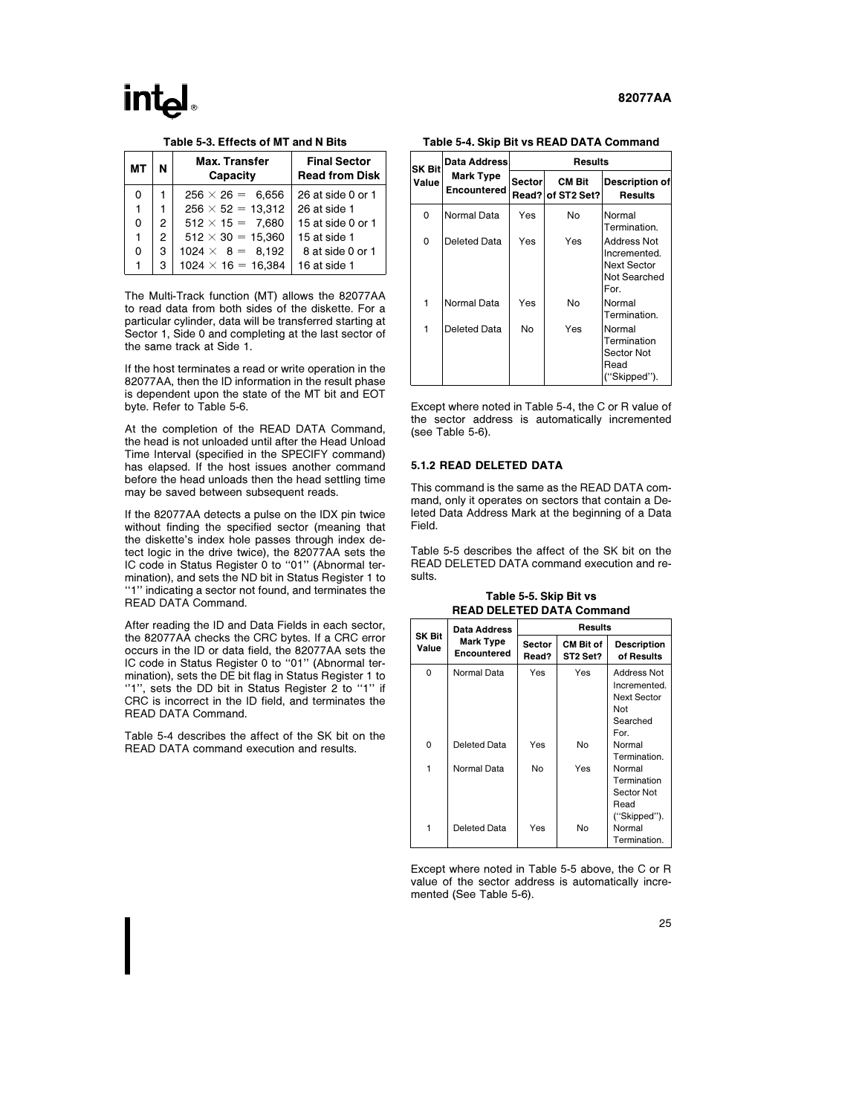#### Table 5-3. Effects of MT and N Bits

| мт |   | <b>Max. Transfer</b><br>Capacity | <b>Final Sector</b><br><b>Read from Disk</b> |
|----|---|----------------------------------|----------------------------------------------|
| 0  |   | $256 \times 26 = 6.656$          | 26 at side 0 or 1                            |
| 1  |   | $256 \times 52 = 13.312$         | 26 at side 1                                 |
| 0  | 2 | $512 \times 15 = 7,680$          | 15 at side 0 or 1                            |
| 1  | 2 | $512 \times 30 = 15.360$         | 15 at side 1                                 |
| 0  | 3 | $1024 \times 8 = 8,192$          | 8 at side 0 or 1                             |
|    | з | $1024 \times 16 = 16,384$        | 16 at side 1                                 |

The Multi-Track function (MT) allows the 82077AA to read data from both sides of the diskette. For a particular cylinder, data will be transferred starting at Sector 1, Side 0 and completing at the last sector of the same track at Side 1.

If the host terminates a read or write operation in the 82077AA, then the ID information in the result phase is dependent upon the state of the MT bit and EOT byte. Refer to Table 5-6.

At the completion of the READ DATA Command, the head is not unloaded until after the Head Unload Time Interval (specified in the SPECIFY command) has elapsed. If the host issues another command before the head unloads then the head settling time may be saved between subsequent reads.

If the 82077AA detects a pulse on the IDX pin twice without finding the specified sector (meaning that the diskette's index hole passes through index detect logic in the drive twice), the 82077AA sets the IC code in Status Register 0 to "01" (Abnormal termination), and sets the ND bit in Status Register 1 to ''1'' indicating a sector not found, and terminates the READ DATA Command.

After reading the ID and Data Fields in each sector, the 82077AA checks the CRC bytes. If a CRC error occurs in the ID or data field, the 82077AA sets the IC code in Status Register 0 to ''01'' (Abnormal termination), sets the DE bit flag in Status Register 1 to ''1'', sets the DD bit in Status Register 2 to ''1'' if CRC is incorrect in the ID field, and terminates the READ DATA Command.

Table 5-4 describes the affect of the SK bit on the READ DATA command execution and results.

Table 5-4. Skip Bit vs READ DATA Command

| SK Bit | Data Address                    | Results |                                    |                                                                           |  |  |  |  |
|--------|---------------------------------|---------|------------------------------------|---------------------------------------------------------------------------|--|--|--|--|
| Value  | <b>Mark Type</b><br>Encountered | Sector  | <b>CM Bit</b><br>Read? of ST2 Set? | <b>Description of</b><br>Results                                          |  |  |  |  |
| 0      | Normal Data                     | Yes     | No                                 | Normal<br>Termination.                                                    |  |  |  |  |
| 0      | Deleted Data                    | Yes     | Yes                                | Address Not<br>Incremented.<br><b>Next Sector</b><br>Not Searched<br>For. |  |  |  |  |
| 1      | Normal Data                     | Yes     | No                                 | Normal<br>Termination.                                                    |  |  |  |  |
| 1      | Deleted Data                    | No      | Yes                                | Normal<br>Termination<br>Sector Not<br>Read<br>("Skipped").               |  |  |  |  |

Except where noted in Table 5-4, the C or R value of the sector address is automatically incremented (see Table 5-6).

#### 5.1.2 READ DELETED DATA

This command is the same as the READ DATA command, only it operates on sectors that contain a Deleted Data Address Mark at the beginning of a Data Field.

Table 5-5 describes the affect of the SK bit on the READ DELETED DATA command execution and results.

Table 5-5. Skip Bit vs READ DELETED DATA Command

|                 | Data Address                    | <b>Results</b>  |                              |                                                                                     |  |  |  |  |
|-----------------|---------------------------------|-----------------|------------------------------|-------------------------------------------------------------------------------------|--|--|--|--|
| SK Bit<br>Value | Mark Type<br><b>Encountered</b> | Sector<br>Read? | <b>CM Bit of</b><br>ST2 Set? | <b>Description</b><br>of Results                                                    |  |  |  |  |
| 0               | Normal Data                     | Yes             | Yes                          | <b>Address Not</b><br>Incremented.<br><b>Next Sector</b><br>Not<br>Searched<br>For. |  |  |  |  |
| 0               | Deleted Data                    | Yes             | No                           | Normal<br>Termination.                                                              |  |  |  |  |
| 1               | Normal Data                     | No              | Yes                          | Normal<br>Termination<br>Sector Not<br>Read<br>("Skipped").                         |  |  |  |  |
|                 | Deleted Data                    | Yes             | No                           | Normal<br>Termination.                                                              |  |  |  |  |

Except where noted in Table 5-5 above, the C or R value of the sector address is automatically incremented (See Table 5-6).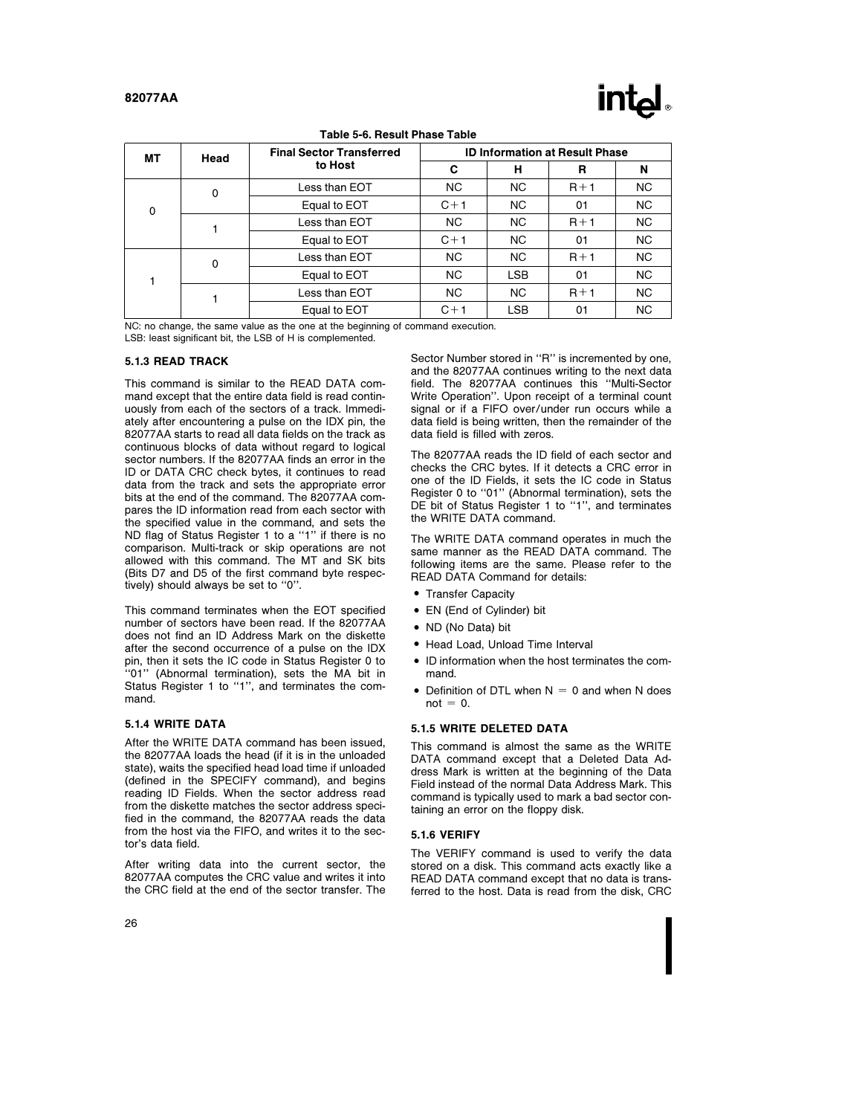# $\mathsf{In}\mathsf{L}$

#### Table 5-6. Result Phase Table

| MТ | Head        | <b>Final Sector Transferred</b> | <b>ID Information at Result Phase</b> |            |       |           |  |
|----|-------------|---------------------------------|---------------------------------------|------------|-------|-----------|--|
|    |             | to Host                         | C                                     | н          | R     | N         |  |
|    | $\mathbf 0$ | Less than EOT                   | <b>NC</b>                             | <b>NC</b>  | $R+1$ | NC.       |  |
| 0  |             | Equal to EOT                    | $C+1$                                 | NC.        | 01    | NC.       |  |
|    |             | Less than EOT                   | <b>NC</b>                             | NC.        | $R+1$ | <b>NC</b> |  |
|    |             | Equal to EOT                    | $C+1$                                 | <b>NC</b>  | 01    | <b>NC</b> |  |
|    | 0           | Less than EOT                   | <b>NC</b>                             | NC.        | $R+1$ | <b>NC</b> |  |
|    |             | Equal to EOT                    | <b>NC</b>                             | <b>LSB</b> | 01    | <b>NC</b> |  |
|    |             | Less than EOT                   | <b>NC</b>                             | NC.        | $R+1$ | <b>NC</b> |  |
|    |             | Equal to EOT                    | $C+1$                                 | <b>LSB</b> | 01    | <b>NC</b> |  |

NC: no change, the same value as the one at the beginning of command execution.

LSB: least significant bit, the LSB of H is complemented.

#### 5.1.3 READ TRACK

This command is similar to the READ DATA command except that the entire data field is read continuously from each of the sectors of a track. Immediately after encountering a pulse on the IDX pin, the 82077AA starts to read all data fields on the track as continuous blocks of data without regard to logical sector numbers. If the 82077AA finds an error in the ID or DATA CRC check bytes, it continues to read data from the track and sets the appropriate error bits at the end of the command. The 82077AA compares the ID information read from each sector with the specified value in the command, and sets the ND flag of Status Register 1 to a ''1'' if there is no comparison. Multi-track or skip operations are not allowed with this command. The MT and SK bits (Bits D7 and D5 of the first command byte respectively) should always be set to ''0''.

This command terminates when the EOT specified number of sectors have been read. If the 82077AA does not find an ID Address Mark on the diskette after the second occurrence of a pulse on the IDX pin, then it sets the IC code in Status Register 0 to ''01'' (Abnormal termination), sets the MA bit in Status Register 1 to ''1'', and terminates the command.

#### 5.1.4 WRITE DATA

After the WRITE DATA command has been issued, the 82077AA loads the head (if it is in the unloaded state), waits the specified head load time if unloaded (defined in the SPECIFY command), and begins reading ID Fields. When the sector address read from the diskette matches the sector address specified in the command, the 82077AA reads the data from the host via the FIFO, and writes it to the sector's data field.

After writing data into the current sector, the 82077AA computes the CRC value and writes it into the CRC field at the end of the sector transfer. The Sector Number stored in ''R'' is incremented by one, and the 82077AA continues writing to the next data field. The 82077AA continues this ''Multi-Sector Write Operation''. Upon receipt of a terminal count signal or if a FIFO over/under run occurs while a data field is being written, then the remainder of the data field is filled with zeros.

The 82077AA reads the ID field of each sector and checks the CRC bytes. If it detects a CRC error in one of the ID Fields, it sets the IC code in Status Register 0 to ''01'' (Abnormal termination), sets the DE bit of Status Register 1 to "1", and terminates the WRITE DATA command.

The WRITE DATA command operates in much the same manner as the READ DATA command. The following items are the same. Please refer to the READ DATA Command for details:

- Transfer Capacity
- EN (End of Cylinder) bit
- ND (No Data) bit
- Head Load, Unload Time Interval
- ID information when the host terminates the command.
- Definition of DTL when  $N = 0$  and when N does  $not = 0$ .

#### 5.1.5 WRITE DELETED DATA

This command is almost the same as the WRITE DATA command except that a Deleted Data Address Mark is written at the beginning of the Data Field instead of the normal Data Address Mark. This command is typically used to mark a bad sector containing an error on the floppy disk.

#### 5.1.6 VERIFY

The VERIFY command is used to verify the data stored on a disk. This command acts exactly like a READ DATA command except that no data is transferred to the host. Data is read from the disk, CRC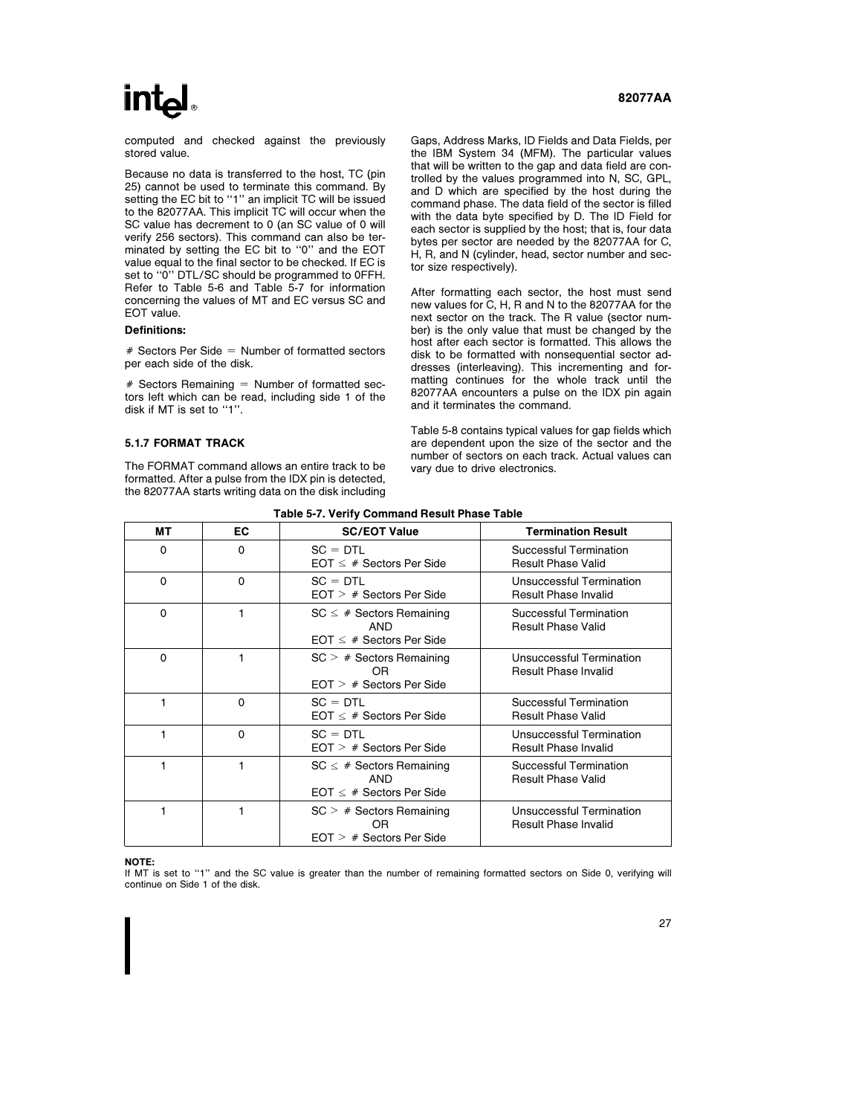# **intal**

computed and checked against the previously stored value.

Because no data is transferred to the host, TC (pin 25) cannot be used to terminate this command. By setting the EC bit to "1" an implicit TC will be issued to the 82077AA. This implicit TC will occur when the SC value has decrement to 0 (an SC value of 0 will verify 256 sectors). This command can also be terminated by setting the EC bit to "0" and the EOT value equal to the final sector to be checked. If EC is set to ''0'' DTL/SC should be programmed to 0FFH. Refer to Table 5-6 and Table 5-7 for information concerning the values of MT and EC versus SC and EOT value.

#### Definitions:

 $#$  Sectors Per Side = Number of formatted sectors per each side of the disk.

 $#$  Sectors Remaining  $=$  Number of formatted sectors left which can be read, including side 1 of the disk if MT is set to ''1''.

#### 5.1.7 FORMAT TRACK

The FORMAT command allows an entire track to be formatted. After a pulse from the IDX pin is detected, the 82077AA starts writing data on the disk including Gaps, Address Marks, ID Fields and Data Fields, per the IBM System 34 (MFM). The particular values

that will be written to the gap and data field are controlled by the values programmed into N, SC, GPL, and D which are specified by the host during the command phase. The data field of the sector is filled with the data byte specified by D. The ID Field for each sector is supplied by the host; that is, four data bytes per sector are needed by the 82077AA for C, H, R, and N (cylinder, head, sector number and sector size respectively).

After formatting each sector, the host must send new values for C, H, R and N to the 82077AA for the next sector on the track. The R value (sector number) is the only value that must be changed by the host after each sector is formatted. This allows the disk to be formatted with nonsequential sector addresses (interleaving). This incrementing and formatting continues for the whole track until the 82077AA encounters a pulse on the IDX pin again and it terminates the command.

Table 5-8 contains typical values for gap fields which are dependent upon the size of the sector and the number of sectors on each track. Actual values can vary due to drive electronics.

| rapie J-7. Verny Obminianu nesult i nase Table |    |                                                                              |                                                         |  |  |  |  |
|------------------------------------------------|----|------------------------------------------------------------------------------|---------------------------------------------------------|--|--|--|--|
| МT                                             | EC | <b>SC/EOT Value</b>                                                          | <b>Termination Result</b>                               |  |  |  |  |
| 0                                              | 0  | $SC = DTL$<br>$EOT \leq #$ Sectors Per Side                                  | Successful Termination<br><b>Result Phase Valid</b>     |  |  |  |  |
| 0                                              | 0  | $SC = DTL$<br>$EOT$ > # Sectors Per Side                                     | Unsuccessful Termination<br><b>Result Phase Invalid</b> |  |  |  |  |
| $\Omega$                                       |    | $SC \leq #$ Sectors Remaining<br>AND<br>$EOT < #$ Sectors Per Side           | Successful Termination<br><b>Result Phase Valid</b>     |  |  |  |  |
| $\mathbf 0$                                    |    | $SC > #$ Sectors Remaining<br>0 <sub>R</sub><br>$EOT$ $>$ # Sectors Per Side | Unsuccessful Termination<br><b>Result Phase Invalid</b> |  |  |  |  |
|                                                | 0  | $SC = DTL$<br>$EOT \leq #$ Sectors Per Side                                  | Successful Termination<br><b>Result Phase Valid</b>     |  |  |  |  |
| 1                                              | 0  | $SC = DTL$<br>$EOT$ $>$ # Sectors Per Side                                   | Unsuccessful Termination<br><b>Result Phase Invalid</b> |  |  |  |  |
| 1                                              | 1  | $SC \leq #$ Sectors Remaining<br>AND<br>$EOT \leq #$ Sectors Per Side        | Successful Termination<br><b>Result Phase Valid</b>     |  |  |  |  |
|                                                | 1  | $SC > #$ Sectors Remaining<br>OR<br>$EOT$ > # Sectors Per Side               | Unsuccessful Termination<br><b>Result Phase Invalid</b> |  |  |  |  |

#### Table 5-7. Verify Command Result Phase Table

NOTE:

If MT is set to "1" and the SC value is greater than the number of remaining formatted sectors on Side 0, verifying will continue on Side 1 of the disk.

### 82077AA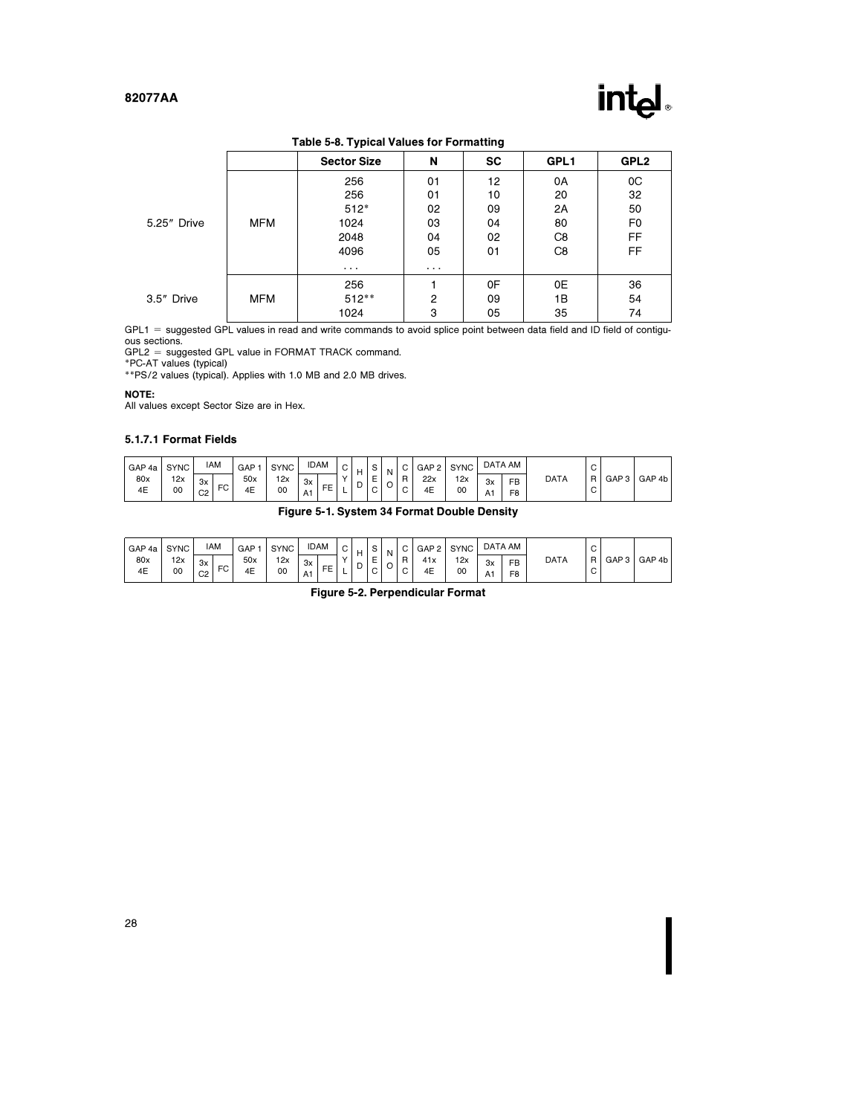

Table 5-8. Typical Values for Formatting

|             |            | <b>Sector Size</b> | N  | <b>SC</b> | GPL1 | GPL <sub>2</sub> |  |
|-------------|------------|--------------------|----|-----------|------|------------------|--|
| 5.25" Drive |            | 256                | 01 | 12        | 0A   | 0C               |  |
|             |            | 256                | 01 | 10        | 20   | 32               |  |
|             | <b>MFM</b> | $512*$             | 02 | 09        | 2A   | 50               |  |
|             |            | 1024               | 03 | 04        | 80   | F <sub>0</sub>   |  |
|             |            | 2048               | 04 | 02        | C8   | FF               |  |
|             |            | 4096               | 05 | 01        | C8   | <b>FF</b>        |  |
|             |            | $\cdots$           | .  |           |      |                  |  |
|             |            | 256                |    | 0F        | 0E   | 36               |  |
| 3.5" Drive  | <b>MFM</b> | $512***$           | 2  | 09        | 1B   | 54               |  |
|             |            | 1024               | 3  | 05        | 35   | 74               |  |

GPL1 = suggested GPL values in read and write commands to avoid splice point between data field and ID field of contiguous sections.

GPL2 e suggested GPL value in FORMAT TRACK command. \*PC-AT values (typical) \*\*PS/2 values (typical). Applies with 1.0 MB and 2.0 MB drives.

#### NOTE:

All values except Sector Size are in Hex.

#### 5.1.7.1 Format Fields

| GAP 4a    | <b>SYNC</b> | <b>IAM</b>           | GAP                        | <b>SYNC</b> |          | <b>IDAM</b>    | $\sim$<br>◡ | н | $\sim$<br>P                                       | N                             |                  | GAP <sub>2</sub> | <b>SYNC</b> |          | DATA AM                     |             | $\sim$<br>◡      |       |        |
|-----------|-------------|----------------------|----------------------------|-------------|----------|----------------|-------------|---|---------------------------------------------------|-------------------------------|------------------|------------------|-------------|----------|-----------------------------|-------------|------------------|-------|--------|
| 80x<br>4E | 12x<br>00   | 3x<br>C <sub>2</sub> | 50x<br>$\sim$<br>4E<br>۰., | 12x<br>00   | 3x<br>A1 | EE<br><u>.</u> | $\sqrt{}$   | ◡ | $\overline{\phantom{0}}$<br>−<br>∽<br>$\sim$<br>v | $\overline{\phantom{0}}$<br>◡ | R<br>$\sim$<br>◡ | 22x<br>4E        | 12x<br>00   | 3x<br>A1 | <b>FB</b><br>F <sub>8</sub> | <b>DATA</b> | R<br>$\sim$<br>◡ | GAP 3 | GAP 4b |

### Figure 5-1. System 34 Format Double Density

| GAP 4a    | <b>SYNC</b> | <b>IAM</b>                      | GAP       | <b>SYNC</b> | <b>IDAM</b>    | ັ |   |                       | N | $\sim$           | GAP <sub>2</sub> | <b>SYNC</b> |          | DATA AM                     |             | $\sim$<br>◡       |       |        |
|-----------|-------------|---------------------------------|-----------|-------------|----------------|---|---|-----------------------|---|------------------|------------------|-------------|----------|-----------------------------|-------------|-------------------|-------|--------|
| 80x<br>4E | 12x<br>00   | 3x<br><b>FC</b><br>$\sim$<br>◡∠ | 50x<br>4E | 12x<br>00   | 3x<br>EE<br>A1 |   | ◡ | -<br>┕<br>$\sim$<br>◡ | O | R<br>$\sim$<br>◡ | 41x<br>4E        | 12x<br>00   | Зx<br>A٦ | <b>FB</b><br>F <sub>8</sub> | <b>DATA</b> | $\mathsf{R}$<br>◡ | GAP 3 | GAP 4b |

Figure 5-2. Perpendicular Format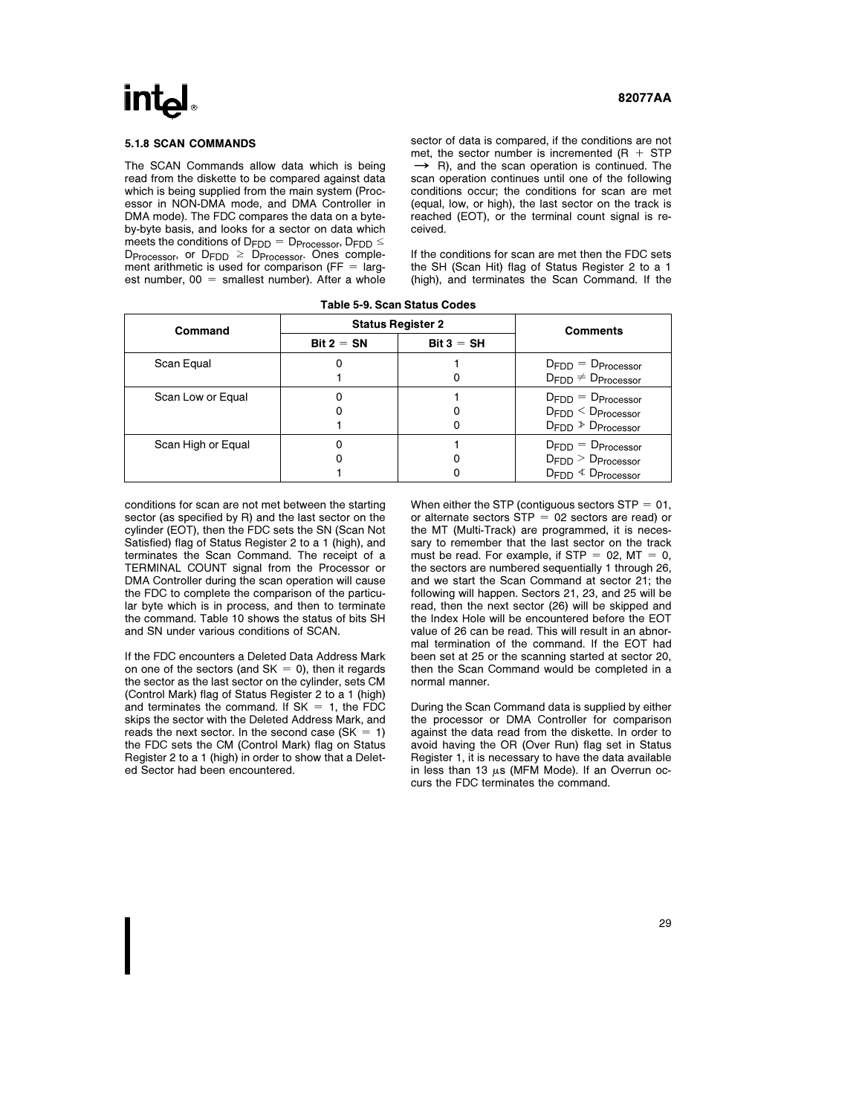#### 5.1.8 SCAN COMMANDS

The SCAN Commands allow data which is being read from the diskette to be compared against data which is being supplied from the main system (Processor in NON-DMA mode, and DMA Controller in DMA mode). The FDC compares the data on a byteby-byte basis, and looks for a sector on data which meets the conditions of  $D_{\text{FDD}} = D_{\text{Processor}}$ ,  $D_{\text{FDD}} \leq$  $D_{\text{Processor}}$ , or  $D_{\text{FDD}} \geq D_{\text{Processor}}$ . Ones complement arithmetic is used for comparison ( $FF = \text{large}$ est number,  $00 =$  smallest number). After a whole sector of data is compared, if the conditions are not met, the sector number is incremented  $(R + STP)$  $\rightarrow$  R), and the scan operation is continued. The scan operation continues until one of the following conditions occur; the conditions for scan are met (equal, low, or high), the last sector on the track is reached (EOT), or the terminal count signal is received.

If the conditions for scan are met then the FDC sets the SH (Scan Hit) flag of Status Register 2 to a 1 (high), and terminates the Scan Command. If the

| <b>Status Register 2</b><br>Command<br><b>Comments</b><br>$Bit 2 = SN$<br>$Bit 3 = SH$<br>Scan Equal<br>$D_{FDD} = D_{Processor}$<br>$D_{FDD} \neq D_{Processor}$<br>Scan Low or Equal<br>$D_{FDD} = D_{Processor}$<br>$D_{FDD} < D_{\text{Processor}}$ |  |  |                                  |
|---------------------------------------------------------------------------------------------------------------------------------------------------------------------------------------------------------------------------------------------------------|--|--|----------------------------------|
|                                                                                                                                                                                                                                                         |  |  |                                  |
|                                                                                                                                                                                                                                                         |  |  |                                  |
|                                                                                                                                                                                                                                                         |  |  |                                  |
|                                                                                                                                                                                                                                                         |  |  |                                  |
|                                                                                                                                                                                                                                                         |  |  |                                  |
|                                                                                                                                                                                                                                                         |  |  |                                  |
|                                                                                                                                                                                                                                                         |  |  | $D_{FDD}$ $\geq$ $D_{Processor}$ |
| Scan High or Equal<br>$D_{FDD} = D_{Processor}$                                                                                                                                                                                                         |  |  |                                  |
| $D_{FDD}$ $>$ $D_{\text{Processor}}$                                                                                                                                                                                                                    |  |  |                                  |
| $D_{FDD}$ $\leq$ $D_{\text{Processor}}$                                                                                                                                                                                                                 |  |  |                                  |

Table 5-9. Scan Status Codes

conditions for scan are not met between the starting sector (as specified by R) and the last sector on the cylinder (EOT), then the FDC sets the SN (Scan Not Satisfied) flag of Status Register 2 to a 1 (high), and terminates the Scan Command. The receipt of a TERMINAL COUNT signal from the Processor or DMA Controller during the scan operation will cause the FDC to complete the comparison of the particular byte which is in process, and then to terminate the command. Table 10 shows the status of bits SH and SN under various conditions of SCAN.

If the FDC encounters a Deleted Data Address Mark on one of the sectors (and  $SK = 0$ ), then it regards the sector as the last sector on the cylinder, sets CM (Control Mark) flag of Status Register 2 to a 1 (high) and terminates the command. If  $SK = 1$ , the FDC skips the sector with the Deleted Address Mark, and reads the next sector. In the second case  $(SK = 1)$ the FDC sets the CM (Control Mark) flag on Status Register 2 to a 1 (high) in order to show that a Deleted Sector had been encountered.

When either the STP (contiguous sectors  $STP = 01$ , or alternate sectors  $STP = 02$  sectors are read) or the MT (Multi-Track) are programmed, it is necessary to remember that the last sector on the track must be read. For example, if STP = 02,  $MT = 0$ , the sectors are numbered sequentially 1 through 26, and we start the Scan Command at sector 21; the following will happen. Sectors 21, 23, and 25 will be read, then the next sector (26) will be skipped and the Index Hole will be encountered before the EOT value of 26 can be read. This will result in an abnormal termination of the command. If the EOT had been set at 25 or the scanning started at sector 20, then the Scan Command would be completed in a normal manner.

During the Scan Command data is supplied by either the processor or DMA Controller for comparison against the data read from the diskette. In order to avoid having the OR (Over Run) flag set in Status Register 1, it is necessary to have the data available in less than 13  $\mu$ s (MFM Mode). If an Overrun occurs the FDC terminates the command.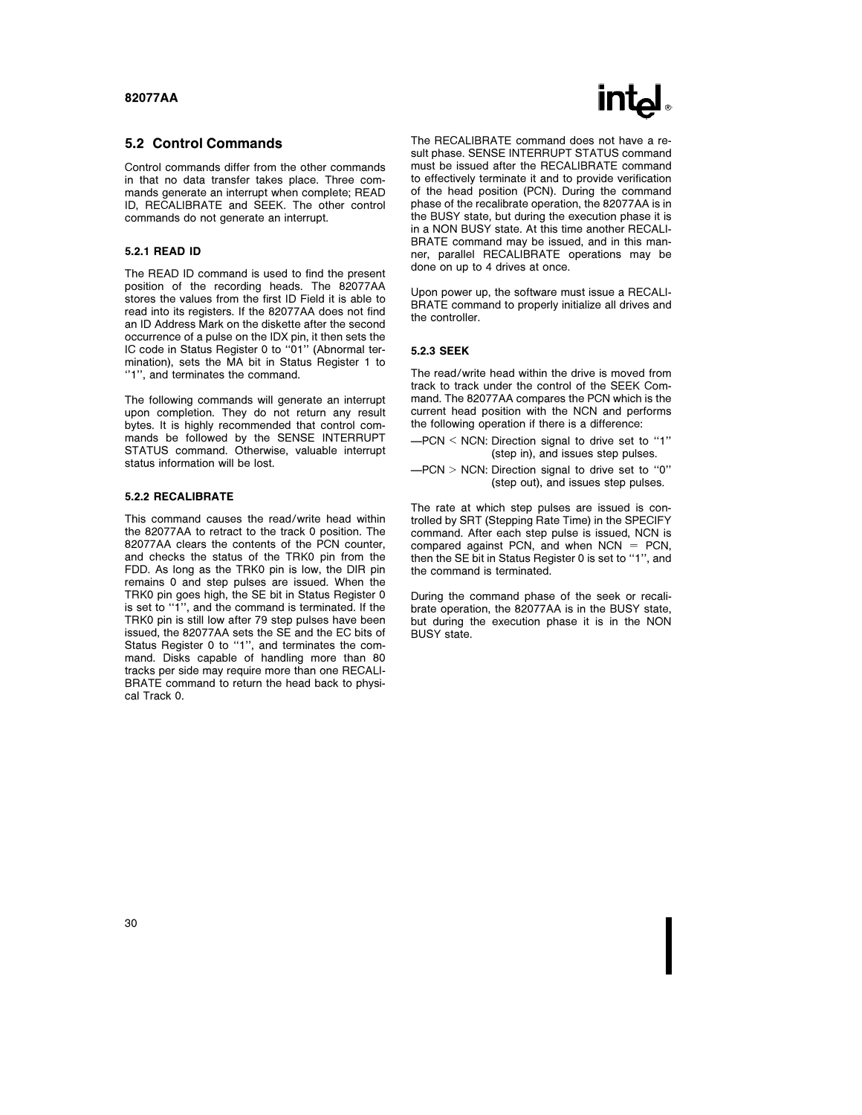#### 5.2 Control Commands

Control commands differ from the other commands in that no data transfer takes place. Three commands generate an interrupt when complete; READ ID, RECALIBRATE and SEEK. The other control commands do not generate an interrupt.

#### 5.2.1 READ ID

The READ ID command is used to find the present position of the recording heads. The 82077AA stores the values from the first ID Field it is able to read into its registers. If the 82077AA does not find an ID Address Mark on the diskette after the second occurrence of a pulse on the IDX pin, it then sets the IC code in Status Register 0 to ''01'' (Abnormal termination), sets the MA bit in Status Register 1 to ''1'', and terminates the command.

The following commands will generate an interrupt upon completion. They do not return any result bytes. It is highly recommended that control commands be followed by the SENSE INTERRUPT STATUS command. Otherwise, valuable interrupt status information will be lost.

#### 5.2.2 RECALIBRATE

This command causes the read/write head within the 82077AA to retract to the track 0 position. The 82077AA clears the contents of the PCN counter, and checks the status of the TRK0 pin from the FDD. As long as the TRK0 pin is low, the DIR pin remains 0 and step pulses are issued. When the TRK0 pin goes high, the SE bit in Status Register 0 is set to ''1'', and the command is terminated. If the TRK0 pin is still low after 79 step pulses have been issued, the 82077AA sets the SE and the EC bits of Status Register 0 to ''1'', and terminates the command. Disks capable of handling more than 80 tracks per side may require more than one RECALI-BRATE command to return the head back to physical Track 0.

# **INTA**

The RECALIBRATE command does not have a result phase. SENSE INTERRUPT STATUS command must be issued after the RECALIBRATE command to effectively terminate it and to provide verification of the head position (PCN). During the command phase of the recalibrate operation, the 82077AA is in the BUSY state, but during the execution phase it is in a NON BUSY state. At this time another RECALI-BRATE command may be issued, and in this manner, parallel RECALIBRATE operations may be done on up to 4 drives at once.

Upon power up, the software must issue a RECALI-BRATE command to properly initialize all drives and the controller.

#### 5.2.3 SEEK

The read/write head within the drive is moved from track to track under the control of the SEEK Command. The 82077AA compares the PCN which is the current head position with the NCN and performs the following operation if there is a difference:

 $-PCN < NCN$ : Direction signal to drive set to "1" (step in), and issues step pulses.

 $-PCN$  > NCN: Direction signal to drive set to "0" (step out), and issues step pulses.

The rate at which step pulses are issued is controlled by SRT (Stepping Rate Time) in the SPECIFY command. After each step pulse is issued, NCN is compared against PCN, and when  $NCN = PCN$ , then the SE bit in Status Register 0 is set to ''1'', and the command is terminated.

During the command phase of the seek or recalibrate operation, the 82077AA is in the BUSY state, but during the execution phase it is in the NON BUSY state.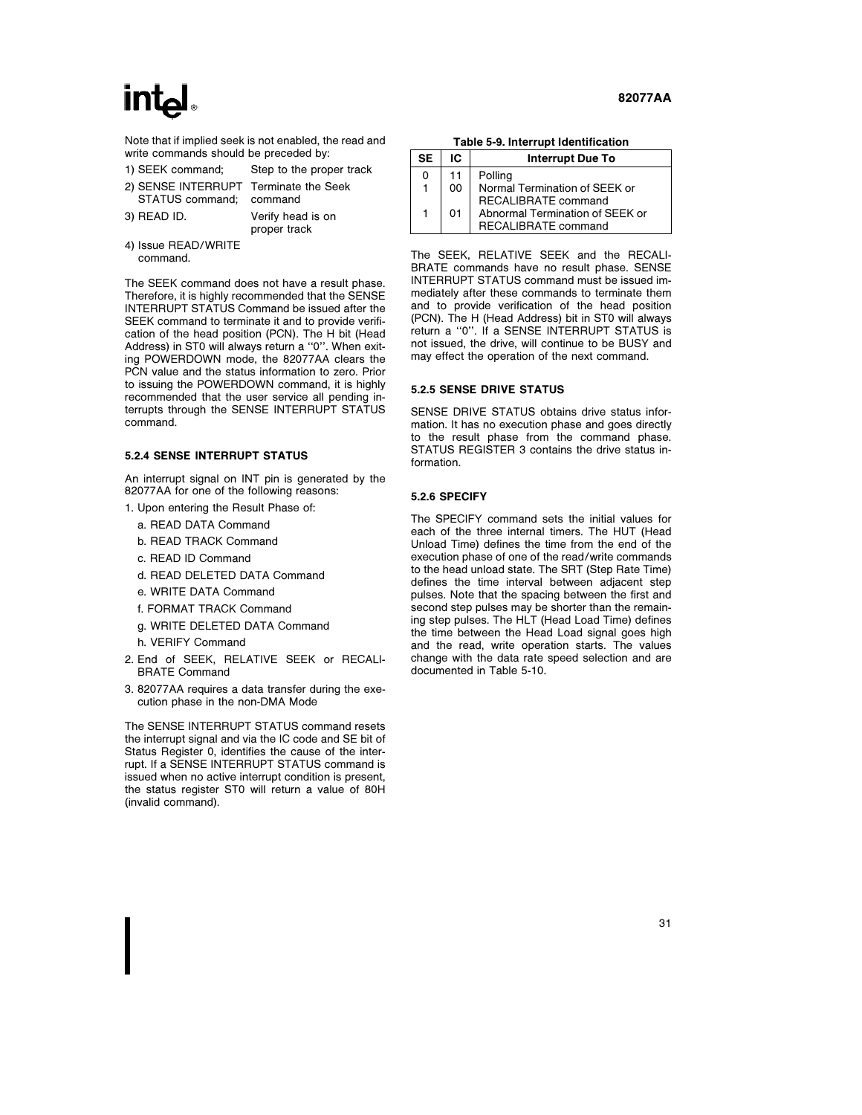Note that if implied seek is not enabled, the read and write commands should be preceded by:

| 1) SEEK command;                                                 | Step to the proper track          |
|------------------------------------------------------------------|-----------------------------------|
| 2) SENSE INTERRUPT Terminate the Seek<br>STATUS command; command |                                   |
| 3) READ ID.                                                      | Verify head is on<br>proper track |

4) Issue READ/WRITE command.

The SEEK command does not have a result phase. Therefore, it is highly recommended that the SENSE INTERRUPT STATUS Command be issued after the SEEK command to terminate it and to provide verification of the head position (PCN). The H bit (Head Address) in ST0 will always return a ''0''. When exiting POWERDOWN mode, the 82077AA clears the PCN value and the status information to zero. Prior to issuing the POWERDOWN command, it is highly recommended that the user service all pending interrupts through the SENSE INTERRUPT STATUS command.

#### 5.2.4 SENSE INTERRUPT STATUS

An interrupt signal on INT pin is generated by the 82077AA for one of the following reasons:

- 1. Upon entering the Result Phase of:
	- a. READ DATA Command
	- b. READ TRACK Command
	- c. READ ID Command
	- d. READ DELETED DATA Command
	- e. WRITE DATA Command
	- f. FORMAT TRACK Command
	- g. WRITE DELETED DATA Command
	- h. VERIFY Command
- 2. End of SEEK, RELATIVE SEEK or RECALI-BRATE Command
- 3. 82077AA requires a data transfer during the execution phase in the non-DMA Mode

The SENSE INTERRUPT STATUS command resets the interrupt signal and via the IC code and SE bit of Status Register 0, identifies the cause of the interrupt. If a SENSE INTERRUPT STATUS command is issued when no active interrupt condition is present, the status register ST0 will return a value of 80H (invalid command).

Table 5-9. Interrupt Identification

| <b>SE</b> | IC. | <b>Interrupt Due To</b>         |
|-----------|-----|---------------------------------|
| 0         | 11  | Polling                         |
|           | 00  | Normal Termination of SEEK or   |
|           |     | RECALIBRATE command             |
|           | 01  | Abnormal Termination of SEEK or |
|           |     | RECALIBRATE command             |

The SEEK, RELATIVE SEEK and the RECALI-BRATE commands have no result phase. SENSE INTERRUPT STATUS command must be issued immediately after these commands to terminate them and to provide verification of the head position (PCN). The H (Head Address) bit in ST0 will always return a ''0''. If a SENSE INTERRUPT STATUS is not issued, the drive, will continue to be BUSY and may effect the operation of the next command.

#### 5.2.5 SENSE DRIVE STATUS

SENSE DRIVE STATUS obtains drive status information. It has no execution phase and goes directly to the result phase from the command phase. STATUS REGISTER 3 contains the drive status information.

#### 5.2.6 SPECIFY

The SPECIFY command sets the initial values for each of the three internal timers. The HUT (Head Unload Time) defines the time from the end of the execution phase of one of the read/write commands to the head unload state. The SRT (Step Rate Time) defines the time interval between adjacent step pulses. Note that the spacing between the first and second step pulses may be shorter than the remaining step pulses. The HLT (Head Load Time) defines the time between the Head Load signal goes high and the read, write operation starts. The values change with the data rate speed selection and are documented in Table 5-10.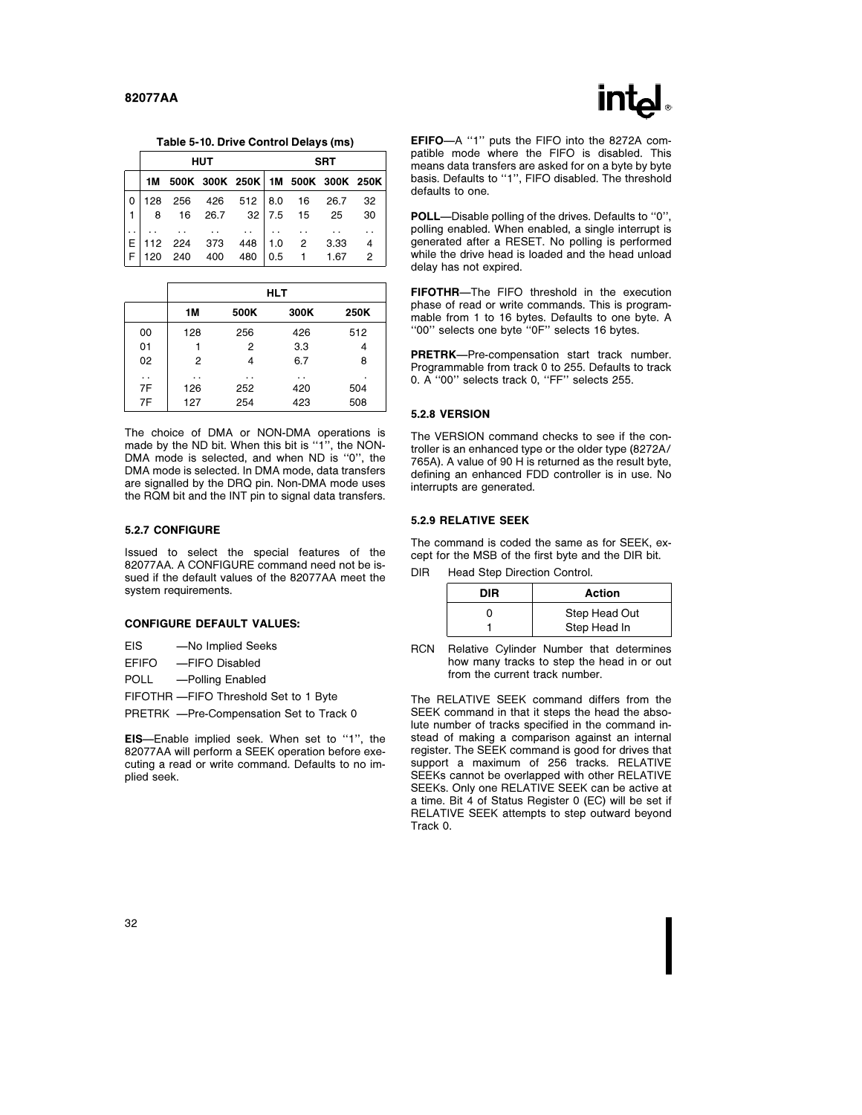

|     |             | <b>HUT</b>                          |     |     |                | <b>SRT</b> |                |
|-----|-------------|-------------------------------------|-----|-----|----------------|------------|----------------|
|     |             | 1M 500K 300K 250K 1M 500K 300K 250K |     |     |                |            |                |
|     |             | 128 256 426 512 8.0 16 26.7         |     |     |                |            | 32             |
| 8   |             | 16 26.7 32 7.5                      |     |     | 15             | 25         | 30             |
|     |             |                                     |     |     |                |            |                |
|     | 112 224 373 |                                     | 448 |     | 1.0 2 3.33     |            |                |
| 120 | 240         | 400                                 | 480 | 0.5 | $\overline{1}$ | 1.67       | $\overline{2}$ |

|                      |     |      | <b>HLT</b> |      |
|----------------------|-----|------|------------|------|
|                      | 1M  | 500K | 300K       | 250K |
| 00                   | 128 | 256  | 426        | 512  |
| 01                   |     | 2    | 3.3        | 4    |
| 02                   | 2   | 4    | 6.7        | 8    |
| $\ddot{\phantom{1}}$ | . . | . .  | . .        |      |
| 7F                   | 126 | 252  | 420        | 504  |
| 7F                   | 127 | 254  | 423        | 508  |

The choice of DMA or NON-DMA operations is made by the ND bit. When this bit is ''1'', the NON-DMA mode is selected, and when ND is ''0'', the DMA mode is selected. In DMA mode, data transfers are signalled by the DRQ pin. Non-DMA mode uses the RQM bit and the INT pin to signal data transfers.

#### 5.2.7 CONFIGURE

Issued to select the special features of the 82077AA. A CONFIGURE command need not be issued if the default values of the 82077AA meet the system requirements.

#### CONFIGURE DEFAULT VALUES:

EIS - No Implied Seeks

EFIFO - FIFO Disabled

POLL -Polling Enabled

FIFOTHR - FIFO Threshold Set to 1 Byte

PRETRK -Pre-Compensation Set to Track 0

EIS-Enable implied seek. When set to "1", the 82077AA will perform a SEEK operation before executing a read or write command. Defaults to no implied seek.



EFIFO-A "1" puts the FIFO into the 8272A compatible mode where the FIFO is disabled. This means data transfers are asked for on a byte by byte basis. Defaults to ''1'', FIFO disabled. The threshold defaults to one.

POLL--Disable polling of the drives. Defaults to "0", polling enabled. When enabled, a single interrupt is generated after a RESET. No polling is performed while the drive head is loaded and the head unload delay has not expired.

FIFOTHR-The FIFO threshold in the execution phase of read or write commands. This is programmable from 1 to 16 bytes. Defaults to one byte. A ''00'' selects one byte ''0F'' selects 16 bytes.

PRETRK-Pre-compensation start track number. Programmable from track 0 to 255. Defaults to track 0. A ''00'' selects track 0, ''FF'' selects 255.

#### 5.2.8 VERSION

The VERSION command checks to see if the controller is an enhanced type or the older type (8272A/ 765A). A value of 90 H is returned as the result byte, defining an enhanced FDD controller is in use. No interrupts are generated.

#### 5.2.9 RELATIVE SEEK

The command is coded the same as for SEEK, except for the MSB of the first byte and the DIR bit.

DIR Head Step Direction Control.

| DIR | Action        |
|-----|---------------|
|     | Step Head Out |
|     | Step Head In  |

RCN Relative Cylinder Number that determines how many tracks to step the head in or out from the current track number.

The RELATIVE SEEK command differs from the SEEK command in that it steps the head the absolute number of tracks specified in the command instead of making a comparison against an internal register. The SEEK command is good for drives that support a maximum of 256 tracks. RELATIVE SEEKs cannot be overlapped with other RELATIVE SEEKs. Only one RELATIVE SEEK can be active at a time. Bit 4 of Status Register 0 (EC) will be set if RELATIVE SEEK attempts to step outward beyond Track 0.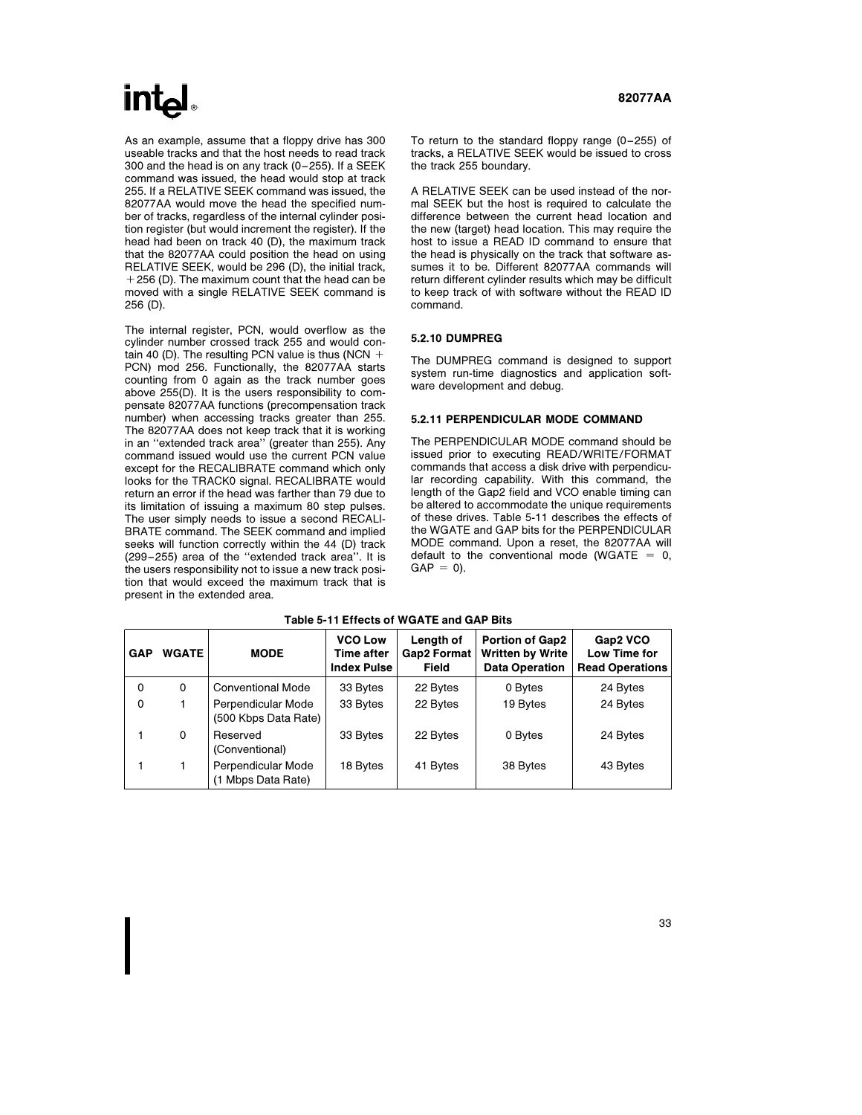# $\mathsf{Int}$

As an example, assume that a floppy drive has 300 useable tracks and that the host needs to read track 300 and the head is on any track (0 –255). If a SEEK command was issued, the head would stop at track 255. If a RELATIVE SEEK command was issued, the 82077AA would move the head the specified number of tracks, regardless of the internal cylinder position register (but would increment the register). If the head had been on track 40 (D), the maximum track that the 82077AA could position the head on using RELATIVE SEEK, would be 296 (D), the initial track,  $+256$  (D). The maximum count that the head can be moved with a single RELATIVE SEEK command is 256 (D).

The internal register, PCN, would overflow as the cylinder number crossed track 255 and would contain 40 (D). The resulting PCN value is thus (NCN  $+$ PCN) mod 256. Functionally, the 82077AA starts counting from 0 again as the track number goes above 255(D). It is the users responsibility to compensate 82077AA functions (precompensation track number) when accessing tracks greater than 255. The 82077AA does not keep track that it is working in an ''extended track area'' (greater than 255). Any command issued would use the current PCN value except for the RECALIBRATE command which only looks for the TRACK0 signal. RECALIBRATE would return an error if the head was farther than 79 due to its limitation of issuing a maximum 80 step pulses. The user simply needs to issue a second RECALI-BRATE command. The SEEK command and implied seeks will function correctly within the 44 (D) track (299 –255) area of the ''extended track area''. It is the users responsibility not to issue a new track position that would exceed the maximum track that is present in the extended area.

#### 82077AA

To return to the standard floppy range (0 –255) of tracks, a RELATIVE SEEK would be issued to cross the track 255 boundary.

A RELATIVE SEEK can be used instead of the normal SEEK but the host is required to calculate the difference between the current head location and the new (target) head location. This may require the host to issue a READ ID command to ensure that the head is physically on the track that software assumes it to be. Different 82077AA commands will return different cylinder results which may be difficult to keep track of with software without the READ ID command.

#### 5.2.10 DUMPREG

The DUMPREG command is designed to support system run-time diagnostics and application software development and debug.

#### 5.2.11 PERPENDICULAR MODE COMMAND

The PERPENDICULAR MODE command should be issued prior to executing READ/WRITE/FORMAT commands that access a disk drive with perpendicular recording capability. With this command, the length of the Gap2 field and VCO enable timing can be altered to accommodate the unique requirements of these drives. Table 5-11 describes the effects of the WGATE and GAP bits for the PERPENDICULAR MODE command. Upon a reset, the 82077AA will default to the conventional mode (WGATE  $= 0$ ,  $GAP = 0$ ).

| <b>GAP</b> | <b>WGATE</b> | <b>MODE</b>                                | <b>VCO Low</b><br>Time after<br><b>Index Pulse</b> | Length of<br><b>Gap2 Format</b><br><b>Field</b> | <b>Portion of Gap2</b><br><b>Written by Write</b><br><b>Data Operation</b> | Gap2 VCO<br>Low Time for<br><b>Read Operations</b> |
|------------|--------------|--------------------------------------------|----------------------------------------------------|-------------------------------------------------|----------------------------------------------------------------------------|----------------------------------------------------|
| 0          | 0            | <b>Conventional Mode</b>                   | 33 Bytes                                           | 22 Bytes                                        | 0 Bytes                                                                    | 24 Bytes                                           |
| 0          |              | Perpendicular Mode<br>(500 Kbps Data Rate) | 33 Bytes                                           | 22 Bytes                                        | 19 Bytes                                                                   | 24 Bytes                                           |
|            | 0            | Reserved<br>(Conventional)                 | 33 Bytes                                           | 22 Bytes                                        | 0 Bytes                                                                    | 24 Bytes                                           |
|            |              | Perpendicular Mode<br>(1 Mbps Data Rate)   | 18 Bytes                                           | 41 Bytes                                        | 38 Bytes                                                                   | 43 Bytes                                           |

#### Table 5-11 Effects of WGATE and GAP Bits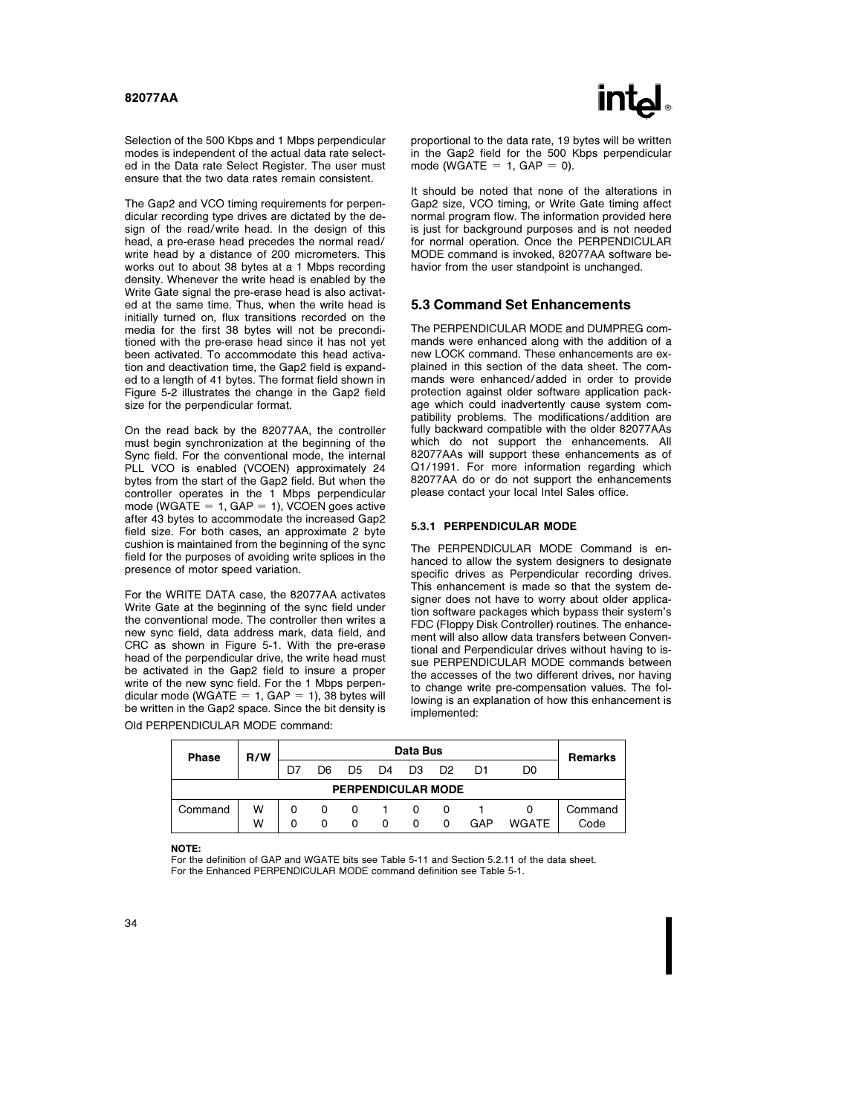

Selection of the 500 Kbps and 1 Mbps perpendicular modes is independent of the actual data rate selected in the Data rate Select Register. The user must ensure that the two data rates remain consistent.

The Gap2 and VCO timing requirements for perpendicular recording type drives are dictated by the design of the read/write head. In the design of this head, a pre-erase head precedes the normal read/ write head by a distance of 200 micrometers. This works out to about 38 bytes at a 1 Mbps recording density. Whenever the write head is enabled by the Write Gate signal the pre-erase head is also activated at the same time. Thus, when the write head is initially turned on, flux transitions recorded on the media for the first 38 bytes will not be preconditioned with the pre-erase head since it has not yet been activated. To accommodate this head activation and deactivation time, the Gap2 field is expanded to a length of 41 bytes. The format field shown in Figure 5-2 illustrates the change in the Gap2 field size for the perpendicular format.

On the read back by the 82077AA, the controller must begin synchronization at the beginning of the Sync field. For the conventional mode, the internal PLL VCO is enabled (VCOEN) approximately 24 bytes from the start of the Gap2 field. But when the controller operates in the 1 Mbps perpendicular mode (WGATE =  $1$ , GAP =  $1$ ), VCOEN goes active after 43 bytes to accommodate the increased Gap2 field size. For both cases, an approximate 2 byte cushion is maintained from the beginning of the sync field for the purposes of avoiding write splices in the presence of motor speed variation.

For the WRITE DATA case, the 82077AA activates Write Gate at the beginning of the sync field under the conventional mode. The controller then writes a new sync field, data address mark, data field, and CRC as shown in Figure 5-1. With the pre-erase head of the perpendicular drive, the write head must be activated in the Gap2 field to insure a proper write of the new sync field. For the 1 Mbps perpendicular mode (WGATE =  $1$ , GAP =  $1$ ), 38 bytes will be written in the Gap2 space. Since the bit density is Old PERPENDICULAR MODE command:

proportional to the data rate, 19 bytes will be written in the Gap2 field for the 500 Kbps perpendicular mode (WGATE =  $1$ , GAP = 0).

It should be noted that none of the alterations in Gap2 size, VCO timing, or Write Gate timing affect normal program flow. The information provided here is just for background purposes and is not needed for normal operation. Once the PERPENDICULAR MODE command is invoked, 82077AA software behavior from the user standpoint is unchanged.

#### 5.3 Command Set Enhancements

The PERPENDICULAR MODE and DUMPREG commands were enhanced along with the addition of a new LOCK command. These enhancements are explained in this section of the data sheet. The commands were enhanced/added in order to provide protection against older software application package which could inadvertently cause system compatibility problems. The modifications/addition are fully backward compatible with the older 82077AAs which do not support the enhancements. All 82077AAs will support these enhancements as of Q1/1991. For more information regarding which 82077AA do or do not support the enhancements please contact your local Intel Sales office.

#### 5.3.1 PERPENDICULAR MODE

The PERPENDICULAR MODE Command is enhanced to allow the system designers to designate specific drives as Perpendicular recording drives. This enhancement is made so that the system designer does not have to worry about older application software packages which bypass their system's FDC (Floppy Disk Controller) routines. The enhancement will also allow data transfers between Conventional and Perpendicular drives without having to issue PERPENDICULAR MODE commands between the accesses of the two different drives, nor having to change write pre-compensation values. The following is an explanation of how this enhancement is implemented:

| Data Bus<br>R/W<br><b>Phase</b> |   |    |     |    |    |                |                           |     | Remarks        |         |
|---------------------------------|---|----|-----|----|----|----------------|---------------------------|-----|----------------|---------|
|                                 |   | D7 | D6. | D5 | D4 | D <sub>3</sub> | D <sub>2</sub>            | D1  | D <sub>0</sub> |         |
|                                 |   |    |     |    |    |                | <b>PERPENDICULAR MODE</b> |     |                |         |
| Command                         | W |    | n   | 0  |    | 0              | 0                         |     |                | Command |
|                                 | W | ŋ  |     | n  | n  | 0              | <sup>0</sup>              | GAP | <b>WGATF</b>   | Code    |

#### NOTE:

For the definition of GAP and WGATE bits see Table 5-11 and Section 5.2.11 of the data sheet. For the Enhanced PERPENDICULAR MODE command definition see Table 5-1.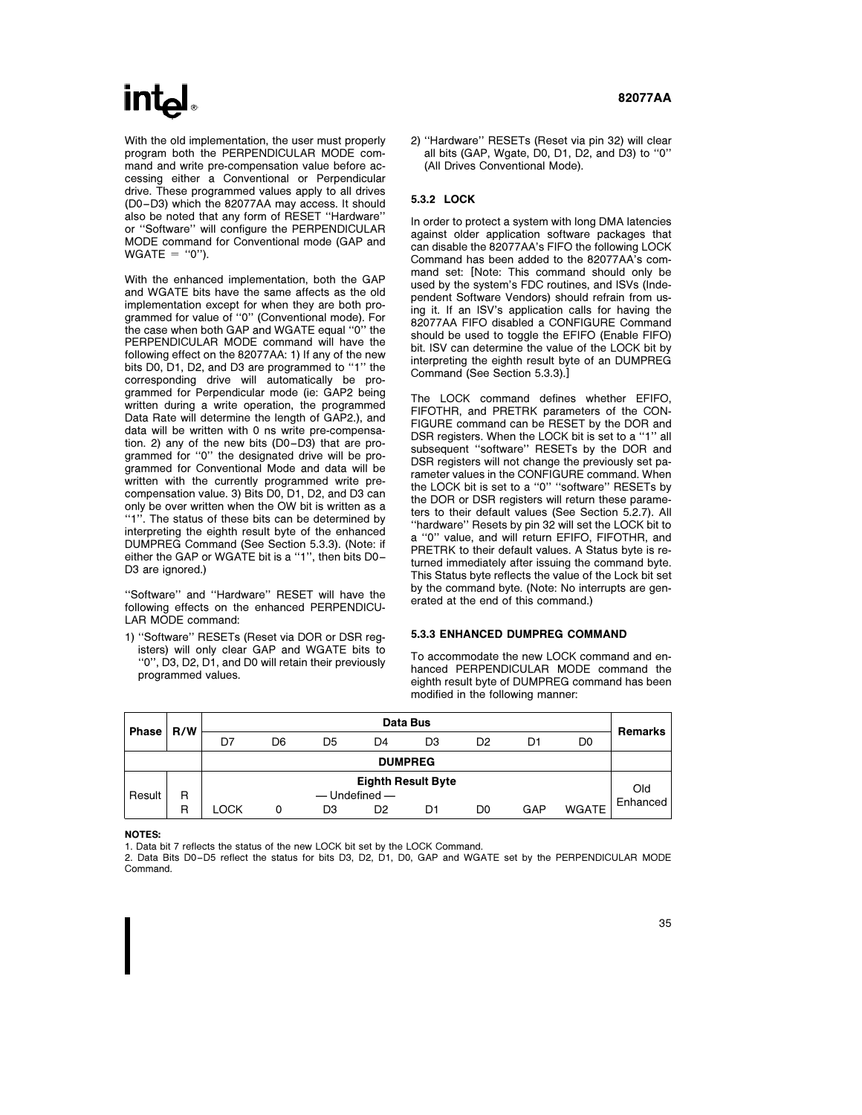# **int**

With the old implementation, the user must properly program both the PERPENDICULAR MODE command and write pre-compensation value before accessing either a Conventional or Perpendicular drive. These programmed values apply to all drives (D0 –D3) which the 82077AA may access. It should also be noted that any form of RESET ''Hardware'' or ''Software'' will configure the PERPENDICULAR MODE command for Conventional mode (GAP and  $WGATE = "0"$ ).

With the enhanced implementation, both the GAP and WGATE bits have the same affects as the old implementation except for when they are both programmed for value of ''0'' (Conventional mode). For the case when both GAP and WGATE equal ''0'' the PERPENDICULAR MODE command will have the following effect on the 82077AA: 1) If any of the new bits D0, D1, D2, and D3 are programmed to ''1'' the corresponding drive will automatically be programmed for Perpendicular mode (ie: GAP2 being written during a write operation, the programmed Data Rate will determine the length of GAP2.), and data will be written with 0 ns write pre-compensation. 2) any of the new bits (D0 –D3) that are programmed for ''0'' the designated drive will be programmed for Conventional Mode and data will be written with the currently programmed write precompensation value. 3) Bits D0, D1, D2, and D3 can only be over written when the OW bit is written as a "1". The status of these bits can be determined by interpreting the eighth result byte of the enhanced DUMPREG Command (See Section 5.3.3). (Note: if either the GAP or WGATE bit is a ''1'', then bits D0 – D<sub>3</sub> are ignored.)

''Software'' and ''Hardware'' RESET will have the following effects on the enhanced PERPENDICU-LAR MODE command:

1) ''Software'' RESETs (Reset via DOR or DSR registers) will only clear GAP and WGATE bits to ''0'', D3, D2, D1, and D0 will retain their previously programmed values.

2) ''Hardware'' RESETs (Reset via pin 32) will clear all bits (GAP, Wgate, D0, D1, D2, and D3) to ''0'' (All Drives Conventional Mode).

#### 5.3.2 LOCK

In order to protect a system with long DMA latencies against older application software packages that can disable the 82077AA's FIFO the following LOCK Command has been added to the 82077AA's command set: [Note: This command should only be used by the system's FDC routines, and ISVs (Independent Software Vendors) should refrain from using it. If an ISV's application calls for having the 82077AA FIFO disabled a CONFIGURE Command should be used to toggle the EFIFO (Enable FIFO) bit. ISV can determine the value of the LOCK bit by interpreting the eighth result byte of an DUMPREG Command (See Section 5.3.3).]

The LOCK command defines whether EFIFO, FIFOTHR, and PRETRK parameters of the CON-FIGURE command can be RESET by the DOR and DSR registers. When the LOCK bit is set to a ''1'' all subsequent ''software'' RESETs by the DOR and DSR registers will not change the previously set parameter values in the CONFIGURE command. When the LOCK bit is set to a ''0'' ''software'' RESETs by the DOR or DSR registers will return these parameters to their default values (See Section 5.2.7). All ''hardware'' Resets by pin 32 will set the LOCK bit to a ''0'' value, and will return EFIFO, FIFOTHR, and PRETRK to their default values. A Status byte is returned immediately after issuing the command byte. This Status byte reflects the value of the Lock bit set by the command byte. (Note: No interrupts are generated at the end of this command.)

#### 5.3.3 ENHANCED DUMPREG COMMAND

To accommodate the new LOCK command and enhanced PERPENDICULAR MODE command the eighth result byte of DUMPREG command has been modified in the following manner:

| <b>Phase</b> | R/W |      |    |    |                                                | Data Bus       |    |     |                | Remarks  |
|--------------|-----|------|----|----|------------------------------------------------|----------------|----|-----|----------------|----------|
|              |     | D7   | D6 | D5 | D4                                             | D3             | D2 | D1  | D <sub>0</sub> |          |
|              |     |      |    |    |                                                | <b>DUMPREG</b> |    |     |                |          |
| Result       | R   |      |    |    | <b>Eighth Result Byte</b><br>$-$ Undefined $-$ |                |    |     |                | Old      |
|              | R   | -OCK | 0  | DЗ | D2                                             | D1             | D0 | GAP | <b>WGATE</b>   | Enhanced |

NOTES:

1. Data bit 7 reflects the status of the new LOCK bit set by the LOCK Command.

2. Data Bits D0 –D5 reflect the status for bits D3, D2, D1, D0, GAP and WGATE set by the PERPENDICULAR MODE Command.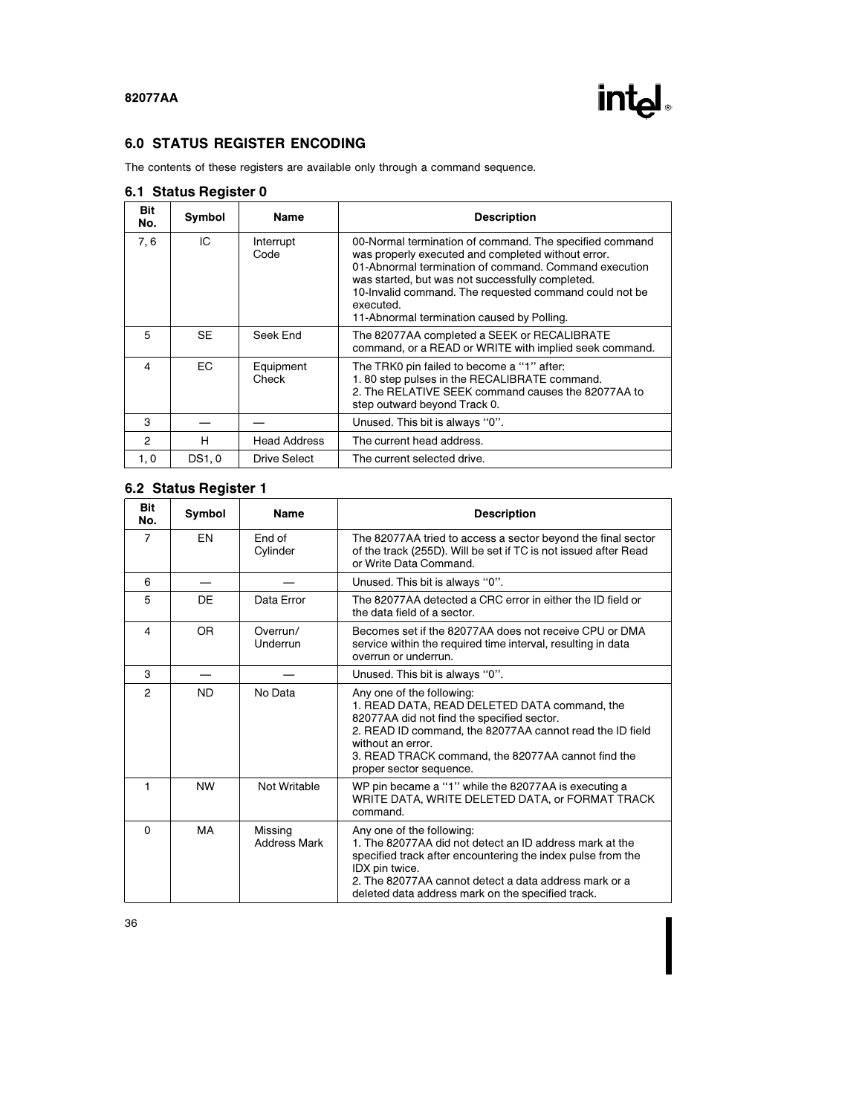

# 6.0 STATUS REGISTER ENCODING

The contents of these registers are available only through a command sequence.

|                | ັ      |                     |                                                                                                                                                                                                                                                                                                                                                 |
|----------------|--------|---------------------|-------------------------------------------------------------------------------------------------------------------------------------------------------------------------------------------------------------------------------------------------------------------------------------------------------------------------------------------------|
| Bit<br>No.     | Symbol | Name                | <b>Description</b>                                                                                                                                                                                                                                                                                                                              |
| 7.6            | IC     | Interrupt<br>Code   | 00-Normal termination of command. The specified command<br>was properly executed and completed without error.<br>01-Abnormal termination of command. Command execution<br>was started, but was not successfully completed.<br>10-Invalid command. The requested command could not be<br>executed.<br>11-Abnormal termination caused by Polling. |
| 5              | SE     | Seek End            | The 82077AA completed a SEEK or RECALIBRATE<br>command, or a READ or WRITE with implied seek command.                                                                                                                                                                                                                                           |
| 4              | EC.    | Equipment<br>Check  | The TRK0 pin failed to become a "1" after:<br>1.80 step pulses in the RECALIBRATE command.<br>2. The RELATIVE SEEK command causes the 82077AA to<br>step outward beyond Track 0.                                                                                                                                                                |
| 3              |        |                     | Unused. This bit is always "0".                                                                                                                                                                                                                                                                                                                 |
| $\mathfrak{p}$ | н      | <b>Head Address</b> | The current head address.                                                                                                                                                                                                                                                                                                                       |
| 1, 0           | DS1, 0 | Drive Select        | The current selected drive.                                                                                                                                                                                                                                                                                                                     |

## 6.1 Status Register 0

# 6.2 Status Register 1

| <b>Bit</b><br>No. | Symbol    | <b>Name</b>                    | <b>Description</b>                                                                                                                                                                                                                                                                        |  |  |
|-------------------|-----------|--------------------------------|-------------------------------------------------------------------------------------------------------------------------------------------------------------------------------------------------------------------------------------------------------------------------------------------|--|--|
| $\overline{7}$    | EN        | End of<br>Cylinder             | The 82077AA tried to access a sector beyond the final sector<br>of the track (255D). Will be set if TC is not issued after Read<br>or Write Data Command.                                                                                                                                 |  |  |
| 6                 |           |                                | Unused. This bit is always "0".                                                                                                                                                                                                                                                           |  |  |
| 5                 | DE        | Data Error                     | The 82077AA detected a CRC error in either the ID field or<br>the data field of a sector.                                                                                                                                                                                                 |  |  |
| $\overline{4}$    | OR.       | Overrun/<br>Underrun           | Becomes set if the 82077AA does not receive CPU or DMA<br>service within the required time interval, resulting in data<br>overrun or underrun.                                                                                                                                            |  |  |
| 3                 |           |                                | Unused. This bit is always "0".                                                                                                                                                                                                                                                           |  |  |
| $\overline{2}$    | <b>ND</b> | No Data                        | Any one of the following:<br>1. READ DATA, READ DELETED DATA command, the<br>82077AA did not find the specified sector.<br>2. READ ID command, the 82077AA cannot read the ID field<br>without an error.<br>3. READ TRACK command, the 82077AA cannot find the<br>proper sector sequence. |  |  |
| 1                 | <b>NW</b> | Not Writable                   | WP pin became a "1" while the 82077AA is executing a<br>WRITE DATA, WRITE DELETED DATA, or FORMAT TRACK<br>command.                                                                                                                                                                       |  |  |
| $\Omega$          | MA        | Missing<br><b>Address Mark</b> | Any one of the following:<br>1. The 82077AA did not detect an ID address mark at the<br>specified track after encountering the index pulse from the<br>IDX pin twice.<br>2. The 82077AA cannot detect a data address mark or a<br>deleted data address mark on the specified track.       |  |  |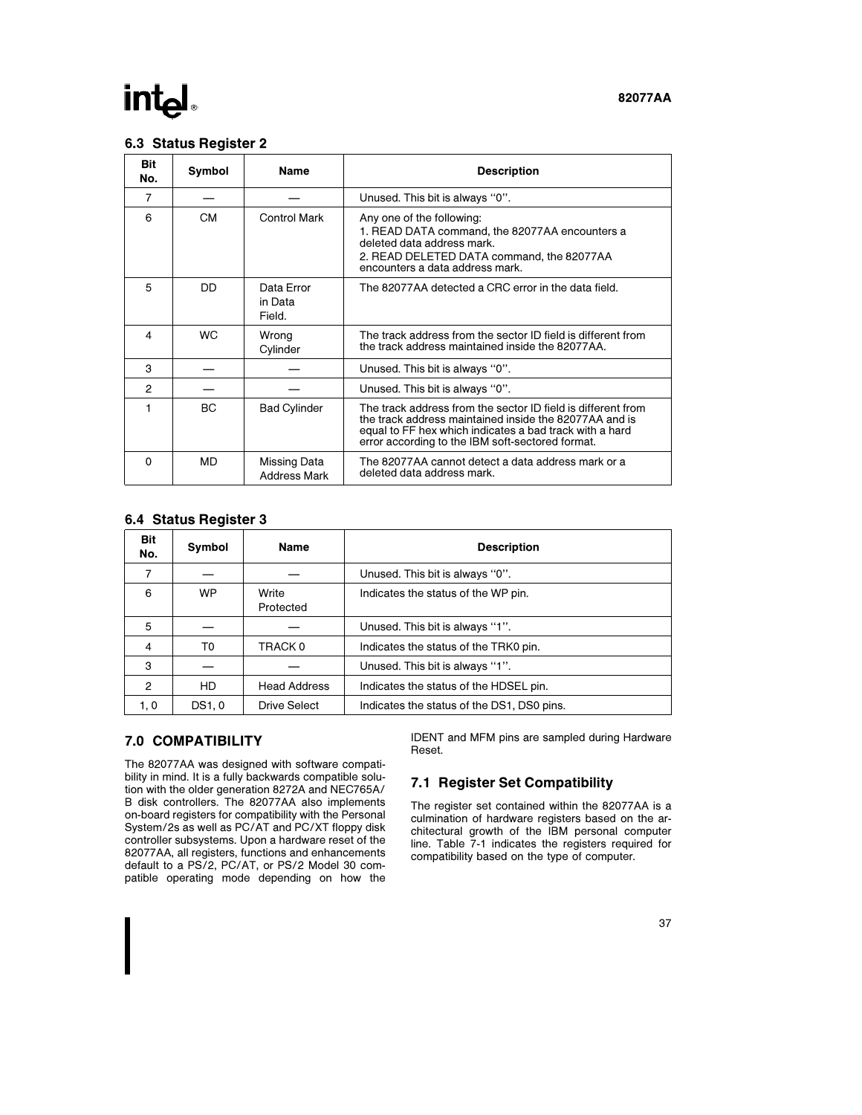# **intel**

#### 82077AA

### 6.3 Status Register 2

| <b>Bit</b><br>No. | Symbol    | <b>Name</b>                         | <b>Description</b>                                                                                                                                                                                                                    |
|-------------------|-----------|-------------------------------------|---------------------------------------------------------------------------------------------------------------------------------------------------------------------------------------------------------------------------------------|
| $\overline{7}$    |           |                                     | Unused. This bit is always "0".                                                                                                                                                                                                       |
| 6                 | <b>CM</b> | Control Mark                        | Any one of the following:<br>1. READ DATA command, the 82077AA encounters a<br>deleted data address mark<br>2. READ DELETED DATA command, the 82077AA<br>encounters a data address mark.                                              |
| 5                 | DD        | Data Error<br>in Data<br>Field.     | The 82077AA detected a CRC error in the data field.                                                                                                                                                                                   |
| 4                 | <b>WC</b> | Wrong<br>Cylinder                   | The track address from the sector ID field is different from<br>the track address maintained inside the 82077AA.                                                                                                                      |
| 3                 |           |                                     | Unused. This bit is always "0".                                                                                                                                                                                                       |
| $\overline{2}$    |           |                                     | Unused. This bit is always "0".                                                                                                                                                                                                       |
|                   | ВC        | <b>Bad Cylinder</b>                 | The track address from the sector ID field is different from<br>the track address maintained inside the 82077AA and is<br>equal to FF hex which indicates a bad track with a hard<br>error according to the IBM soft-sectored format. |
| 0                 | MD        | Missing Data<br><b>Address Mark</b> | The 82077AA cannot detect a data address mark or a<br>deleted data address mark.                                                                                                                                                      |

### 6.4 Status Register 3

| Bit<br>No.     | Symbol | Name                | <b>Description</b>                         |
|----------------|--------|---------------------|--------------------------------------------|
|                |        |                     | Unused. This bit is always "0".            |
| 6              | WP.    | Write<br>Protected  | Indicates the status of the WP pin.        |
| 5              |        |                     | Unused. This bit is always "1".            |
| $\overline{4}$ | T0     | TRACK 0             | Indicates the status of the TRK0 pin.      |
| 3              |        |                     | Unused. This bit is always "1".            |
| $\overline{2}$ | HD.    | <b>Head Address</b> | Indicates the status of the HDSEL pin.     |
| 1, 0           | DS1, 0 | Drive Select        | Indicates the status of the DS1, DS0 pins. |

### 7.0 COMPATIBILITY

The 82077AA was designed with software compatibility in mind. It is a fully backwards compatible solution with the older generation 8272A and NEC765A/ B disk controllers. The 82077AA also implements on-board registers for compatibility with the Personal System/2s as well as PC/AT and PC/XT floppy disk controller subsystems. Upon a hardware reset of the 82077AA, all registers, functions and enhancements default to a PS/2, PC/AT, or PS/2 Model 30 compatible operating mode depending on how the

IDENT and MFM pins are sampled during Hardware Reset.

# 7.1 Register Set Compatibility

The register set contained within the 82077AA is a culmination of hardware registers based on the architectural growth of the IBM personal computer line. Table 7-1 indicates the registers required for compatibility based on the type of computer.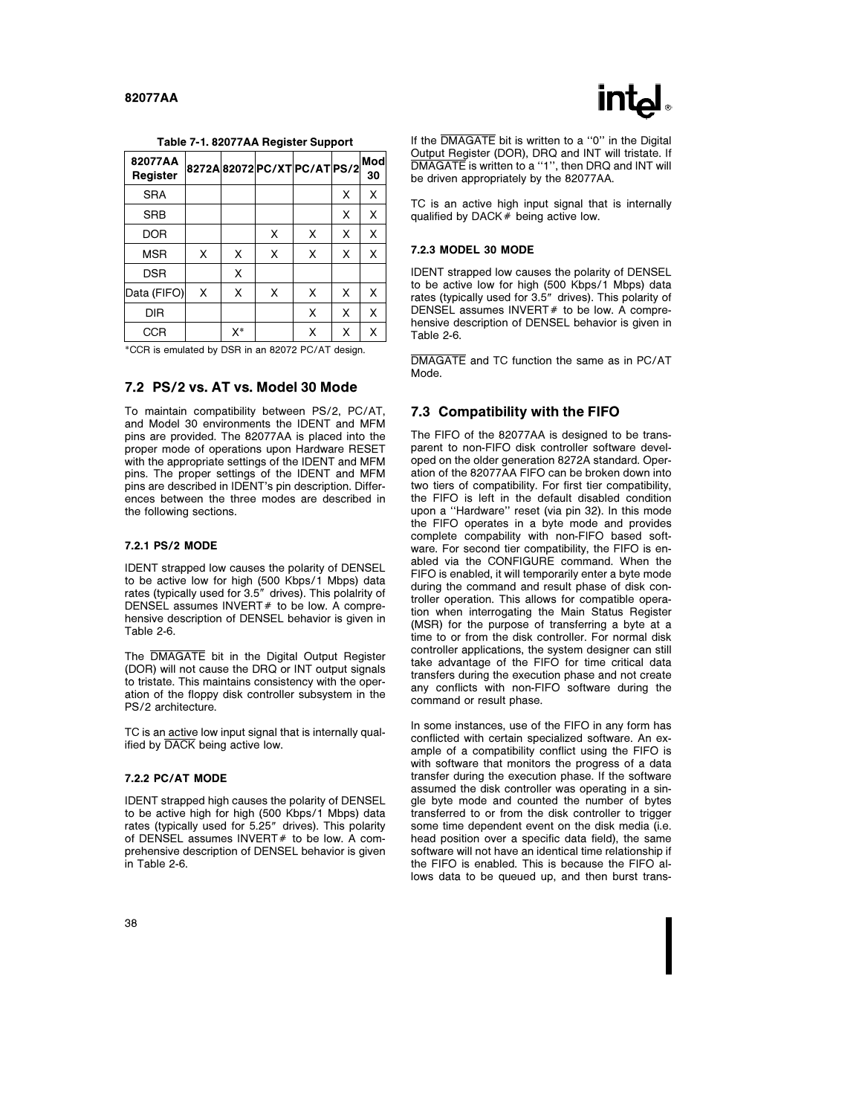

|  | Table 7-1. 82077AA Register Support |  |  |
|--|-------------------------------------|--|--|
|--|-------------------------------------|--|--|

| 82077AA<br>Register |   |    |   | 8272A82072PC/XTPC/ATPS/2 |   | Mod<br>30 |
|---------------------|---|----|---|--------------------------|---|-----------|
| <b>SRA</b>          |   |    |   |                          | Χ | X         |
| <b>SRB</b>          |   |    |   |                          | Χ | X         |
| <b>DOR</b>          |   |    | X | X                        | X | X         |
| <b>MSR</b>          | X | X  | X | X                        | X | X         |
| <b>DSR</b>          |   | X  |   |                          |   |           |
| Data (FIFO)         | X | X  | X | X                        | X | X         |
| DIR                 |   |    |   | X                        | X | X         |
| <b>CCR</b>          |   | X* |   | X                        | X | x         |

\*CCR is emulated by DSR in an 82072 PC/AT design.

#### 7.2 PS/2 vs. AT vs. Model 30 Mode

To maintain compatibility between PS/2, PC/AT, and Model 30 environments the IDENT and MFM pins are provided. The 82077AA is placed into the proper mode of operations upon Hardware RESET with the appropriate settings of the IDENT and MFM pins. The proper settings of the IDENT and MFM pins are described in IDENT's pin description. Differences between the three modes are described in the following sections.

#### 7.2.1 PS/2 MODE

IDENT strapped low causes the polarity of DENSEL to be active low for high (500 Kbps/1 Mbps) data rates (typically used for 3.5" drives). This polalrity of DENSEL assumes INVERT $#$  to be low. A comprehensive description of DENSEL behavior is given in Table 2-6.

The DMAGATE bit in the Digital Output Register (DOR) will not cause the DRQ or INT output signals to tristate. This maintains consistency with the operation of the floppy disk controller subsystem in the PS/2 architecture.

TC is an active low input signal that is internally qualified by DACK being active low.

#### 7.2.2 PC/AT MODE

IDENT strapped high causes the polarity of DENSEL to be active high for high (500 Kbps/1 Mbps) data rates (typically used for 5.25" drives). This polarity of DENSEL assumes  $INVERT#$  to be low. A comprehensive description of DENSEL behavior is given in Table 2-6.

If the DMAGATE bit is written to a "0" in the Digital Output Register (DOR), DRQ and INT will tristate. If DMAGATE is written to a "1", then DRQ and INT will be driven appropriately by the 82077AA.

TC is an active high input signal that is internally qualified by DACK $#$  being active low.

#### 7.2.3 MODEL 30 MODE

IDENT strapped low causes the polarity of DENSEL to be active low for high (500 Kbps/1 Mbps) data rates (typically used for 3.5" drives). This polarity of DENSEL assumes INVERT# to be low. A comprehensive description of DENSEL behavior is given in Table 2-6.

DMAGATE and TC function the same as in PC/AT Mode.

#### 7.3 Compatibility with the FIFO

The FIFO of the 82077AA is designed to be transparent to non-FIFO disk controller software developed on the older generation 8272A standard. Operation of the 82077AA FIFO can be broken down into two tiers of compatibility. For first tier compatibility, the FIFO is left in the default disabled condition upon a ''Hardware'' reset (via pin 32). In this mode the FIFO operates in a byte mode and provides complete compability with non-FIFO based software. For second tier compatibility, the FIFO is enabled via the CONFIGURE command. When the FIFO is enabled, it will temporarily enter a byte mode during the command and result phase of disk controller operation. This allows for compatible operation when interrogating the Main Status Register (MSR) for the purpose of transferring a byte at a time to or from the disk controller. For normal disk controller applications, the system designer can still take advantage of the FIFO for time critical data transfers during the execution phase and not create any conflicts with non-FIFO software during the command or result phase.

In some instances, use of the FIFO in any form has conflicted with certain specialized software. An example of a compatibility conflict using the FIFO is with software that monitors the progress of a data transfer during the execution phase. If the software assumed the disk controller was operating in a single byte mode and counted the number of bytes transferred to or from the disk controller to trigger some time dependent event on the disk media (i.e. head position over a specific data field), the same software will not have an identical time relationship if the FIFO is enabled. This is because the FIFO allows data to be queued up, and then burst trans-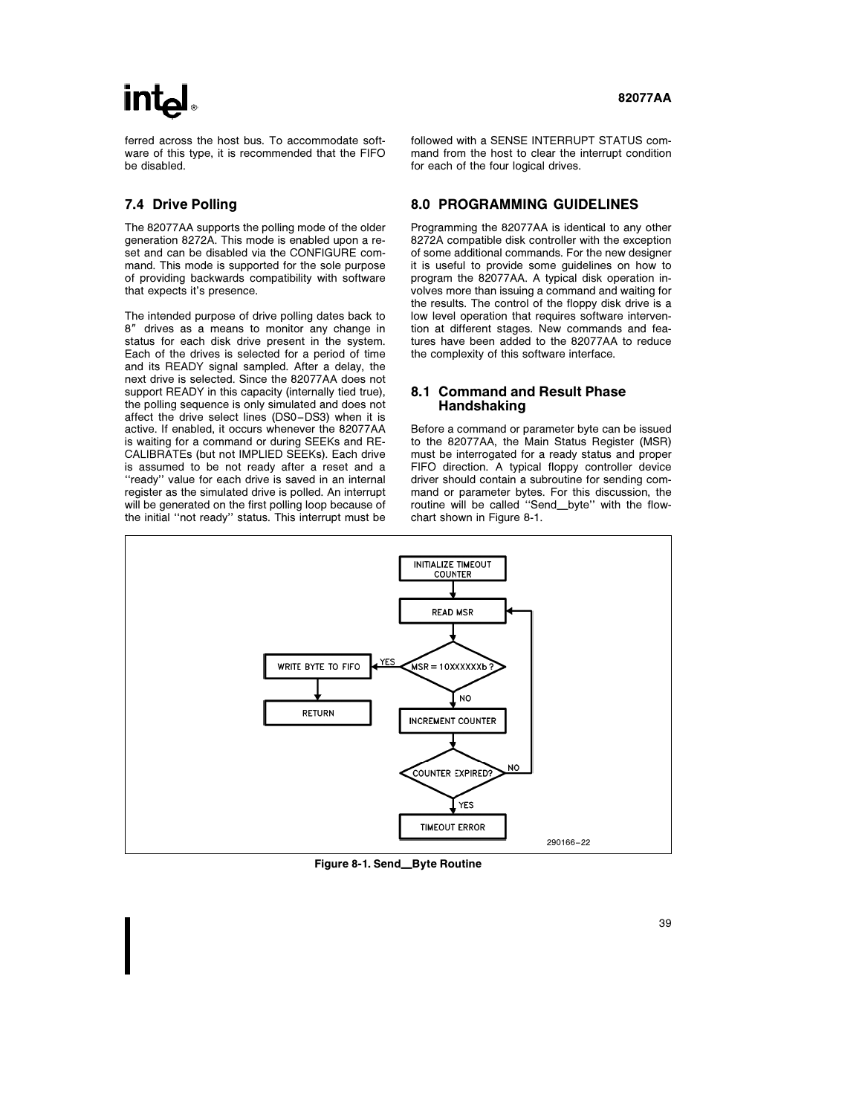# **int**

ferred across the host bus. To accommodate software of this type, it is recommended that the FIFO be disabled.

### 7.4 Drive Polling

The 82077AA supports the polling mode of the older generation 8272A. This mode is enabled upon a reset and can be disabled via the CONFIGURE command. This mode is supported for the sole purpose of providing backwards compatibility with software that expects it's presence.

The intended purpose of drive polling dates back to 8" drives as a means to monitor any change in status for each disk drive present in the system. Each of the drives is selected for a period of time and its READY signal sampled. After a delay, the next drive is selected. Since the 82077AA does not support READY in this capacity (internally tied true), the polling sequence is only simulated and does not affect the drive select lines (DS0 –DS3) when it is active. If enabled, it occurs whenever the 82077AA is waiting for a command or during SEEKs and RE-CALIBRATEs (but not IMPLIED SEEKs). Each drive is assumed to be not ready after a reset and a "ready" value for each drive is saved in an internal register as the simulated drive is polled. An interrupt will be generated on the first polling loop because of the initial ''not ready'' status. This interrupt must be

followed with a SENSE INTERRUPT STATUS command from the host to clear the interrupt condition for each of the four logical drives.

#### 8.0 PROGRAMMING GUIDELINES

Programming the 82077AA is identical to any other 8272A compatible disk controller with the exception of some additional commands. For the new designer it is useful to provide some guidelines on how to program the 82077AA. A typical disk operation involves more than issuing a command and waiting for the results. The control of the floppy disk drive is a low level operation that requires software intervention at different stages. New commands and features have been added to the 82077AA to reduce the complexity of this software interface.

#### 8.1 Command and Result Phase Handshaking

Before a command or parameter byte can be issued to the 82077AA, the Main Status Register (MSR) must be interrogated for a ready status and proper FIFO direction. A typical floppy controller device driver should contain a subroutine for sending command or parameter bytes. For this discussion, the routine will be called "Send\_byte" with the flowchart shown in Figure 8-1.



Figure 8-1. Send\_Byte Routine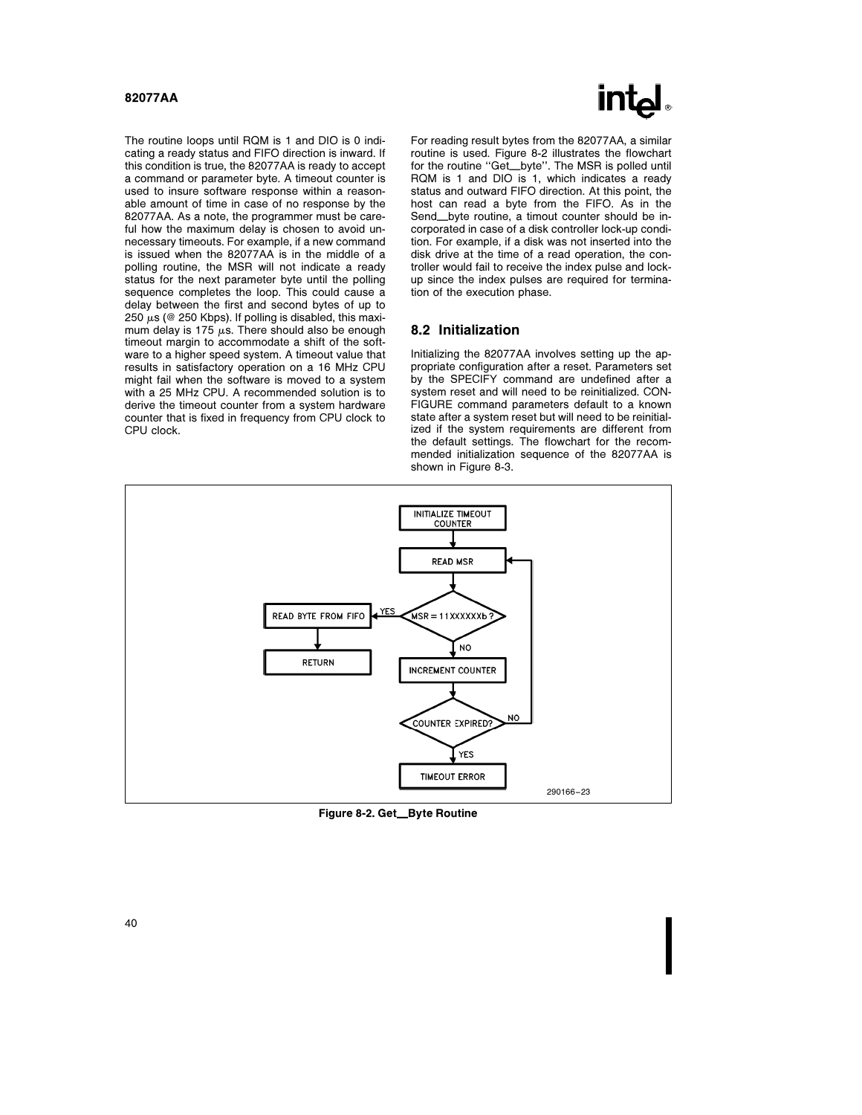

The routine loops until RQM is 1 and DIO is 0 indicating a ready status and FIFO direction is inward. If this condition is true, the 82077AA is ready to accept a command or parameter byte. A timeout counter is used to insure software response within a reasonable amount of time in case of no response by the 82077AA. As a note, the programmer must be careful how the maximum delay is chosen to avoid unnecessary timeouts. For example, if a new command is issued when the 82077AA is in the middle of a polling routine, the MSR will not indicate a ready status for the next parameter byte until the polling sequence completes the loop. This could cause a delay between the first and second bytes of up to 250  $\mu$ s (@ 250 Kbps). If polling is disabled, this maximum delay is 175  $\mu$ s. There should also be enough timeout margin to accommodate a shift of the software to a higher speed system. A timeout value that results in satisfactory operation on a 16 MHz CPU might fail when the software is moved to a system with a 25 MHz CPU. A recommended solution is to derive the timeout counter from a system hardware counter that is fixed in frequency from CPU clock to CPU clock.

For reading result bytes from the 82077AA, a similar routine is used. Figure 8-2 illustrates the flowchart for the routine "Get\_byte". The MSR is polled until RQM is 1 and DIO is 1, which indicates a ready status and outward FIFO direction. At this point, the host can read a byte from the FIFO. As in the Send\_byte routine, a timout counter should be incorporated in case of a disk controller lock-up condition. For example, if a disk was not inserted into the disk drive at the time of a read operation, the controller would fail to receive the index pulse and lockup since the index pulses are required for termination of the execution phase.

#### 8.2 Initialization

Initializing the 82077AA involves setting up the appropriate configuration after a reset. Parameters set by the SPECIFY command are undefined after a system reset and will need to be reinitialized. CON-FIGURE command parameters default to a known state after a system reset but will need to be reinitialized if the system requirements are different from the default settings. The flowchart for the recommended initialization sequence of the 82077AA is shown in Figure 8-3.



Figure 8-2. Get\_Byte Routine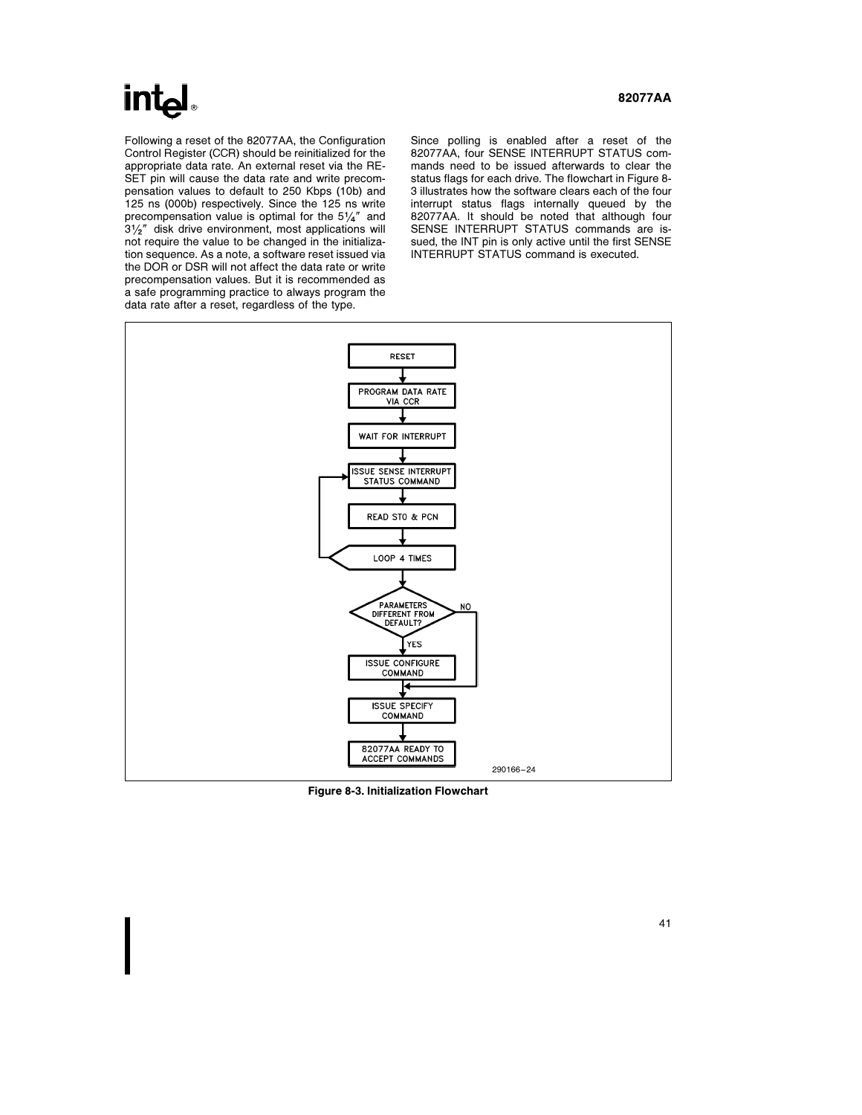# **intel**

Following a reset of the 82077AA, the Configuration Control Register (CCR) should be reinitialized for the appropriate data rate. An external reset via the RE-SET pin will cause the data rate and write precompensation values to default to 250 Kbps (10b) and 125 ns (000b) respectively. Since the 125 ns write precompensation value is optimal for the  $5\frac{1}{4}$ <sup>"</sup> and  $3\frac{1}{2}$ <sup>*r*</sup> disk drive environment, most applications will not require the value to be changed in the initialization sequence. As a note, a software reset issued via the DOR or DSR will not affect the data rate or write precompensation values. But it is recommended as a safe programming practice to always program the data rate after a reset, regardless of the type.

Since polling is enabled after a reset of the 82077AA, four SENSE INTERRUPT STATUS commands need to be issued afterwards to clear the status flags for each drive. The flowchart in Figure 8- 3 illustrates how the software clears each of the four interrupt status flags internally queued by the 82077AA. It should be noted that although four SENSE INTERRUPT STATUS commands are issued, the INT pin is only active until the first SENSE INTERRUPT STATUS command is executed.



Figure 8-3. Initialization Flowchart

### 82077AA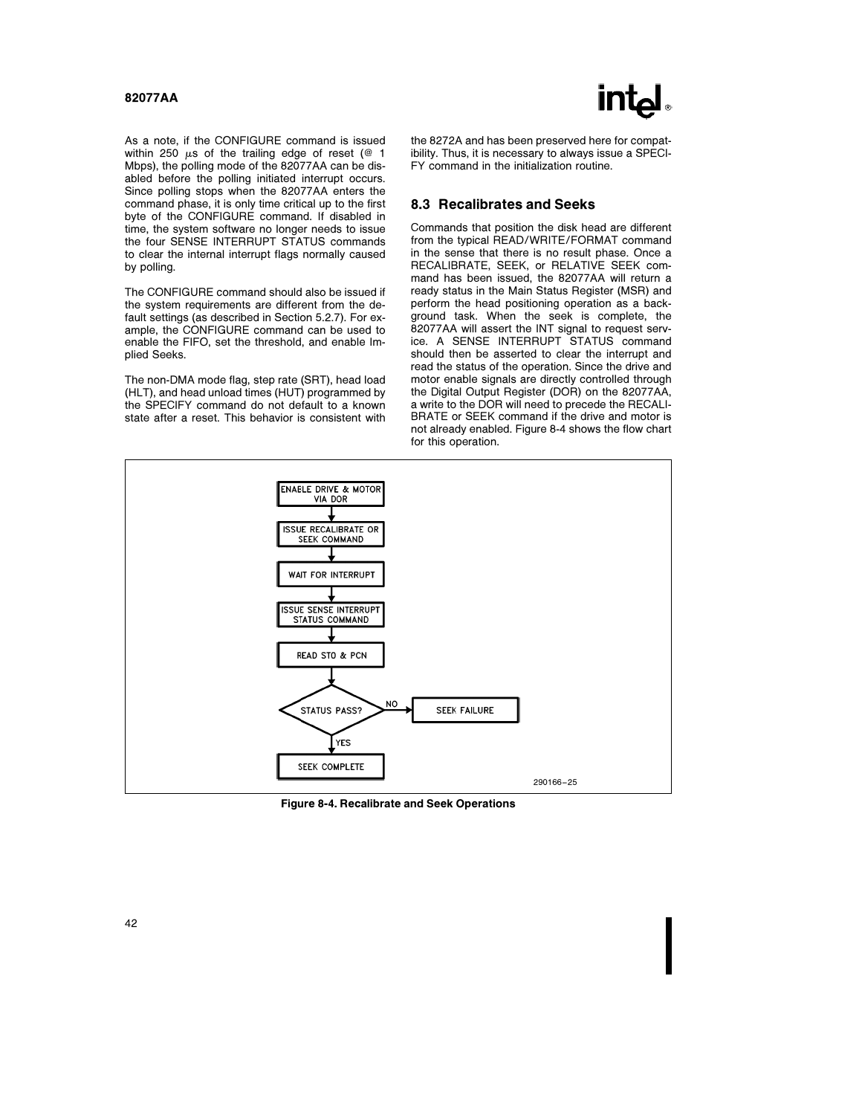

As a note, if the CONFIGURE command is issued within 250  $\mu$ s of the trailing edge of reset (@ 1 Mbps), the polling mode of the 82077AA can be disabled before the polling initiated interrupt occurs. Since polling stops when the 82077AA enters the command phase, it is only time critical up to the first byte of the CONFIGURE command. If disabled in time, the system software no longer needs to issue the four SENSE INTERRUPT STATUS commands to clear the internal interrupt flags normally caused by polling.

The CONFIGURE command should also be issued if the system requirements are different from the default settings (as described in Section 5.2.7). For example, the CONFIGURE command can be used to enable the FIFO, set the threshold, and enable Implied Seeks.

The non-DMA mode flag, step rate (SRT), head load (HLT), and head unload times (HUT) programmed by the SPECIFY command do not default to a known state after a reset. This behavior is consistent with the 8272A and has been preserved here for compatibility. Thus, it is necessary to always issue a SPECI-FY command in the initialization routine.

#### 8.3 Recalibrates and Seeks

Commands that position the disk head are different from the typical READ/WRITE/FORMAT command in the sense that there is no result phase. Once a RECALIBRATE, SEEK, or RELATIVE SEEK command has been issued, the 82077AA will return a ready status in the Main Status Register (MSR) and perform the head positioning operation as a background task. When the seek is complete, the 82077AA will assert the INT signal to request service. A SENSE INTERRUPT STATUS command should then be asserted to clear the interrupt and read the status of the operation. Since the drive and motor enable signals are directly controlled through the Digital Output Register (DOR) on the 82077AA, a write to the DOR will need to precede the RECALI-BRATE or SEEK command if the drive and motor is not already enabled. Figure 8-4 shows the flow chart for this operation.



Figure 8-4. Recalibrate and Seek Operations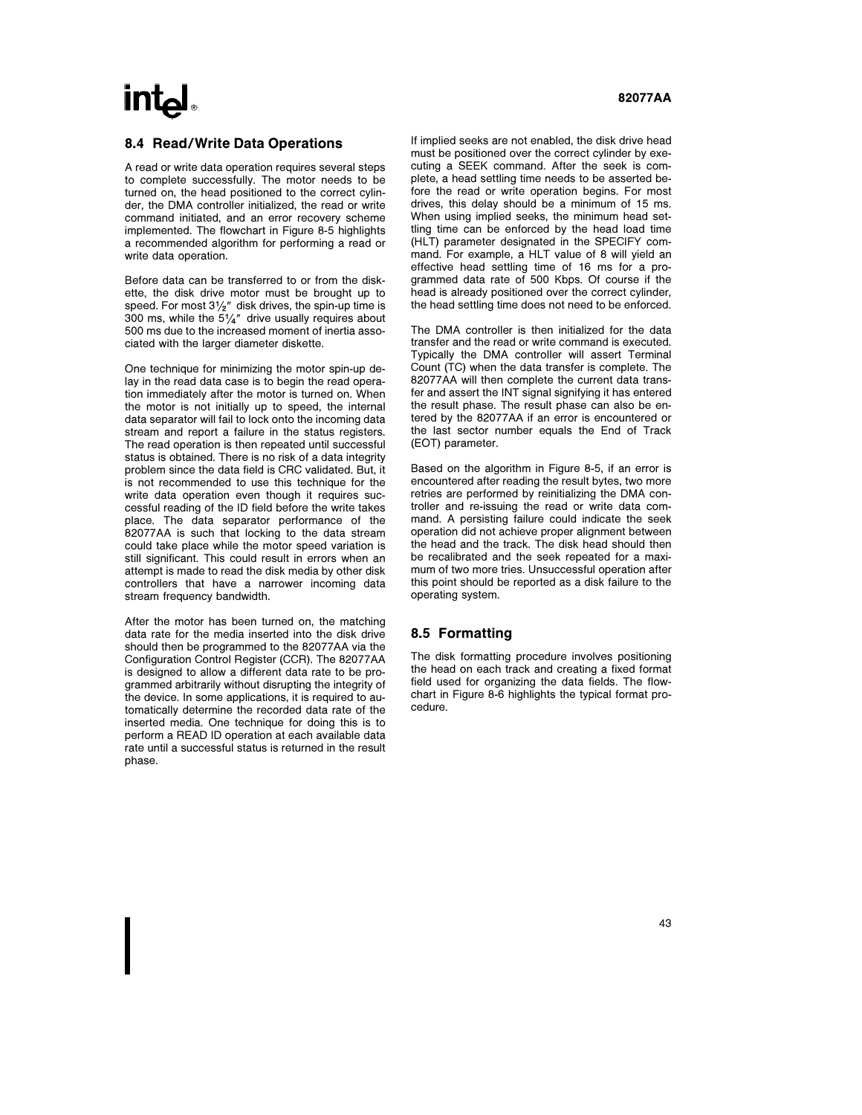# $int_{\mathbf{a}}$

#### 8.4 Read/Write Data Operations

A read or write data operation requires several steps to complete successfully. The motor needs to be turned on, the head positioned to the correct cylinder, the DMA controller initialized, the read or write command initiated, and an error recovery scheme implemented. The flowchart in Figure 8-5 highlights a recommended algorithm for performing a read or write data operation.

Before data can be transferred to or from the diskette, the disk drive motor must be brought up to speed. For most  $3\frac{1}{2}$ " disk drives, the spin-up time is 300 ms, while the  $5\frac{1}{4}$ " drive usually requires about 500 ms due to the increased moment of inertia associated with the larger diameter diskette.

One technique for minimizing the motor spin-up delay in the read data case is to begin the read operation immediately after the motor is turned on. When the motor is not initially up to speed, the internal data separator will fail to lock onto the incoming data stream and report a failure in the status registers. The read operation is then repeated until successful status is obtained. There is no risk of a data integrity problem since the data field is CRC validated. But, it is not recommended to use this technique for the write data operation even though it requires successful reading of the ID field before the write takes place. The data separator performance of the 82077AA is such that locking to the data stream could take place while the motor speed variation is still significant. This could result in errors when an attempt is made to read the disk media by other disk controllers that have a narrower incoming data stream frequency bandwidth.

After the motor has been turned on, the matching data rate for the media inserted into the disk drive should then be programmed to the 82077AA via the Configuration Control Register (CCR). The 82077AA is designed to allow a different data rate to be programmed arbitrarily without disrupting the integrity of the device. In some applications, it is required to automatically determine the recorded data rate of the inserted media. One technique for doing this is to perform a READ ID operation at each available data rate until a successful status is returned in the result phase.

If implied seeks are not enabled, the disk drive head must be positioned over the correct cylinder by executing a SEEK command. After the seek is complete, a head settling time needs to be asserted before the read or write operation begins. For most drives, this delay should be a minimum of 15 ms. When using implied seeks, the minimum head settling time can be enforced by the head load time (HLT) parameter designated in the SPECIFY command. For example, a HLT value of 8 will yield an effective head settling time of 16 ms for a programmed data rate of 500 Kbps. Of course if the head is already positioned over the correct cylinder, the head settling time does not need to be enforced.

The DMA controller is then initialized for the data transfer and the read or write command is executed. Typically the DMA controller will assert Terminal Count (TC) when the data transfer is complete. The 82077AA will then complete the current data transfer and assert the INT signal signifying it has entered the result phase. The result phase can also be entered by the 82077AA if an error is encountered or the last sector number equals the End of Track (EOT) parameter.

Based on the algorithm in Figure 8-5, if an error is encountered after reading the result bytes, two more retries are performed by reinitializing the DMA controller and re-issuing the read or write data command. A persisting failure could indicate the seek operation did not achieve proper alignment between the head and the track. The disk head should then be recalibrated and the seek repeated for a maximum of two more tries. Unsuccessful operation after this point should be reported as a disk failure to the operating system.

### 8.5 Formatting

The disk formatting procedure involves positioning the head on each track and creating a fixed format field used for organizing the data fields. The flowchart in Figure 8-6 highlights the typical format procedure.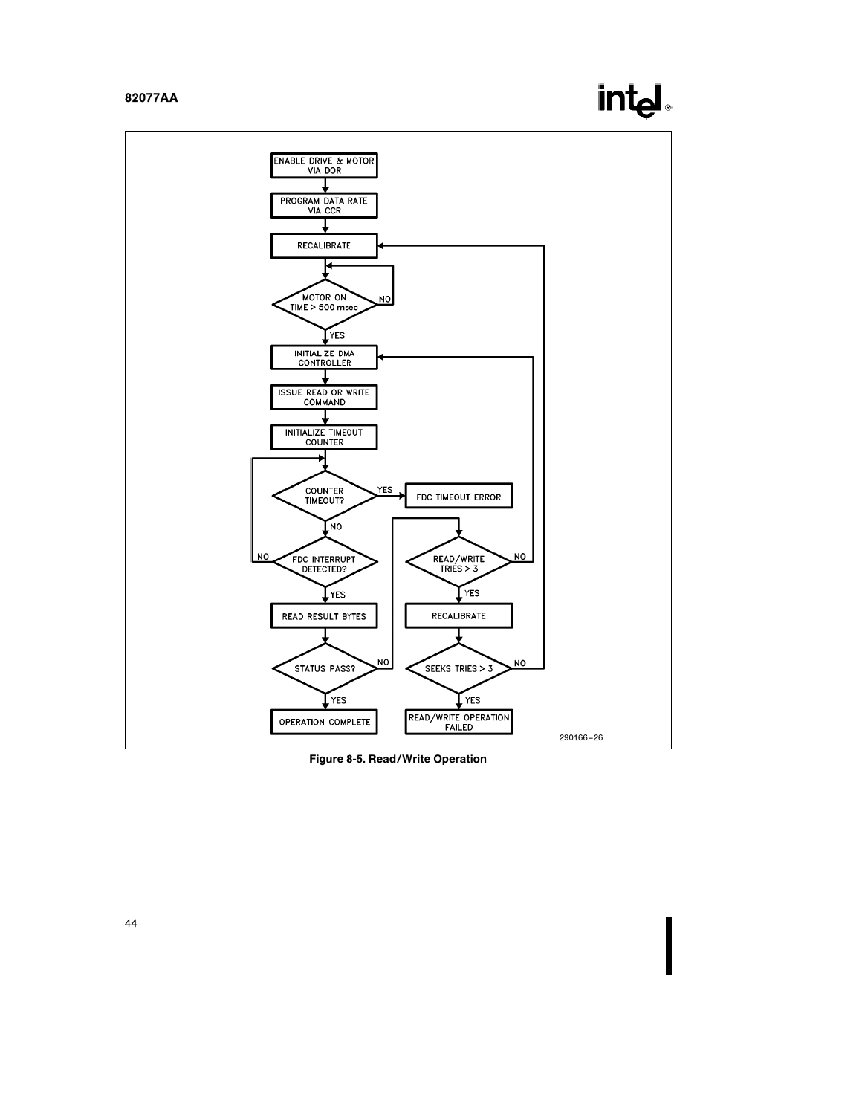

Figure 8-5. Read/Write Operation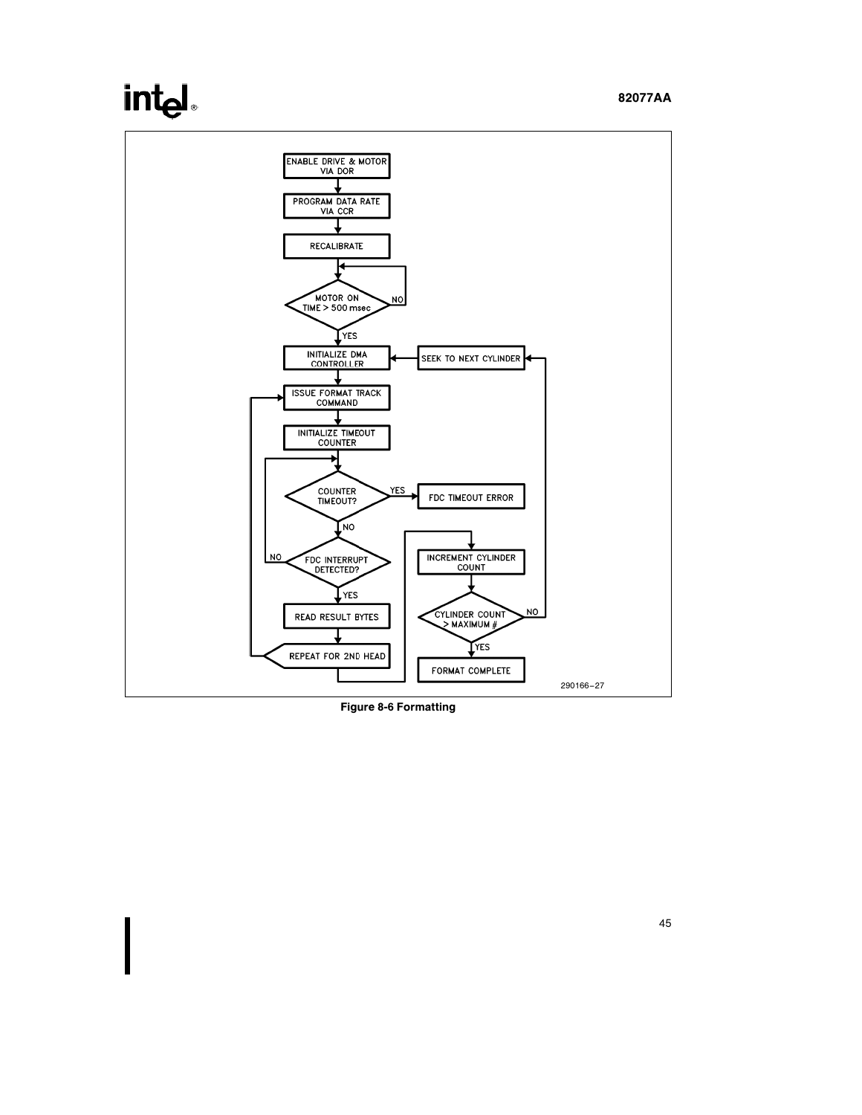# intel



Figure 8-6 Formatting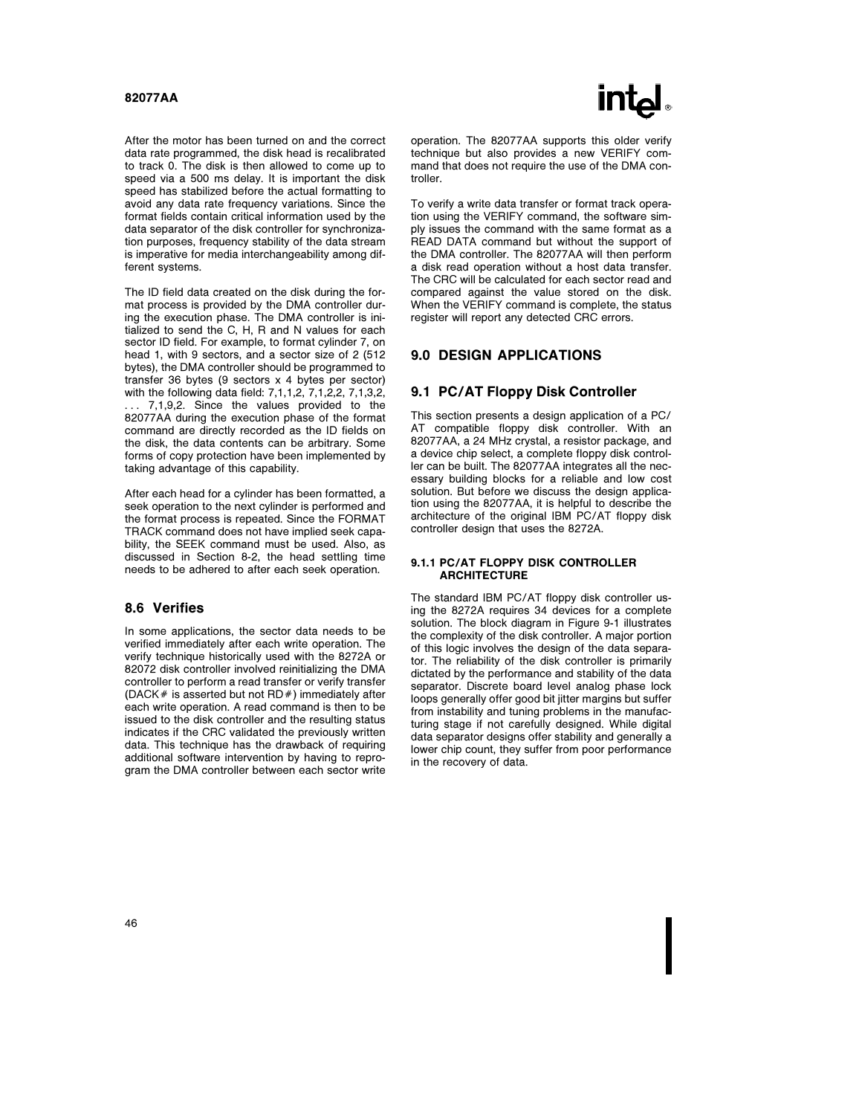

After the motor has been turned on and the correct data rate programmed, the disk head is recalibrated to track 0. The disk is then allowed to come up to speed via a 500 ms delay. It is important the disk speed has stabilized before the actual formatting to avoid any data rate frequency variations. Since the format fields contain critical information used by the data separator of the disk controller for synchronization purposes, frequency stability of the data stream is imperative for media interchangeability among different systems.

The ID field data created on the disk during the format process is provided by the DMA controller during the execution phase. The DMA controller is initialized to send the C, H, R and N values for each sector ID field. For example, to format cylinder 7, on head 1, with 9 sectors, and a sector size of 2 (512 bytes), the DMA controller should be programmed to transfer 36 bytes (9 sectors x 4 bytes per sector) with the following data field: 7,1,1,2, 7,1,2,2, 7,1,3,2, . . . 7,1,9,2. Since the values provided to the 82077AA during the execution phase of the format command are directly recorded as the ID fields on the disk, the data contents can be arbitrary. Some forms of copy protection have been implemented by taking advantage of this capability.

After each head for a cylinder has been formatted, a seek operation to the next cylinder is performed and the format process is repeated. Since the FORMAT TRACK command does not have implied seek capability, the SEEK command must be used. Also, as discussed in Section 8-2, the head settling time needs to be adhered to after each seek operation.

### 8.6 Verifies

In some applications, the sector data needs to be verified immediately after each write operation. The verify technique historically used with the 8272A or 82072 disk controller involved reinitializing the DMA controller to perform a read transfer or verify transfer (DACK  $#$  is asserted but not RD $#$ ) immediately after each write operation. A read command is then to be issued to the disk controller and the resulting status indicates if the CRC validated the previously written data. This technique has the drawback of requiring additional software intervention by having to reprogram the DMA controller between each sector write operation. The 82077AA supports this older verify technique but also provides a new VERIFY command that does not require the use of the DMA controller.

To verify a write data transfer or format track operation using the VERIFY command, the software simply issues the command with the same format as a READ DATA command but without the support of the DMA controller. The 82077AA will then perform a disk read operation without a host data transfer. The CRC will be calculated for each sector read and compared against the value stored on the disk. When the VERIFY command is complete, the status register will report any detected CRC errors.

### 9.0 DESIGN APPLICATIONS

#### 9.1 PC/AT Floppy Disk Controller

This section presents a design application of a PC/ AT compatible floppy disk controller. With an 82077AA, a 24 MHz crystal, a resistor package, and a device chip select, a complete floppy disk controller can be built. The 82077AA integrates all the necessary building blocks for a reliable and low cost solution. But before we discuss the design application using the 82077AA, it is helpful to describe the architecture of the original IBM PC/AT floppy disk controller design that uses the 8272A.

#### 9.1.1 PC/AT FLOPPY DISK CONTROLLER **ARCHITECTURE**

The standard IBM PC/AT floppy disk controller using the 8272A requires 34 devices for a complete solution. The block diagram in Figure 9-1 illustrates the complexity of the disk controller. A major portion of this logic involves the design of the data separator. The reliability of the disk controller is primarily dictated by the performance and stability of the data separator. Discrete board level analog phase lock loops generally offer good bit jitter margins but suffer from instability and tuning problems in the manufacturing stage if not carefully designed. While digital data separator designs offer stability and generally a lower chip count, they suffer from poor performance in the recovery of data.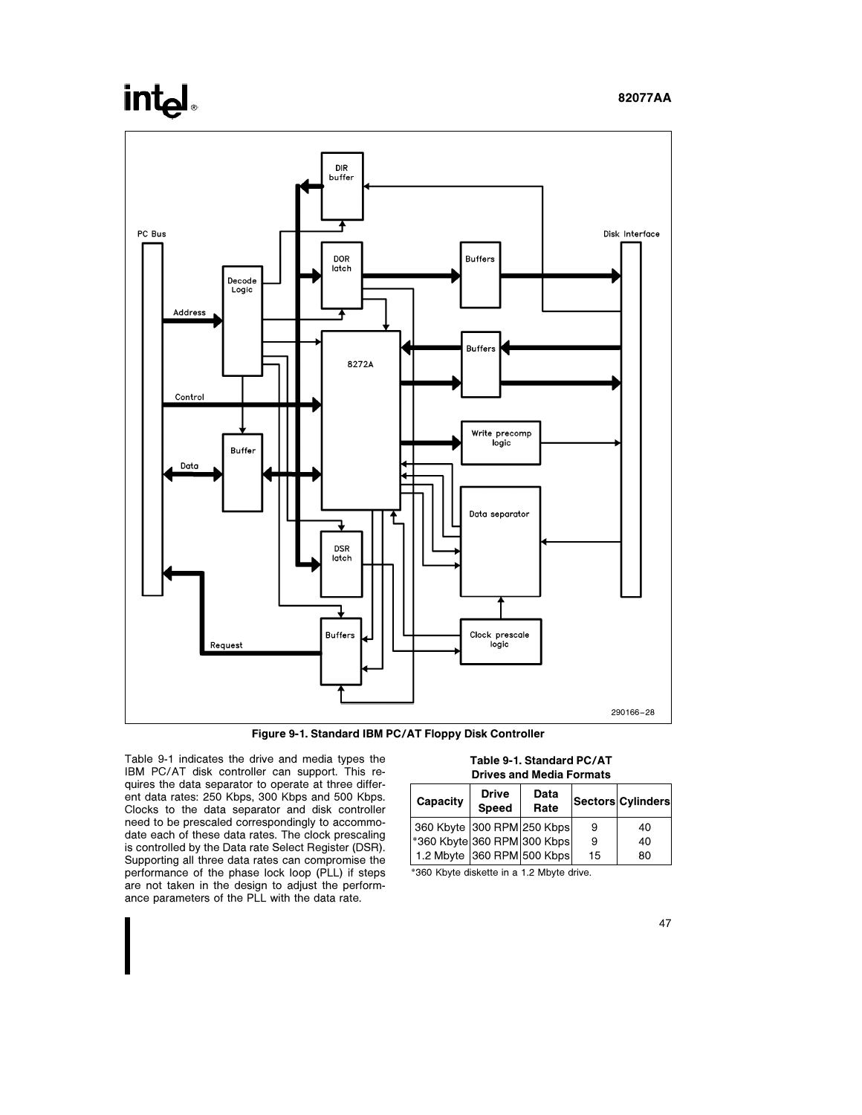# **intel**



Figure 9-1. Standard IBM PC/AT Floppy Disk Controller

Table 9-1 indicates the drive and media types the IBM PC/AT disk controller can support. This requires the data separator to operate at three different data rates: 250 Kbps, 300 Kbps and 500 Kbps. Clocks to the data separator and disk controller need to be prescaled correspondingly to accommodate each of these data rates. The clock prescaling is controlled by the Data rate Select Register (DSR). Supporting all three data rates can compromise the performance of the phase lock loop (PLL) if steps are not taken in the design to adjust the performance parameters of the PLL with the data rate.

Table 9-1. Standard PC/AT Drives and Media Formats

| Capacity                    | <b>Drive</b><br><b>Speed</b> | Data<br>Rate |    | Sectors Cylinders |
|-----------------------------|------------------------------|--------------|----|-------------------|
| 360 Kbyte 300 RPM 250 Kbps  |                              |              | 9  | 40                |
| *360 Kbyte 360 RPM 300 Kbps |                              |              | 9  | 40                |
| 1.2 Mbyte 360 RPM 500 Kbps  |                              |              | 15 | 80                |

\*360 Kbyte diskette in a 1.2 Mbyte drive.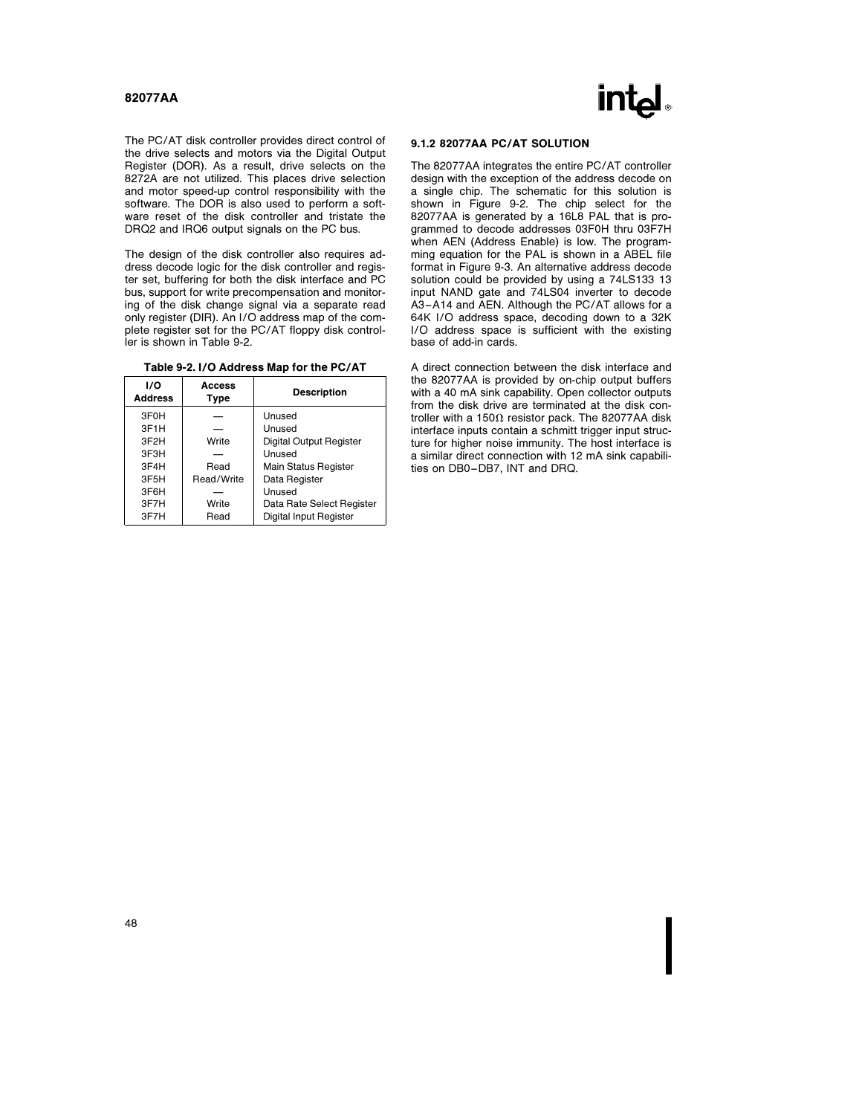

The PC/AT disk controller provides direct control of the drive selects and motors via the Digital Output Register (DOR). As a result, drive selects on the 8272A are not utilized. This places drive selection and motor speed-up control responsibility with the software. The DOR is also used to perform a software reset of the disk controller and tristate the DRQ2 and IRQ6 output signals on the PC bus.

The design of the disk controller also requires address decode logic for the disk controller and register set, buffering for both the disk interface and PC bus, support for write precompensation and monitoring of the disk change signal via a separate read only register (DIR). An I/O address map of the complete register set for the PC/AT floppy disk controller is shown in Table 9-2.

| 1/O<br><b>Address</b> | Access<br>Type | <b>Description</b>             |
|-----------------------|----------------|--------------------------------|
| 3F <sub>0</sub> H     |                | Unused                         |
| 3F <sub>1</sub> H     |                | Unused                         |
| 3F <sub>2</sub> H     | Write          | <b>Digital Output Register</b> |
| 3F3H                  |                | Unused                         |
| 3F4H                  | Read           | Main Status Register           |
| 3F5H                  | Read/Write     | Data Register                  |
| 3F6H                  |                | Unused                         |
| 3F7H                  | Write          | Data Rate Select Register      |
| 3F7H                  | Read           | Digital Input Register         |

#### 9.1.2 82077AA PC/AT SOLUTION

The 82077AA integrates the entire PC/AT controller design with the exception of the address decode on a single chip. The schematic for this solution is shown in Figure 9-2. The chip select for the 82077AA is generated by a 16L8 PAL that is programmed to decode addresses 03F0H thru 03F7H when AEN (Address Enable) is low. The programming equation for the PAL is shown in a ABEL file format in Figure 9-3. An alternative address decode solution could be provided by using a 74LS133 13 input NAND gate and 74LS04 inverter to decode A3 –A14 and AEN. Although the PC/AT allows for a 64K I/O address space, decoding down to a 32K I/O address space is sufficient with the existing base of add-in cards.

A direct connection between the disk interface and the 82077AA is provided by on-chip output buffers with a 40 mA sink capability. Open collector outputs from the disk drive are terminated at the disk controller with a 150 $\Omega$  resistor pack. The 82077AA disk interface inputs contain a schmitt trigger input structure for higher noise immunity. The host interface is a similar direct connection with 12 mA sink capabilities on DB0-DB7, INT and DRQ.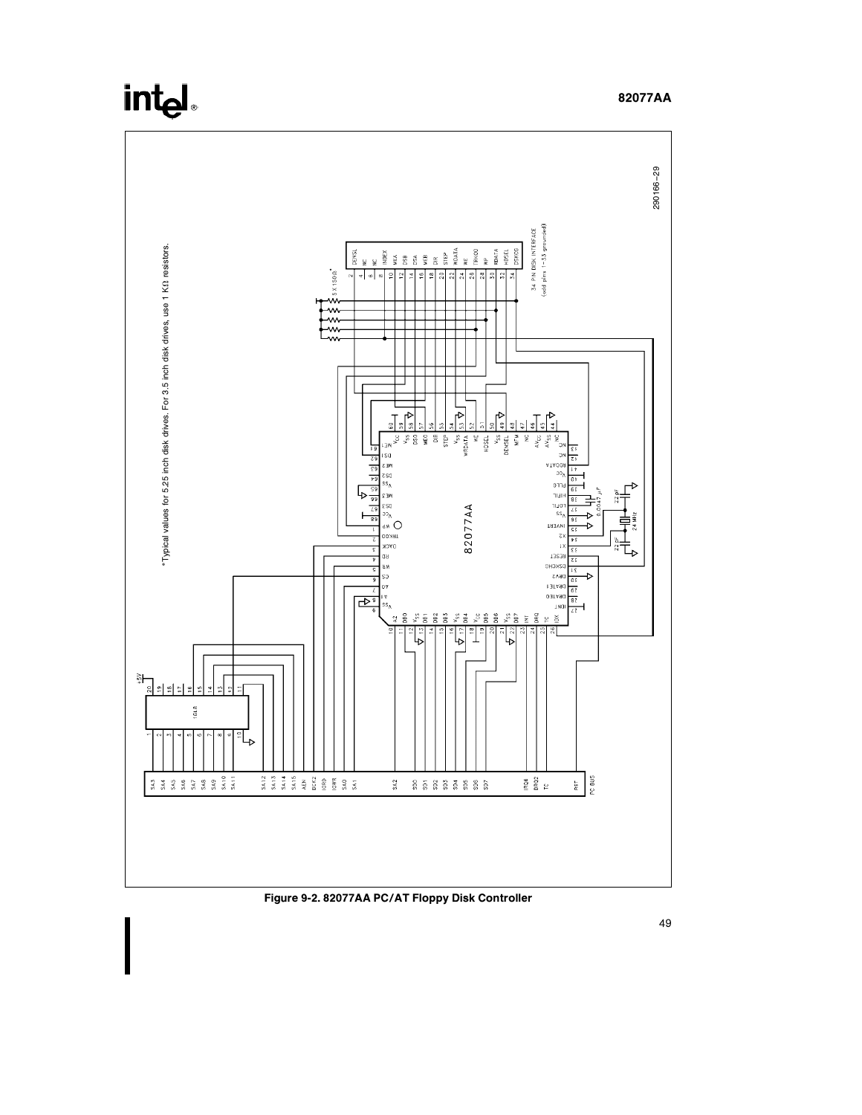

Figure 9-2. 82077AA PC/AT Floppy Disk Controller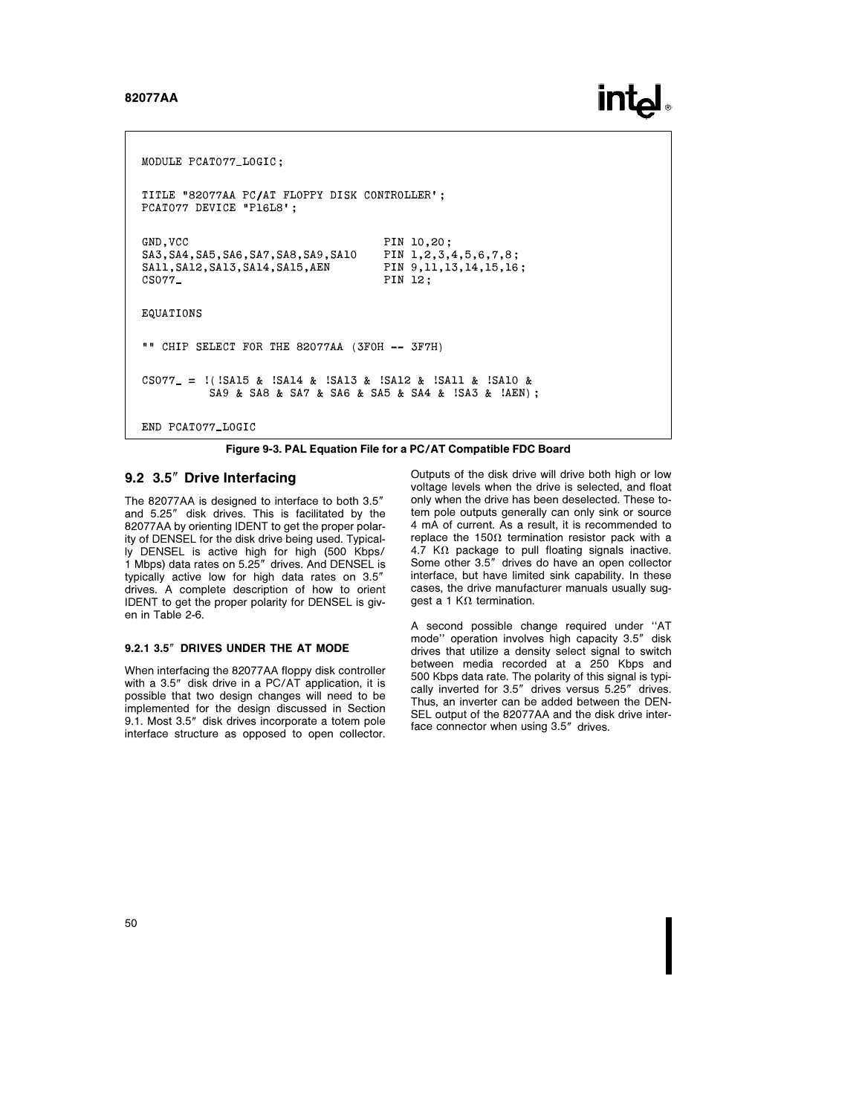# **intel**

MODULE PCAT077 LOGIC; TITLE '82077AA PC/AT FLOPPY DISK CONTROLLER'; PCAT077 DEVICE "P16L8'; GND, VCC<br>SA3, SA4, SA5, SA6, SA7, SA8, SA9, SA10 PIN 1, 2, 3, 4, 5, 6, 7, 8; SA3, SA4, SA5, SA6, SA7, SA8, SA9, SA10 SA11, SA12, SA13, SA14, SA15, AEN PIN 9, 11, 13, 14, 15, 16;<br>CS077\_ PIN 12: PIN 12: EQUATIONS "" CHIP SELECT FOR THE 82077AA (3FOH -- 3F7H)  $CS077 = !(!SAI5 & !SAI4 & !SAI3 & !SAI2 & !SAIL & !SAI0 &$ SA9 & SA8 & SA7 & SA6 & SA5 & SA4 & !SA3 & !AEN); END PCAT077 LOGIC

Figure 9-3. PAL Equation File for a PC/AT Compatible FDC Board

#### 9.2 3.5" Drive Interfacing

The 82077AA is designed to interface to both 3.5" and 5.25" disk drives. This is facilitated by the 82077AA by orienting IDENT to get the proper polarity of DENSEL for the disk drive being used. Typically DENSEL is active high for high (500 Kbps/ 1 Mbps) data rates on 5.25" drives. And DENSEL is typically active low for high data rates on 3.5" drives. A complete description of how to orient IDENT to get the proper polarity for DENSEL is given in Table 2-6.

#### 9.2.1 3.5" DRIVES UNDER THE AT MODE

When interfacing the 82077AA floppy disk controller with a 3.5" disk drive in a PC/AT application, it is possible that two design changes will need to be implemented for the design discussed in Section 9.1. Most 3.5" disk drives incorporate a totem pole interface structure as opposed to open collector.

Outputs of the disk drive will drive both high or low voltage levels when the drive is selected, and float only when the drive has been deselected. These totem pole outputs generally can only sink or source 4 mA of current. As a result, it is recommended to replace the 150 $\Omega$  termination resistor pack with a 4.7 K $\Omega$  package to pull floating signals inactive. Some other 3.5" drives do have an open collector interface, but have limited sink capability. In these cases, the drive manufacturer manuals usually sugqest a 1 K $\Omega$  termination.

A second possible change required under ''AT mode" operation involves high capacity 3.5" disk drives that utilize a density select signal to switch between media recorded at a 250 Kbps and 500 Kbps data rate. The polarity of this signal is typically inverted for 3.5" drives versus 5.25" drives. Thus, an inverter can be added between the DEN-SEL output of the 82077AA and the disk drive interface connector when using 3.5" drives.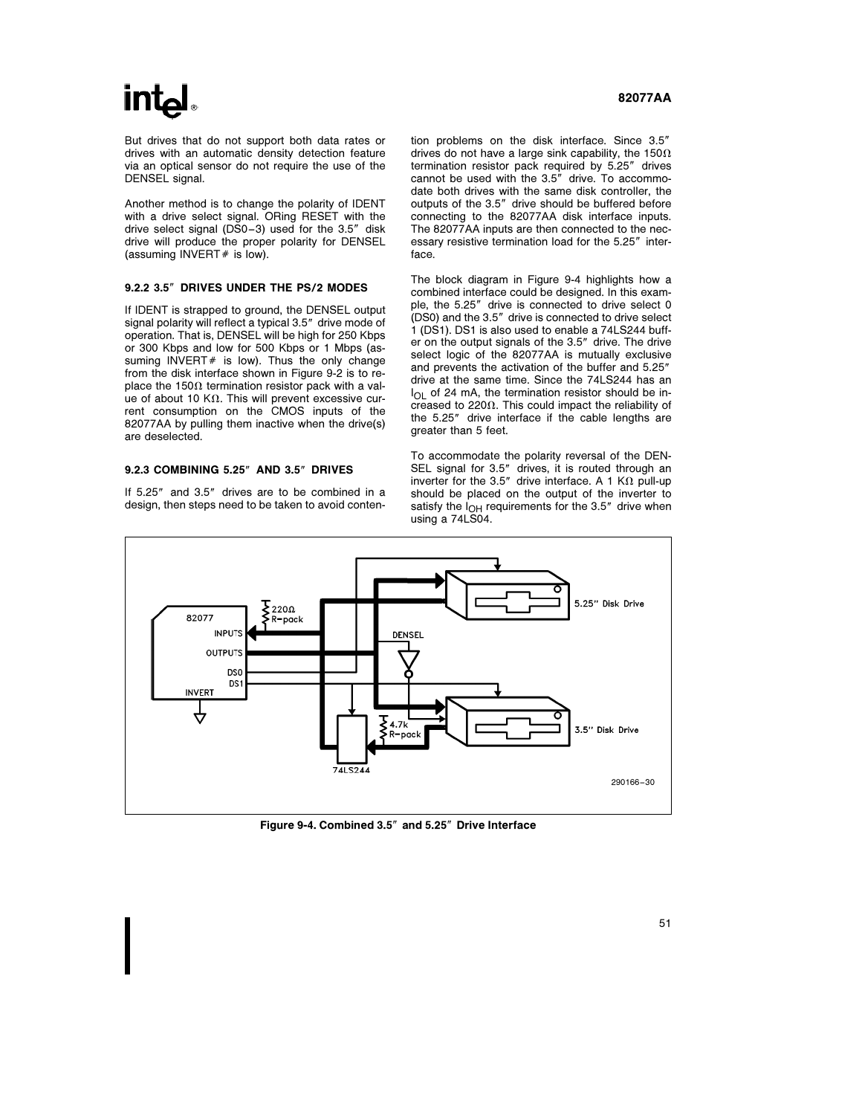# **int**ط

But drives that do not support both data rates or drives with an automatic density detection feature via an optical sensor do not require the use of the DENSEL signal.

Another method is to change the polarity of IDENT with a drive select signal. ORing RESET with the drive select signal (DS0-3) used for the 3.5" disk drive will produce the proper polarity for DENSEL  $(assuming INVERT # is low).$ 

#### 9.2.2 3.5" DRIVES UNDER THE PS/2 MODES

If IDENT is strapped to ground, the DENSEL output signal polarity will reflect a typical 3.5" drive mode of operation. That is, DENSEL will be high for 250 Kbps or 300 Kbps and low for 500 Kbps or 1 Mbps (assuming INVERT  $#$  is low). Thus the only change from the disk interface shown in Figure 9-2 is to replace the 150 $\Omega$  termination resistor pack with a value of about 10 K $\Omega$ . This will prevent excessive current consumption on the CMOS inputs of the 82077AA by pulling them inactive when the drive(s) are deselected.

#### 9.2.3 COMBINING 5.25" AND 3.5" DRIVES

If 5.25" and 3.5" drives are to be combined in a design, then steps need to be taken to avoid conten-

#### 82077AA

tion problems on the disk interface. Since 3.5" drives do not have a large sink capability, the 150 $\Omega$ termination resistor pack required by 5.25" drives cannot be used with the 3.5" drive. To accommodate both drives with the same disk controller, the outputs of the 3.5" drive should be buffered before connecting to the 82077AA disk interface inputs. The 82077AA inputs are then connected to the necessary resistive termination load for the 5.25" interface.

The block diagram in Figure 9-4 highlights how a combined interface could be designed. In this example, the 5.25" drive is connected to drive select 0 (DS0) and the 3.5" drive is connected to drive select 1 (DS1). DS1 is also used to enable a 74LS244 buffer on the output signals of the 3.5" drive. The drive select logic of the 82077AA is mutually exclusive and prevents the activation of the buffer and 5.25" drive at the same time. Since the 74LS244 has an  $I_{\bigcap I}$  of 24 mA, the termination resistor should be increased to 220 $\Omega$ . This could impact the reliability of the 5.25" drive interface if the cable lengths are greater than 5 feet.

To accommodate the polarity reversal of the DEN-SEL signal for 3.5" drives, it is routed through an inverter for the 3.5" drive interface. A 1 K $\Omega$  pull-up should be placed on the output of the inverter to satisfy the  $I_{OH}$  requirements for the 3.5" drive when using a 74LS04.



Figure 9-4. Combined 3.5" and 5.25" Drive Interface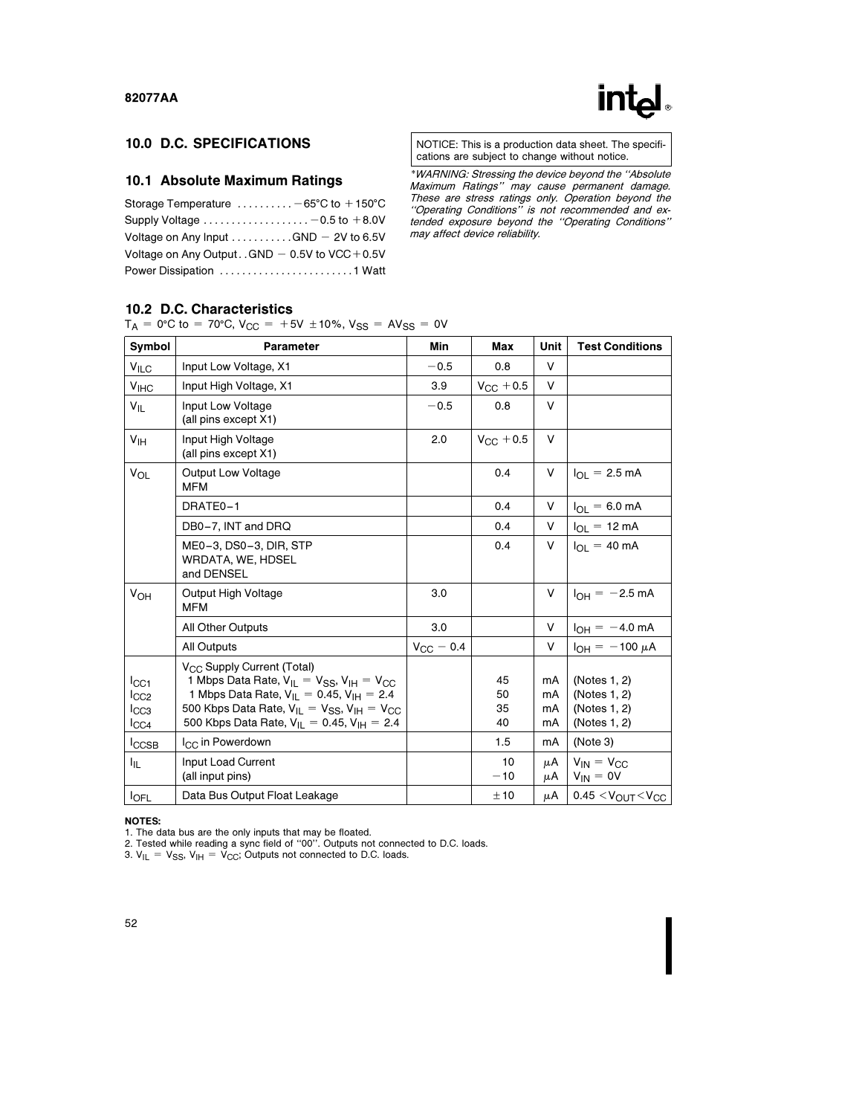# int<sub>e</sub>l

# 10.0 D.C. SPECIFICATIONS

### 10.1 Absolute Maximum Ratings

| Storage Temperature $\dots\dots\dots -65^{\circ}C$ to $+150^{\circ}C$ |
|-----------------------------------------------------------------------|
| Supply Voltage $\ldots \ldots \ldots \ldots \ldots -0.5$ to $+8.0V$   |
| Voltage on Any Input $\dots\dots\dots$ GND - 2V to 6.5V               |
| Voltage on Any Output GND $-$ 0.5V to VCC + 0.5V                      |
|                                                                       |

NOTICE: This is a production data sheet. The specifications are subject to change without notice.

\*WARNING: Stressing the device beyond the ''Absolute Maximum Ratings'' may cause permanent damage. These are stress ratings only. Operation beyond the ''Operating Conditions'' is not recommended and extended exposure beyond the ''Operating Conditions'' may affect device reliability.

### 10.2 D.C. Characteristics

|  |  |  | $T_A = 0$ °C to = 70°C, V <sub>CC</sub> = +5V ± 10%, V <sub>SS</sub> = AV <sub>SS</sub> = 0V |  |  |  |  |  |
|--|--|--|----------------------------------------------------------------------------------------------|--|--|--|--|--|
|--|--|--|----------------------------------------------------------------------------------------------|--|--|--|--|--|

| Symbol                                   | Parameter                                                                                                                                                                                                                                                                    | Min                | Max                  | Unit                 | <b>Test Conditions</b>                                       |
|------------------------------------------|------------------------------------------------------------------------------------------------------------------------------------------------------------------------------------------------------------------------------------------------------------------------------|--------------------|----------------------|----------------------|--------------------------------------------------------------|
| $V_{\text{ILC}}$                         | Input Low Voltage, X1                                                                                                                                                                                                                                                        | $-0.5$             | 0.8                  | $\vee$               |                                                              |
| V <sub>HC</sub>                          | Input High Voltage, X1                                                                                                                                                                                                                                                       | 3.9                | $V_{\rm GC} + 0.5$   | V                    |                                                              |
| $V_{IL}$                                 | Input Low Voltage<br>(all pins except X1)                                                                                                                                                                                                                                    | $-0.5$             | 0.8                  | V                    |                                                              |
| V <sub>IH</sub>                          | Input High Voltage<br>(all pins except X1)                                                                                                                                                                                                                                   | 2.0                | $V_{CC}$ + 0.5       | V                    |                                                              |
| <b>V<sub>OL</sub></b>                    | <b>Output Low Voltage</b><br><b>MFM</b>                                                                                                                                                                                                                                      |                    | 0.4                  | V                    | $I_{\Omega I}$ = 2.5 mA                                      |
|                                          | DRATE0-1                                                                                                                                                                                                                                                                     |                    | 0.4                  | V                    | $I_{OL} = 6.0$ mA                                            |
|                                          | DB0-7, INT and DRQ                                                                                                                                                                                                                                                           |                    | 0.4                  | V                    | $I_{OL}$ = 12 mA                                             |
|                                          | ME0-3, DS0-3, DIR, STP<br>WRDATA, WE, HDSEL<br>and DENSEL                                                                                                                                                                                                                    |                    | 0.4                  | V                    | $I_{\text{O}} = 40 \text{ mA}$                               |
| VOH                                      | Output High Voltage<br><b>MFM</b>                                                                                                                                                                                                                                            | 3.0                |                      | V                    | $I_{OH} = -2.5$ mA                                           |
|                                          | <b>All Other Outputs</b>                                                                                                                                                                                                                                                     | 3.0                |                      | V                    | $I_{OH} = -4.0$ mA                                           |
|                                          | <b>All Outputs</b>                                                                                                                                                                                                                                                           | $V_{\rm CC} = 0.4$ |                      | V                    | $I_{OH} = -100 \mu A$                                        |
| ICC1<br>lcc2<br>$_{\text{ICC3}}$<br>ICC4 | V <sub>CC</sub> Supply Current (Total)<br>1 Mbps Data Rate, $V_{II} = V_{SS}$ , $V_{IH} = V_{CC}$<br>1 Mbps Data Rate, $V_{IL} = 0.45$ , $V_{IH} = 2.4$<br>500 Kbps Data Rate, $V_{II} = V_{SS}$ , $V_{IH} = V_{CC}$<br>500 Kbps Data Rate, $V_{IL} = 0.45$ , $V_{IH} = 2.4$ |                    | 45<br>50<br>35<br>40 | mA<br>mA<br>mA<br>mA | (Notes 1, 2)<br>(Notes 1, 2)<br>(Notes 1, 2)<br>(Notes 1, 2) |
| <b>ICCSB</b>                             | I <sub>CC</sub> in Powerdown                                                                                                                                                                                                                                                 |                    | 1.5                  | mA                   | (Note 3)                                                     |
| I <sub>IL</sub>                          | Input Load Current<br>(all input pins)                                                                                                                                                                                                                                       |                    | 10<br>$-10$          | μA<br>μA             | $V_{IN} = V_{CC}$<br>$V_{IN} = 0V$                           |
| <b>IOFL</b>                              | Data Bus Output Float Leakage                                                                                                                                                                                                                                                |                    | ±10                  | μA                   | $0.45 < VOUT < VCC$                                          |

#### NOTES:

1. The data bus are the only inputs that may be floated. 2. Tested while reading a sync field of ''00''. Outputs not connected to D.C. loads.

3.  $V_{IL} = V_{SS}$ ,  $V_{IH} = V_{CC}$ ; Outputs not connected to D.C. loads.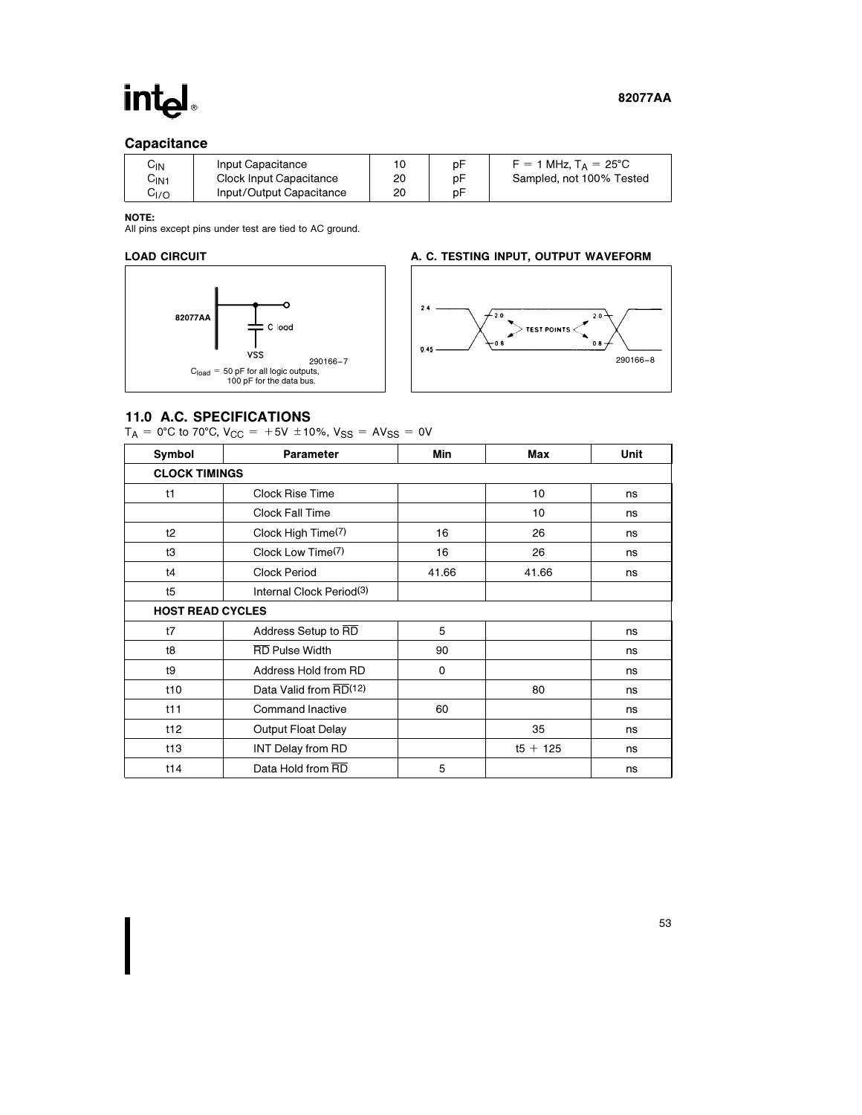# int<sub>el</sub>

## **Capacitance**

| UN⊳              | Input Capacitance        | 10 | рF | $F = 1$ MHz, $T_A = 25^{\circ}$ C |
|------------------|--------------------------|----|----|-----------------------------------|
| C <sub>IN1</sub> | Clock Input Capacitance  | 20 | рF | Sampled, not 100% Tested          |
| G <sub>I/O</sub> | Input/Output Capacitance | 20 | рF |                                   |

NOTE:

All pins except pins under test are tied to AC ground.

### LOAD CIRCUIT



### A. C. TESTING INPUT, OUTPUT WAVEFORM



### 11.0 A.C. SPECIFICATIONS

 $T_A = 0$ °C to 70°C, V<sub>CC</sub> = +5V ±10%, V<sub>SS</sub> = AV<sub>SS</sub> = 0V

| Symbol                  | <b>Parameter</b>                      | Min      | Max        | Unit |  |  |
|-------------------------|---------------------------------------|----------|------------|------|--|--|
| <b>CLOCK TIMINGS</b>    |                                       |          |            |      |  |  |
| t1                      | Clock Rise Time                       |          | 10         | ns   |  |  |
|                         | <b>Clock Fall Time</b>                |          | 10         | ns   |  |  |
| t2                      | Clock High Time(7)                    | 16       | 26         | ns   |  |  |
| tЗ                      | Clock Low Time(7)                     | 16       | 26         | ns   |  |  |
| t4                      | <b>Clock Period</b><br>41.66<br>41.66 |          |            | ns   |  |  |
| t5                      | Internal Clock Period(3)              |          |            |      |  |  |
| <b>HOST READ CYCLES</b> |                                       |          |            |      |  |  |
| t7                      | 5<br>Address Setup to RD              |          | ns         |      |  |  |
| t8                      | <b>RD</b> Pulse Width                 | 90       |            | ns   |  |  |
| t9                      | Address Hold from RD                  | $\Omega$ | ns         |      |  |  |
| t10                     | Data Valid from RD(12)                | 80       |            | ns   |  |  |
| t11                     | <b>Command Inactive</b>               | 60       |            | ns   |  |  |
| t12                     | <b>Output Float Delay</b>             |          | 35         | ns   |  |  |
| t13                     | <b>INT Delay from RD</b>              |          | $t5 + 125$ | ns   |  |  |
| t14                     | Data Hold from RD                     | 5        |            | ns   |  |  |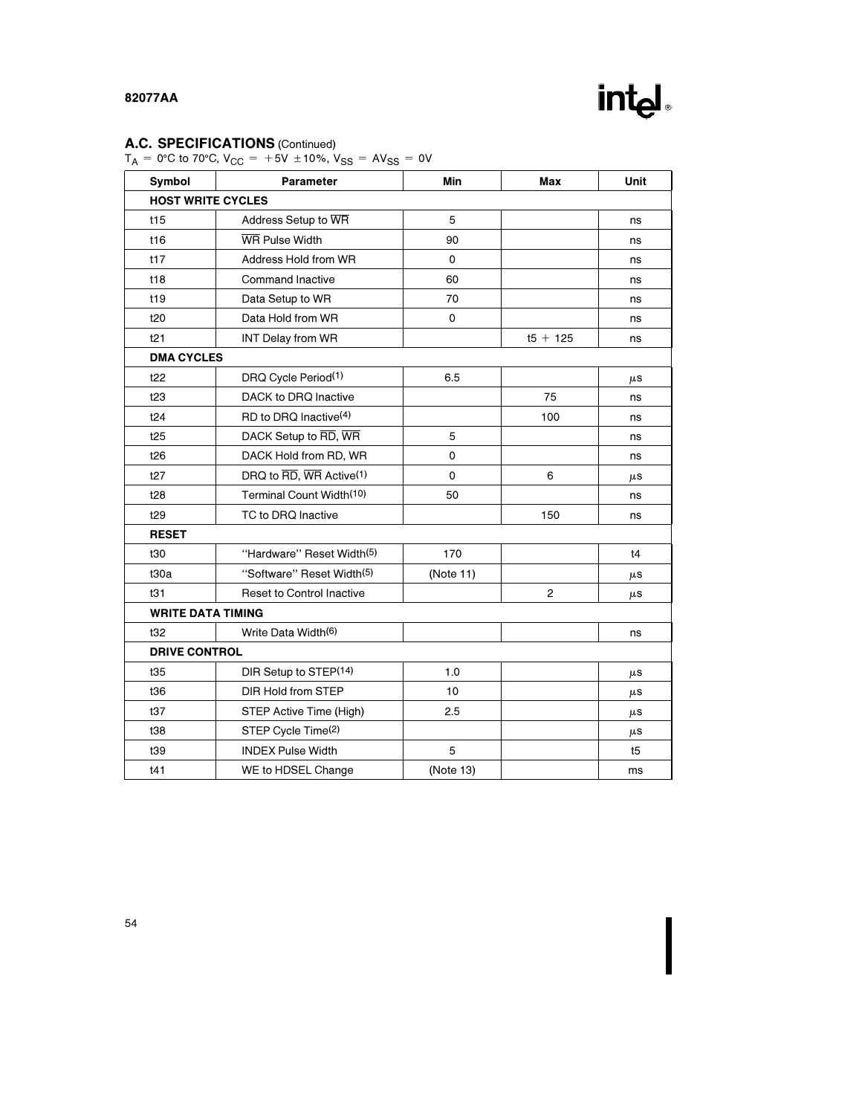# A.C. SPECIFICATIONS (Continued)

 $T_A = 0$ °C to 70°C, V<sub>CC</sub> = +5V ±10%, V<sub>SS</sub> = AV<sub>SS</sub> = 0V

| Symbol                   | <b>Parameter</b>                     | Min            | Max        | Unit    |  |  |
|--------------------------|--------------------------------------|----------------|------------|---------|--|--|
| <b>HOST WRITE CYCLES</b> |                                      |                |            |         |  |  |
| t15                      | Address Setup to WR                  | 5              |            | ns      |  |  |
| t16                      | WR Pulse Width                       | 90             |            | ns      |  |  |
| t17                      | Address Hold from WR                 | 0              |            | ns      |  |  |
| t18                      | Command Inactive                     | 60             |            | ns      |  |  |
| t19                      | Data Setup to WR                     | 70             |            | ns      |  |  |
| t20                      | Data Hold from WR                    | 0              |            | ns      |  |  |
| t21                      | <b>INT Delay from WR</b>             |                | $t5 + 125$ | ns      |  |  |
| <b>DMA CYCLES</b>        |                                      |                |            |         |  |  |
| t22                      | DRQ Cycle Period(1)                  | 6.5            |            | $\mu$ S |  |  |
| t23                      | DACK to DRQ Inactive                 |                | 75         | ns      |  |  |
| t24                      | RD to DRQ Inactive <sup>(4)</sup>    |                | 100        | ns      |  |  |
| t25                      | DACK Setup to RD, WR                 | 5              |            | ns      |  |  |
| t26                      | DACK Hold from RD, WR                | 0              |            | ns      |  |  |
| t27                      | DRQ to RD, WR Active <sup>(1)</sup>  | 0              | 6          | $\mu$ S |  |  |
| t28                      | Terminal Count Width <sup>(10)</sup> | 50             |            | ns      |  |  |
| t29                      | TC to DRQ Inactive                   |                | 150        | ns      |  |  |
| <b>RESET</b>             |                                      |                |            |         |  |  |
| t30                      | "Hardware" Reset Width(5)            | 170            |            | t4      |  |  |
| t30a                     | "Software" Reset Width(5)            | (Note 11)      |            | $\mu$ S |  |  |
| t31                      | <b>Reset to Control Inactive</b>     | $\overline{2}$ |            | $\mu$ S |  |  |
| <b>WRITE DATA TIMING</b> |                                      |                |            |         |  |  |
| t32                      | Write Data Width(6)                  |                |            | ns      |  |  |
|                          | <b>DRIVE CONTROL</b>                 |                |            |         |  |  |
| t35                      | DIR Setup to STEP(14)                | 1.0            |            | $\mu$ S |  |  |
| t36                      | <b>DIR Hold from STEP</b>            | 10             |            | $\mu$ S |  |  |
| t37                      | STEP Active Time (High)              | 2.5            |            | $\mu$ S |  |  |
| t38                      | STEP Cycle Time(2)                   |                |            | $\mu$ S |  |  |
| t39                      | <b>INDEX Pulse Width</b>             | 5              |            | t5      |  |  |
| t41                      | WE to HDSEL Change                   | (Note 13)      |            | ms      |  |  |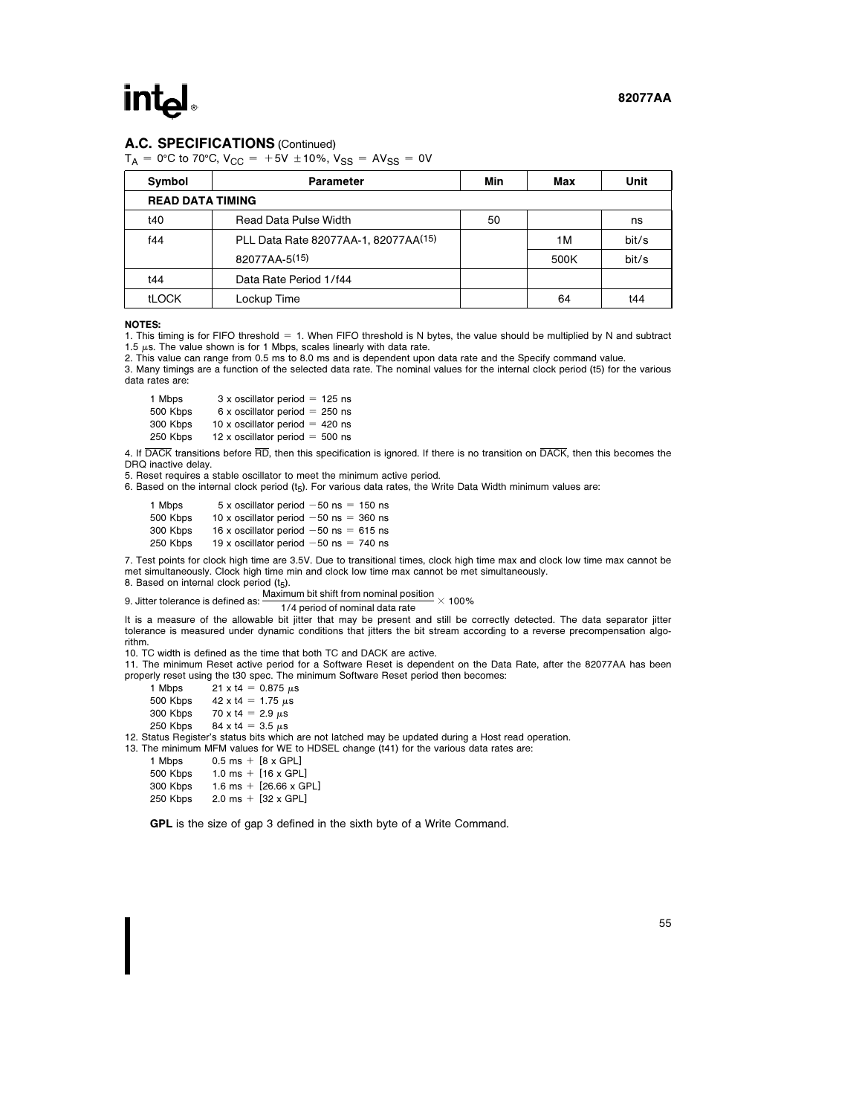#### A.C. SPECIFICATIONS (Continued)

 $T_A = 0$ °C to 70°C, V<sub>CC</sub> = +5V ±10%, V<sub>SS</sub> = AV<sub>SS</sub> = 0V

| Symbol                  | <b>Parameter</b>                     | Min | Max  | Unit  |
|-------------------------|--------------------------------------|-----|------|-------|
| <b>READ DATA TIMING</b> |                                      |     |      |       |
| t40                     | Read Data Pulse Width                | 50  |      | ns    |
| f44                     | PLL Data Rate 82077AA-1, 82077AA(15) |     | 1M   | bit/s |
|                         | 82077AA-5(15)                        |     | 500K | bit/s |
| t44                     | Data Rate Period 1/f44               |     |      |       |
| <b>tLOCK</b>            | Lockup Time                          |     | 64   | t44   |

#### NOTES:

1. This timing is for FIFO threshold = 1. When FIFO threshold is N bytes, the value should be multiplied by N and subtract 1.5  $\mu$ s. The value shown is for 1 Mbps, scales linearly with data rate.

2. This value can range from 0.5 ms to 8.0 ms and is dependent upon data rate and the Specify command value.

3. Many timings are a function of the selected data rate. The nominal values for the internal clock period (t5) for the various data rates are:

| 1 Mbps   | $3 \times$ oscillator period = 125 ns |
|----------|---------------------------------------|
| 500 Kbps | 6 x oscillator period = $250$ ns      |
| 300 Kbps | 10 x oscillator period = 420 ns       |
| 250 Kbps | 12 x oscillator period = 500 ns       |

4. If DACK transitions before RD, then this specification is ignored. If there is no transition on DACK, then this becomes the DRQ inactive delay.

5. Reset requires a stable oscillator to meet the minimum active period.

6. Based on the internal clock period  $(t_5)$ . For various data rates, the Write Data Width minimum values are:

| 1 Mbps   | 5 x oscillator period $-50$ ns = 150 ns  |
|----------|------------------------------------------|
| 500 Kbps | 10 x oscillator period $-50$ ns = 360 ns |
| 300 Kbps | 16 x oscillator period $-50$ ns = 615 ns |
| 250 Kbps | 19 x oscillator period $-50$ ns = 740 ns |

7. Test points for clock high time are 3.5V. Due to transitional times, clock high time max and clock low time max cannot be met simultaneously. Clock high time min and clock low time max cannot be met simultaneously.

8. Based on internal clock period  $(t_5)$ .

9. Jitter tolerance is defined as:  $\frac{\text{Maximum bit shift from nominal position}}{1/4 \text{ period of nominal data rate}} \times 100\%$ 

It is a measure of the allowable bit jitter that may be present and still be correctly detected. The data separator jitter tolerance is measured under dynamic conditions that jitters the bit stream according to a reverse precompensation algorithm.

10. TC width is defined as the time that both TC and DACK are active.

11. The minimum Reset active period for a Software Reset is dependent on the Data Rate, after the 82077AA has been properly reset using the t30 spec. The minimum Software Reset period then becomes:

| 1 Mbps   | $21 \times 14 = 0.875 \,\mu s$           |
|----------|------------------------------------------|
| 500 Kbps | $42 \times 14 = 1.75 \,\mu s$            |
| 300 Kbps | 70 x t4 = 2.9 $\mu$ s                    |
| 250 Kbps | $84 \times 14 = 3.5 \text{ }\mu\text{s}$ |

250 Kbps 84 x t4 = 3.5 ps<br>12. Status Register's status bits which are not latched may be updated during a Host read operation.<br>13. The minimum MFM values for WE to HDSEL change (t41) for the various data rates are:

| 1 Mbps   | $0.5$ ms $+$ [8 x GPL]        |
|----------|-------------------------------|
| 500 Kbps | 1.0 ms + $[16 \times$ GPL]    |
| 300 Kbps | 1.6 ms + $[26.66 \times$ GPL] |
| 250 Kbps | 2.0 ms + $[32 \times GPL]$    |

GPL is the size of gap 3 defined in the sixth byte of a Write Command.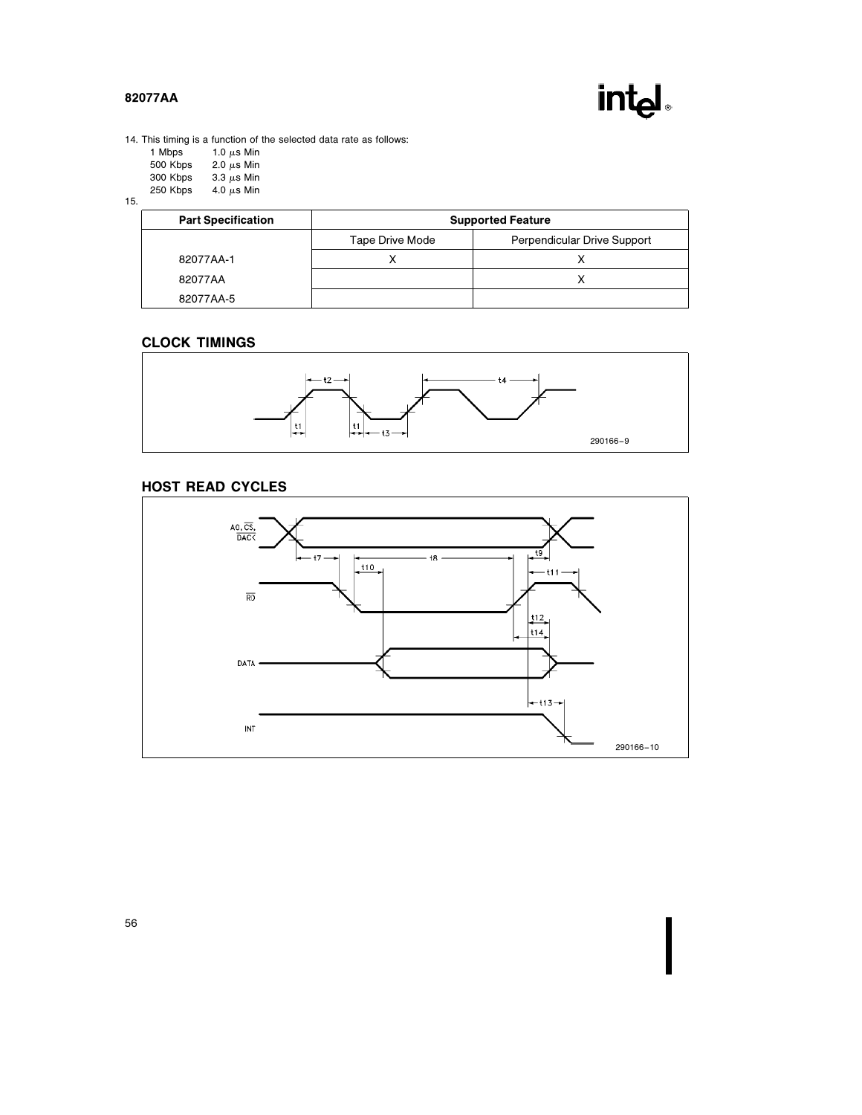

14. This timing is a function of the selected data rate as follows:

| 1.0 $\mu$ s Min |
|-----------------|
| 2.0 $\mu$ s Min |
| 3.3 $\mu$ s Min |
|                 |

250 Kbps  $4.0 \mu s$  Min

15.

| <b>Part Specification</b> | <b>Supported Feature</b>                       |  |  |
|---------------------------|------------------------------------------------|--|--|
|                           | Perpendicular Drive Support<br>Tape Drive Mode |  |  |
| 82077AA-1                 |                                                |  |  |
| 82077AA                   |                                                |  |  |
| 82077AA-5                 |                                                |  |  |

# CLOCK TIMINGS



# HOST READ CYCLES

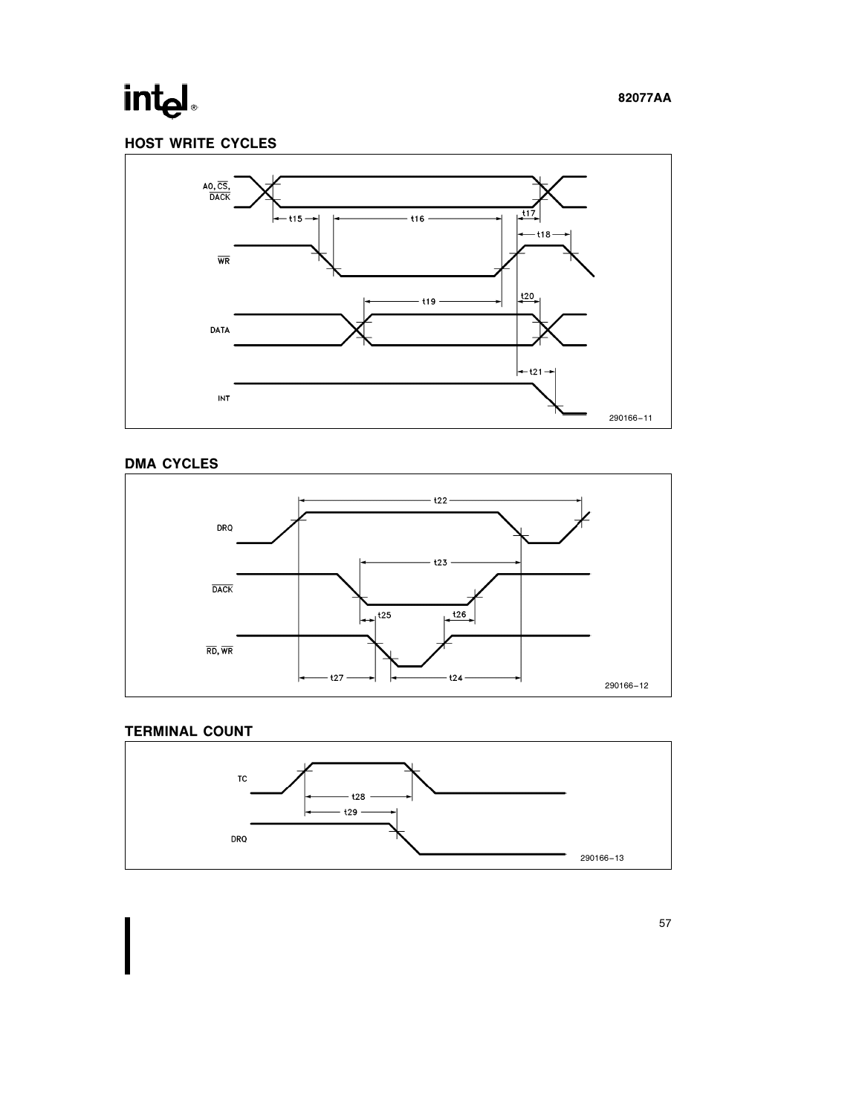# intel

# HOST WRITE CYCLES



# DMA CYCLES



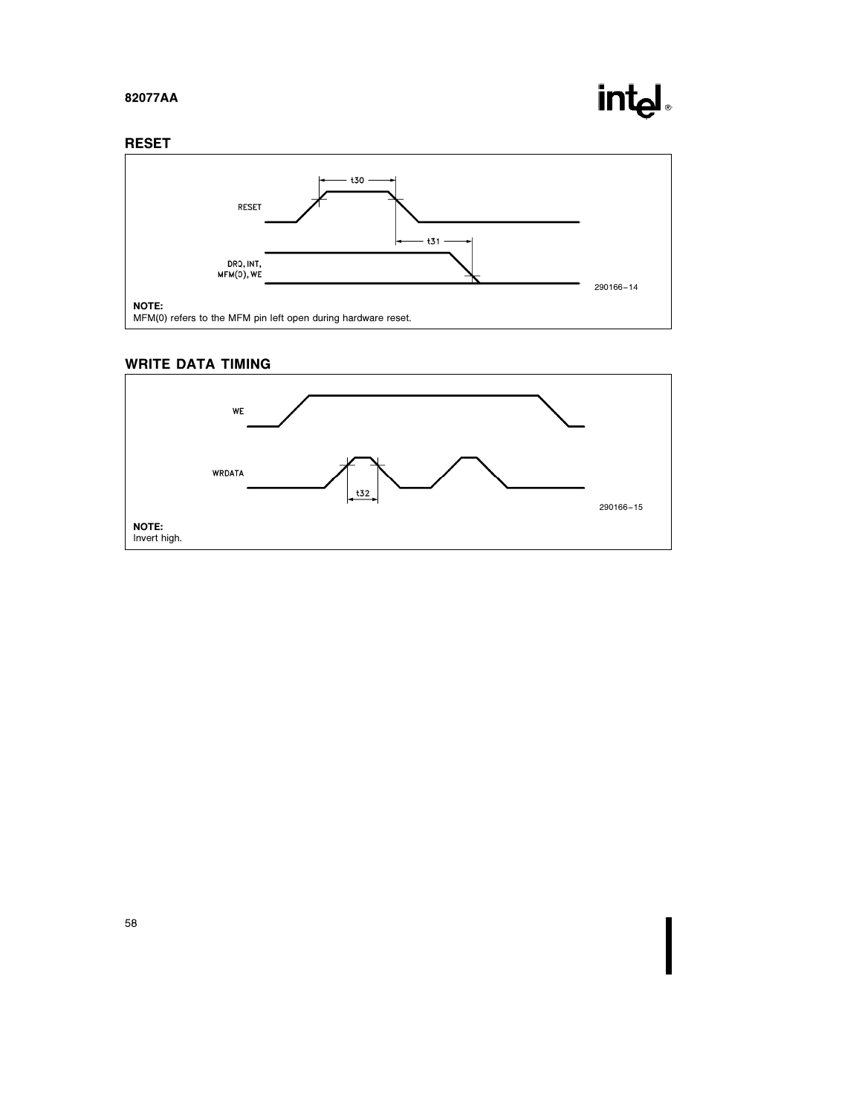# intel

## RESET



# WRITE DATA TIMING

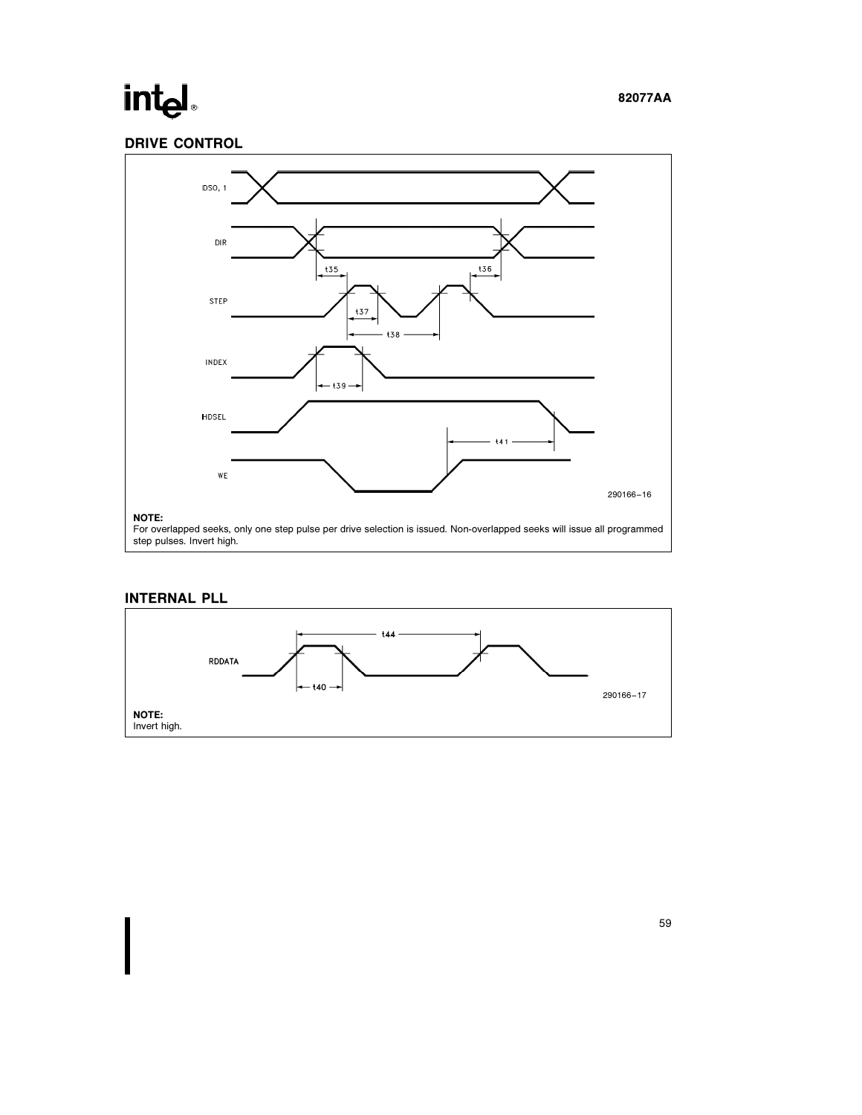# intel

# DRIVE CONTROL



# INTERNAL PLL

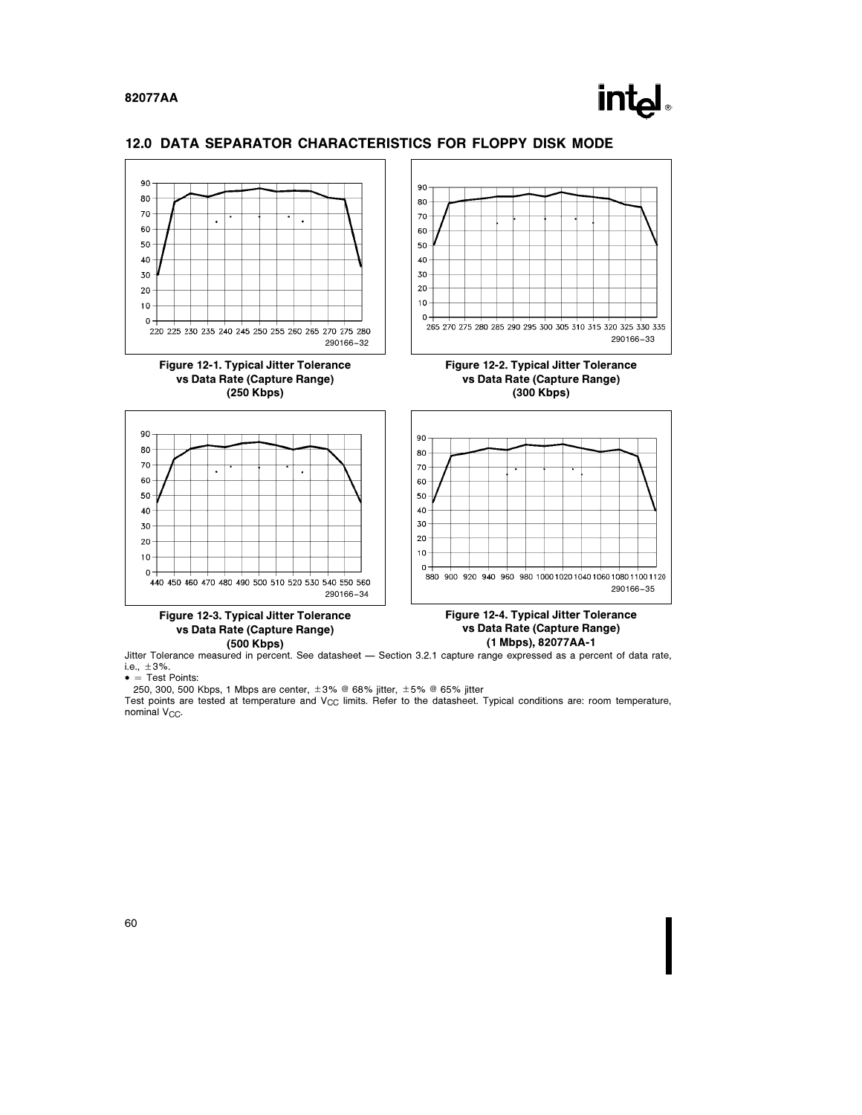

### 12.0 DATA SEPARATOR CHARACTERISTICS FOR FLOPPY DISK MODE



Jitter Tolerance measured in percent. See datasheet — Section 3.2.1 capture range expressed as a percent of data rate, i.e.,  $\pm 3\%$ .

 $\bullet$  = Test Points:

250, 300, 500 Kbps, 1 Mbps are center,  $\pm 3\%$  @ 68% jitter,  $\pm 5\%$  @ 65% jitter

Test points are tested at temperature and  $V_{CC}$  limits. Refer to the datasheet. Typical conditions are: room temperature,  $nominal$   $V<sub>CC</sub>$ .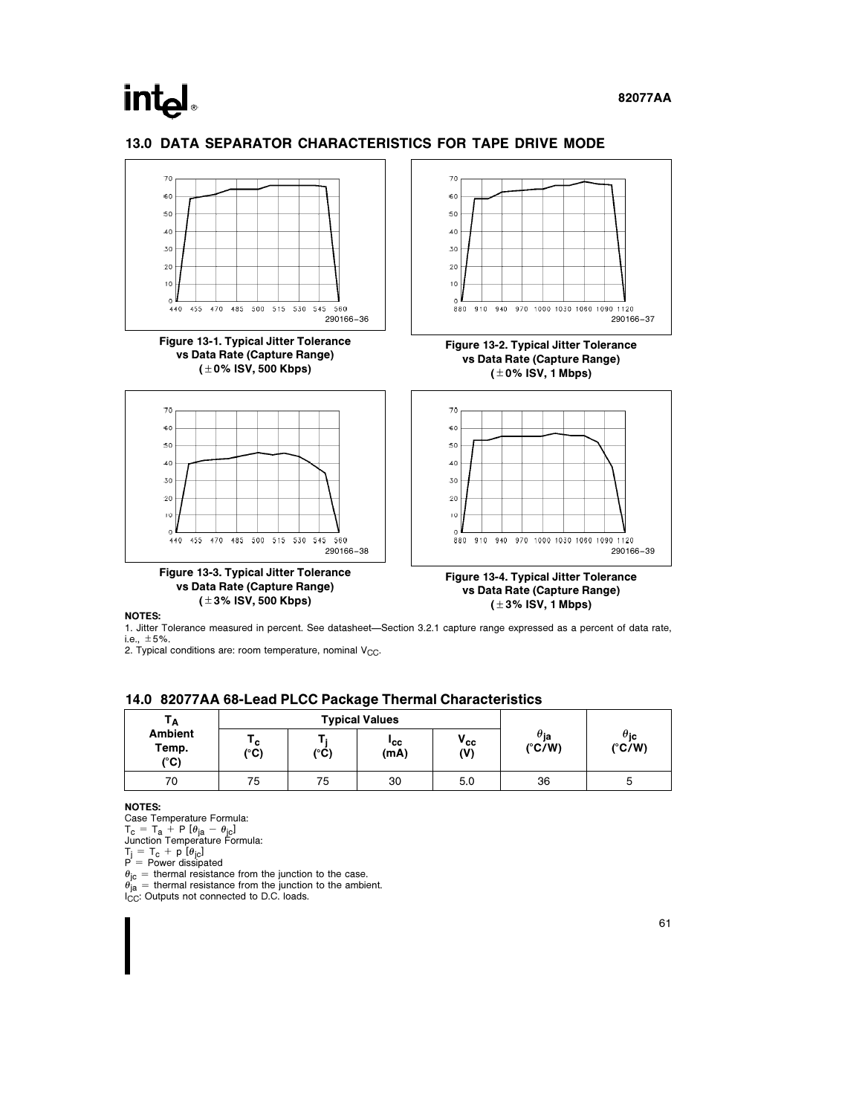# **intel**

### 13.0 DATA SEPARATOR CHARACTERISTICS FOR TAPE DRIVE MODE



NOTES:

1. Jitter Tolerance measured in percent. See datasheet-Section 3.2.1 capture range expressed as a percent of data rate, i.e.,  $\pm 5%$ .

2. Typical conditions are: room temperature, nominal  $V_{CC}$ .

#### 14.0 82077AA 68-Lead PLCC Package Thermal Characteristics

| Тд                                       | <b>Typical Values</b> |      |             |                 |                                           |                                      |
|------------------------------------------|-----------------------|------|-------------|-----------------|-------------------------------------------|--------------------------------------|
| <b>Ambient</b><br>Temp.<br>$(^{\circ}C)$ | י c<br>$(^{\circ}C)$  | (°C) | 'cc<br>(mA) | $V_{cc}$<br>(V) | $\theta_{\mathsf{ja}}$<br>$(^{\circ}C/W)$ | $\theta_{\bf jc}$<br>$(^{\circ}C/W)$ |
| 70                                       | 75                    | 75   | 30          | 5.0             | 36                                        |                                      |

#### NOTES:

Case Temperature Formula:

 $T_{\text{c}} = T_{\text{a}} + P$  [ $\theta_{\text{ja}} - \theta_{\text{jc}}$ ]<br>Junction Temperature Formula:

 $\begin{array}{l} T_{\text{j}}\,=\,T_{\text{c}}\,+\,p\,\left[\theta_{\text{jc}}\right]\ P\,=\,P{\text{ower dissipated}}\end{array}$ 

 $\theta_{\rm ja}$  = thermal resistance from the junction to the case.<br> $\theta_{\rm ja}$  = thermal resistance from the junction to the ambient.<br>I<sub>CC</sub>: Outputs not connected to D.C. loads.